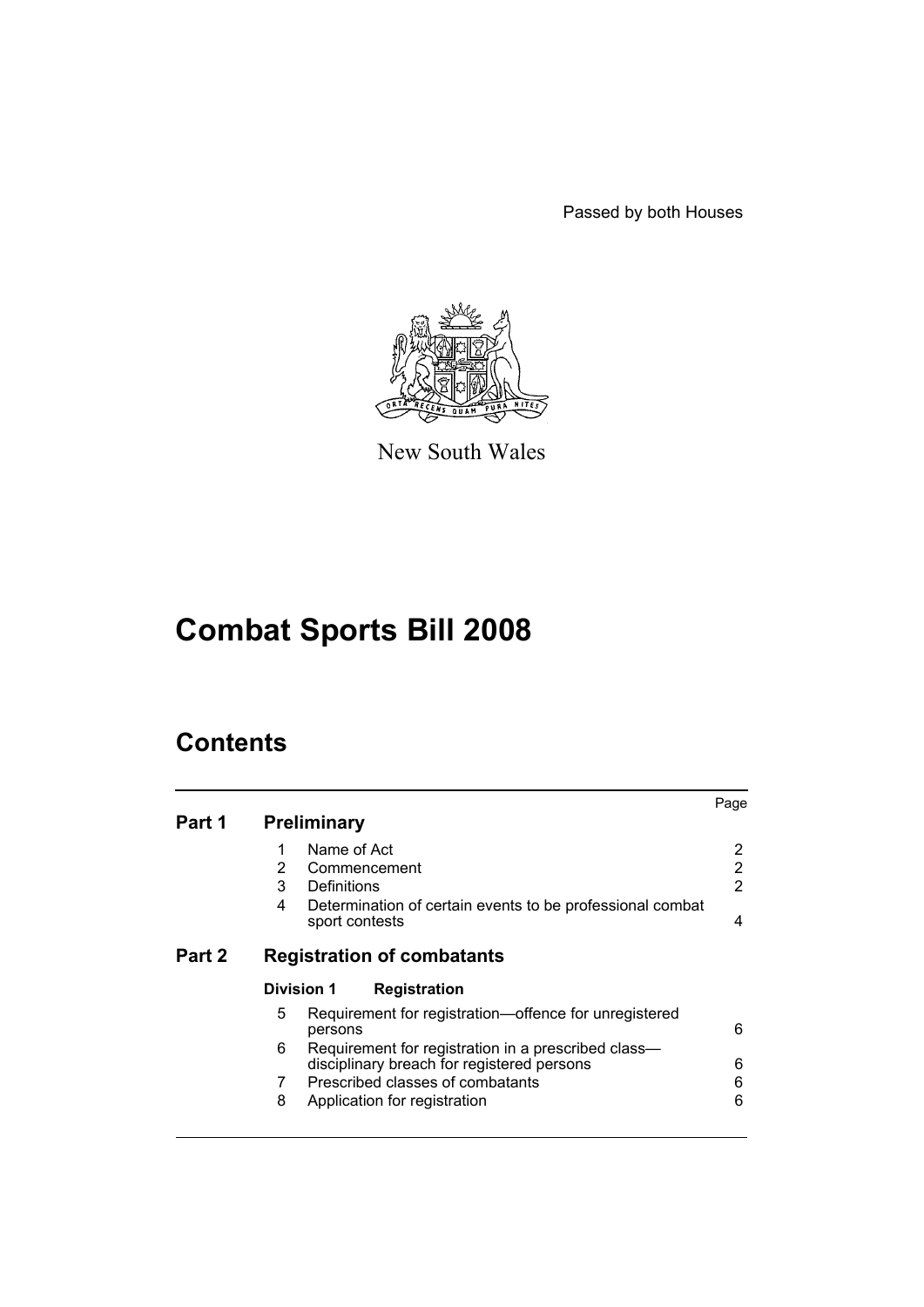Passed by both Houses



New South Wales

# **Combat Sports Bill 2008**

# **Contents**

|        |                                                                                                        | Page |
|--------|--------------------------------------------------------------------------------------------------------|------|
| Part 1 | <b>Preliminary</b>                                                                                     |      |
|        | 1<br>Name of Act                                                                                       | 2    |
|        | $\overline{2}$<br>Commencement                                                                         | 2    |
|        | 3<br>Definitions                                                                                       | 2    |
|        | 4<br>Determination of certain events to be professional combat<br>sport contests                       | 4    |
| Part 2 | <b>Registration of combatants</b>                                                                      |      |
|        | <b>Division 1</b><br><b>Registration</b>                                                               |      |
|        | 5<br>Requirement for registration—offence for unregistered<br>persons                                  | 6    |
|        | 6<br>Requirement for registration in a prescribed class-<br>disciplinary breach for registered persons | 6    |
|        | Prescribed classes of combatants<br>7                                                                  | 6    |
|        | 8<br>Application for registration                                                                      | 6    |
|        |                                                                                                        |      |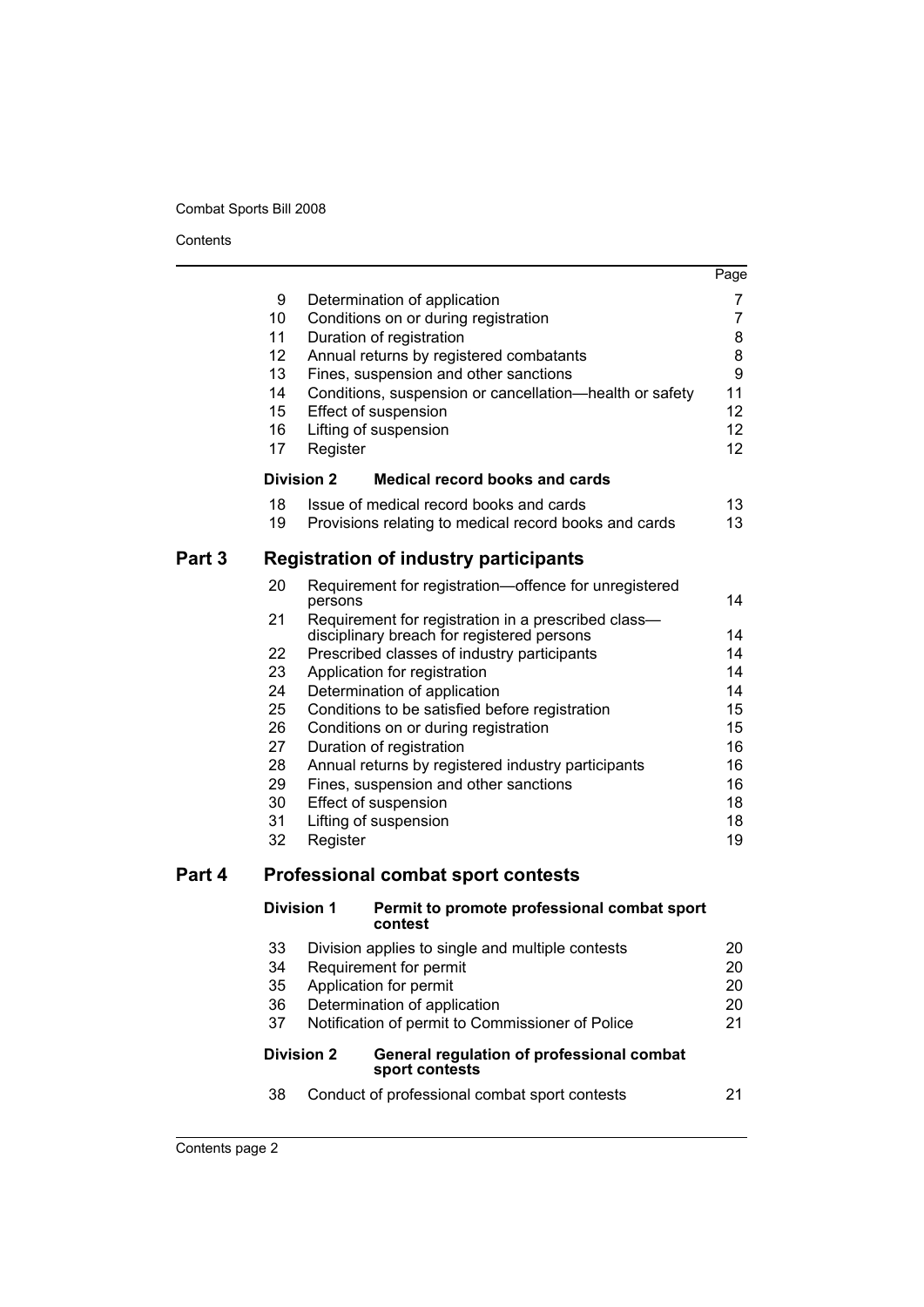Contents

|        |          |                   |                                                                                  | Page     |
|--------|----------|-------------------|----------------------------------------------------------------------------------|----------|
|        | 9        |                   | Determination of application                                                     | 7        |
|        | 10       |                   | Conditions on or during registration                                             | 7        |
|        | 11       |                   | Duration of registration                                                         | 8        |
|        | 12       |                   | Annual returns by registered combatants                                          | 8        |
|        | 13       |                   | Fines, suspension and other sanctions                                            | 9        |
|        | 14       |                   | Conditions, suspension or cancellation-health or safety                          | 11       |
|        | 15       |                   | Effect of suspension                                                             | 12       |
|        | 16       |                   | Lifting of suspension                                                            | 12       |
|        | 17       | Register          |                                                                                  | 12       |
|        |          | <b>Division 2</b> | <b>Medical record books and cards</b>                                            |          |
|        | 18       |                   | Issue of medical record books and cards                                          | 13       |
|        | 19       |                   | Provisions relating to medical record books and cards                            | 13       |
| Part 3 |          |                   | <b>Registration of industry participants</b>                                     |          |
|        | 20       | persons           | Requirement for registration-offence for unregistered                            | 14       |
|        | 21       |                   | Requirement for registration in a prescribed class-                              |          |
|        |          |                   | disciplinary breach for registered persons                                       | 14       |
|        | 22       |                   | Prescribed classes of industry participants                                      | 14<br>14 |
|        | 23<br>24 |                   | Application for registration<br>Determination of application                     | 14       |
|        | 25       |                   | Conditions to be satisfied before registration                                   | 15       |
|        | 26       |                   | Conditions on or during registration                                             | 15       |
|        | 27       |                   | Duration of registration                                                         | 16       |
|        | 28       |                   | Annual returns by registered industry participants                               | 16       |
|        | 29       |                   | Fines, suspension and other sanctions                                            | 16       |
|        | 30       |                   | Effect of suspension                                                             | 18       |
|        | 31       |                   | Lifting of suspension                                                            | 18       |
|        | 32       | Register          |                                                                                  | 19       |
| Part 4 |          |                   | <b>Professional combat sport contests</b>                                        |          |
|        |          | <b>Division 1</b> | Permit to promote professional combat sport<br>contest                           |          |
|        | 33       |                   | Division applies to single and multiple contests                                 | 20       |
|        | 34       |                   | Requirement for permit                                                           | 20       |
|        | 35       |                   | Application for permit                                                           | 20       |
|        | 36<br>37 |                   | Determination of application<br>Notification of permit to Commissioner of Police | 20<br>21 |
|        |          | <b>Division 2</b> | General regulation of professional combat                                        |          |
|        |          |                   | sport contests                                                                   |          |
|        | 38       |                   | Conduct of professional combat sport contests                                    | 21       |
|        |          |                   |                                                                                  |          |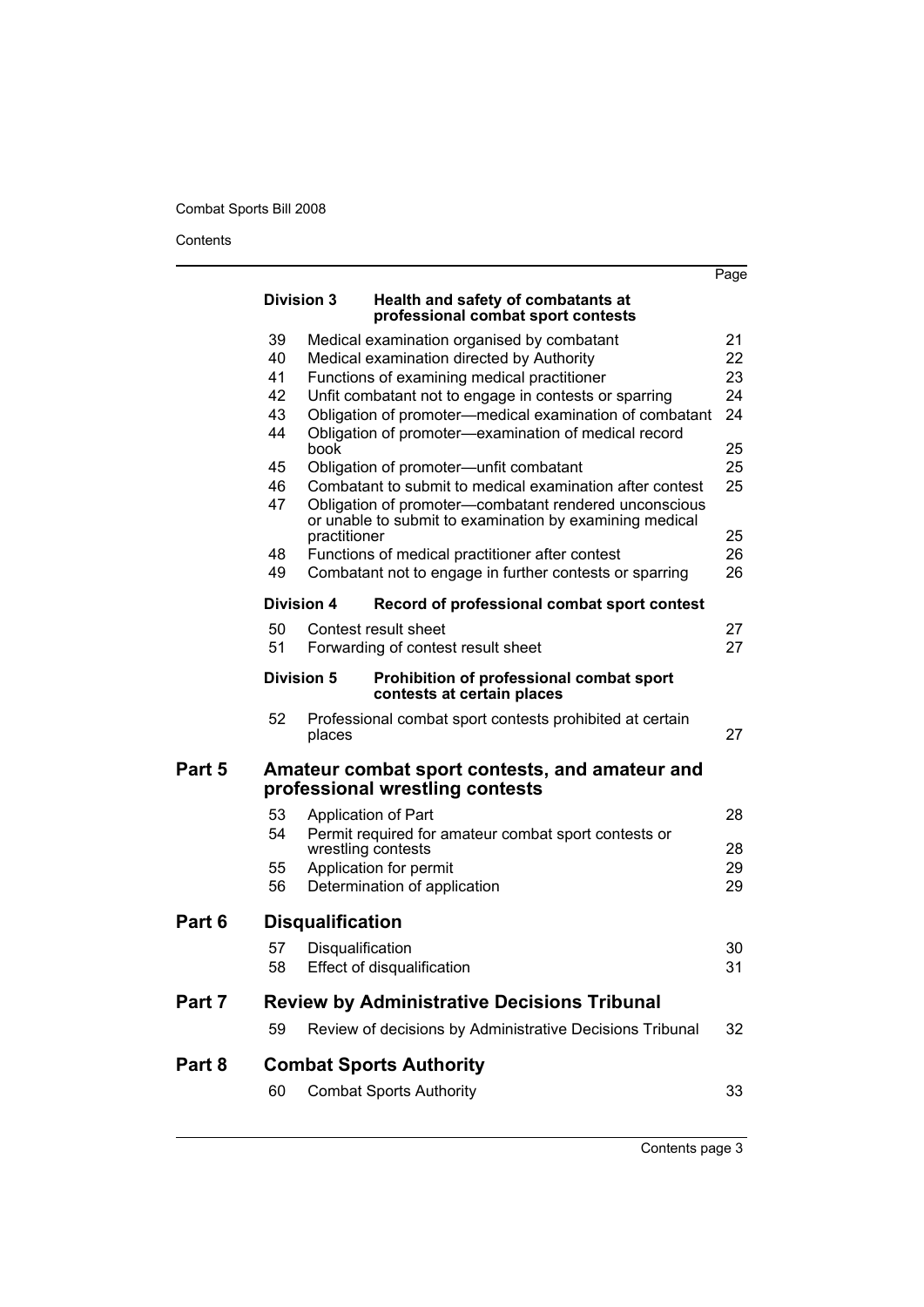Contents

|        |    |                         |                                                                                                                  | Page     |
|--------|----|-------------------------|------------------------------------------------------------------------------------------------------------------|----------|
|        |    | <b>Division 3</b>       | Health and safety of combatants at<br>professional combat sport contests                                         |          |
|        | 39 |                         | Medical examination organised by combatant                                                                       | 21       |
|        | 40 |                         | Medical examination directed by Authority                                                                        | 22       |
|        | 41 |                         | Functions of examining medical practitioner                                                                      | 23       |
|        | 42 |                         | Unfit combatant not to engage in contests or sparring                                                            | 24       |
|        | 43 |                         | Obligation of promoter-medical examination of combatant                                                          | 24       |
|        | 44 | book                    | Obligation of promoter-examination of medical record                                                             | 25       |
|        | 45 |                         | Obligation of promoter—unfit combatant                                                                           | 25       |
|        | 46 |                         | Combatant to submit to medical examination after contest                                                         | 25       |
|        | 47 |                         | Obligation of promoter-combatant rendered unconscious<br>or unable to submit to examination by examining medical |          |
|        | 48 | practitioner            |                                                                                                                  | 25<br>26 |
|        | 49 |                         | Functions of medical practitioner after contest<br>Combatant not to engage in further contests or sparring       | 26       |
|        |    | <b>Division 4</b>       | Record of professional combat sport contest                                                                      |          |
|        | 50 |                         | Contest result sheet                                                                                             | 27       |
|        | 51 |                         | Forwarding of contest result sheet                                                                               | 27       |
|        |    | <b>Division 5</b>       | Prohibition of professional combat sport<br>contests at certain places                                           |          |
|        | 52 | places                  | Professional combat sport contests prohibited at certain                                                         | 27       |
| Part 5 |    |                         | Amateur combat sport contests, and amateur and<br>professional wrestling contests                                |          |
|        | 53 |                         | Application of Part                                                                                              | 28       |
|        | 54 |                         | Permit required for amateur combat sport contests or                                                             |          |
|        |    |                         | wrestling contests                                                                                               | 28       |
|        | 55 |                         | Application for permit                                                                                           | 29       |
|        | 56 |                         | Determination of application                                                                                     | 29       |
| Part 6 |    | <b>Disqualification</b> |                                                                                                                  |          |
|        | 57 | Disqualification        |                                                                                                                  | 30       |
|        | 58 |                         | <b>Effect of disqualification</b>                                                                                | 31       |
| Part 7 |    |                         | <b>Review by Administrative Decisions Tribunal</b>                                                               |          |
|        | 59 |                         | Review of decisions by Administrative Decisions Tribunal                                                         | 32       |
| Part 8 |    |                         | <b>Combat Sports Authority</b>                                                                                   |          |
|        | 60 |                         | <b>Combat Sports Authority</b>                                                                                   | 33       |
|        |    |                         |                                                                                                                  |          |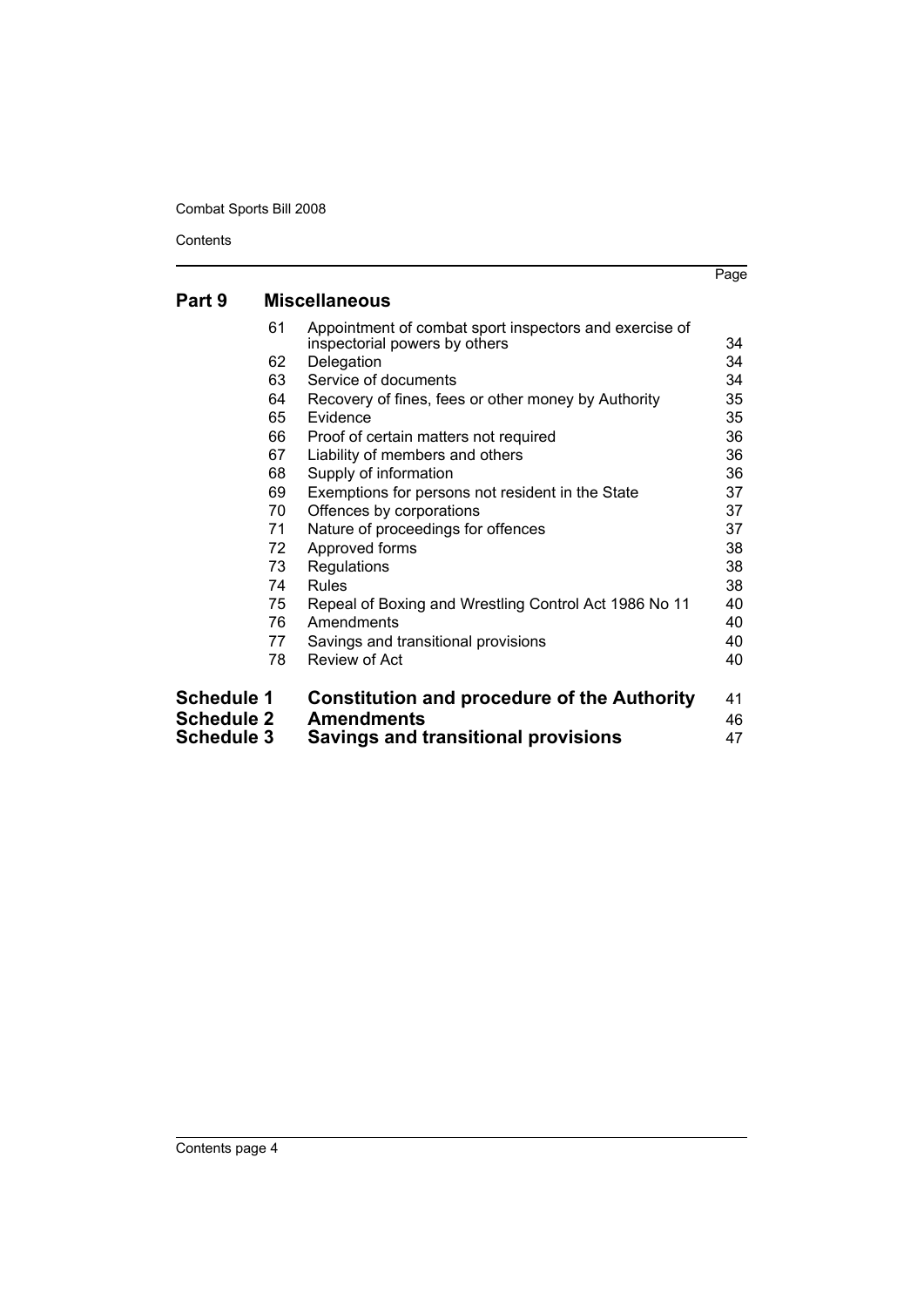|                                        |    |                                                                 | Page     |
|----------------------------------------|----|-----------------------------------------------------------------|----------|
| Part 9                                 |    | <b>Miscellaneous</b>                                            |          |
|                                        | 61 | Appointment of combat sport inspectors and exercise of          |          |
|                                        |    | inspectorial powers by others                                   | 34       |
|                                        | 62 | Delegation                                                      | 34       |
|                                        | 63 | Service of documents                                            | 34       |
|                                        | 64 | Recovery of fines, fees or other money by Authority             | 35       |
|                                        | 65 | Evidence                                                        | 35       |
|                                        | 66 | Proof of certain matters not required                           | 36       |
|                                        | 67 | Liability of members and others                                 | 36       |
|                                        | 68 | Supply of information                                           | 36       |
|                                        | 69 | Exemptions for persons not resident in the State                | 37       |
|                                        | 70 | Offences by corporations                                        | 37       |
|                                        | 71 | Nature of proceedings for offences                              | 37       |
|                                        | 72 | Approved forms                                                  | 38       |
|                                        | 73 | Regulations                                                     | 38       |
|                                        | 74 | Rules                                                           | 38       |
|                                        | 75 | Repeal of Boxing and Wrestling Control Act 1986 No 11           | 40       |
|                                        | 76 | Amendments                                                      | 40       |
|                                        | 77 | Savings and transitional provisions                             | 40       |
|                                        | 78 | Review of Act                                                   | 40       |
| <b>Schedule 1</b>                      |    | <b>Constitution and procedure of the Authority</b>              | 41       |
|                                        |    |                                                                 |          |
|                                        |    |                                                                 |          |
| <b>Schedule 2</b><br><b>Schedule 3</b> |    | <b>Amendments</b><br><b>Savings and transitional provisions</b> | 46<br>47 |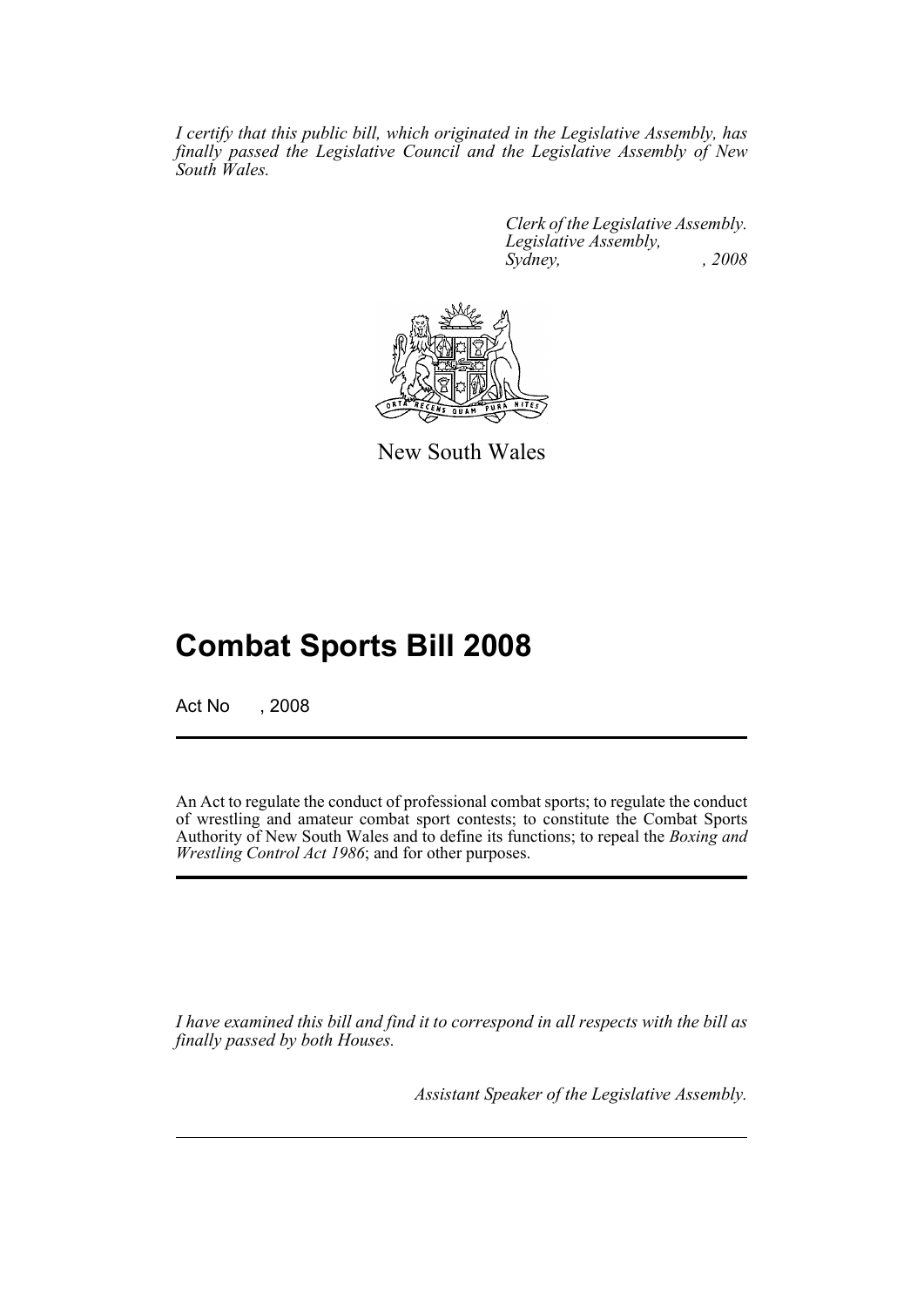*I certify that this public bill, which originated in the Legislative Assembly, has finally passed the Legislative Council and the Legislative Assembly of New South Wales.*

> *Clerk of the Legislative Assembly. Legislative Assembly, Sydney, , 2008*



New South Wales

# **Combat Sports Bill 2008**

Act No , 2008

An Act to regulate the conduct of professional combat sports; to regulate the conduct of wrestling and amateur combat sport contests; to constitute the Combat Sports Authority of New South Wales and to define its functions; to repeal the *Boxing and Wrestling Control Act 1986*; and for other purposes.

*I have examined this bill and find it to correspond in all respects with the bill as finally passed by both Houses.*

*Assistant Speaker of the Legislative Assembly.*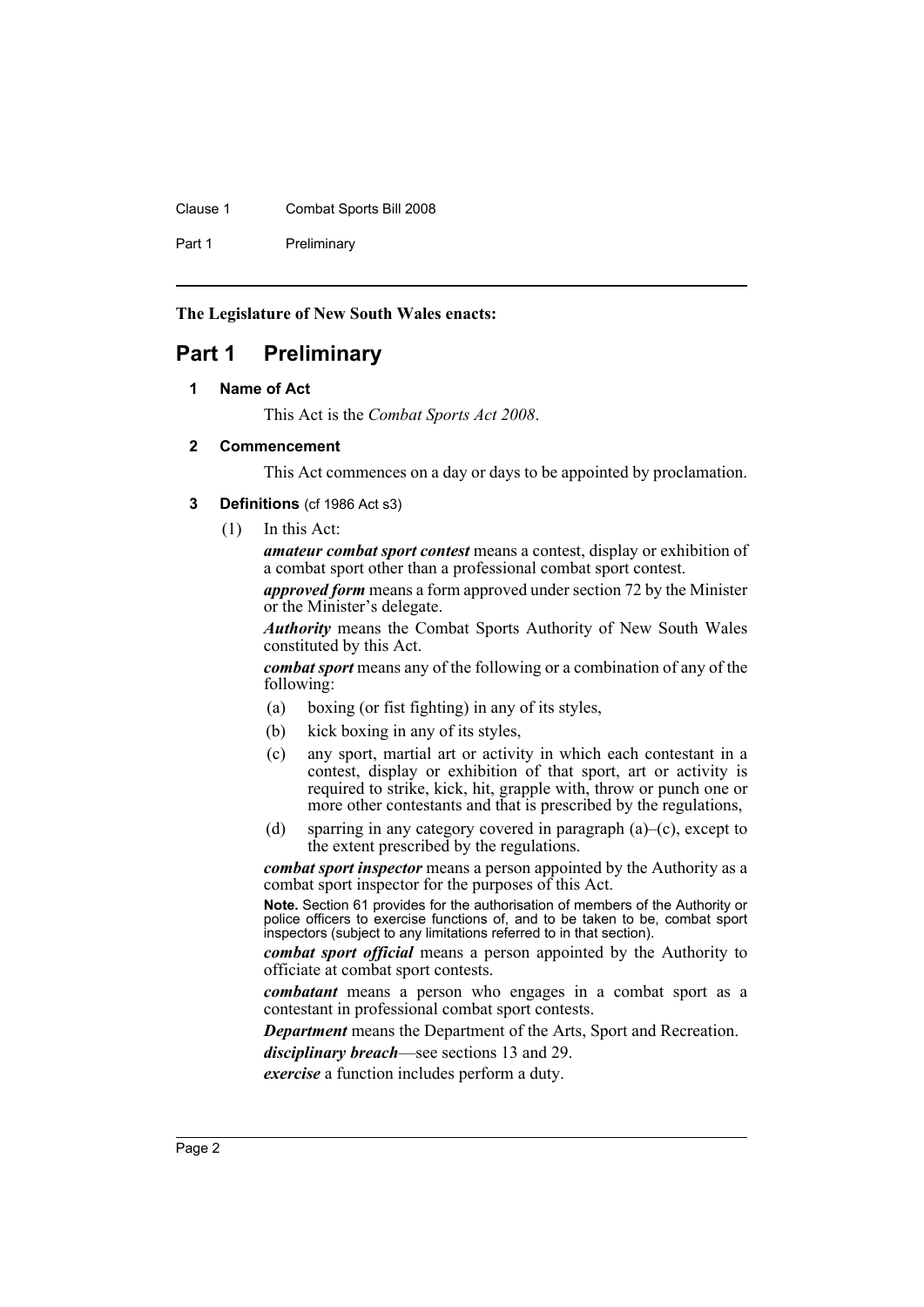Clause 1 Combat Sports Bill 2008

Part 1 Preliminary

**The Legislature of New South Wales enacts:**

# <span id="page-5-1"></span><span id="page-5-0"></span>**Part 1 Preliminary**

### **1 Name of Act**

This Act is the *Combat Sports Act 2008*.

### <span id="page-5-2"></span>**2 Commencement**

This Act commences on a day or days to be appointed by proclamation.

### <span id="page-5-3"></span>**3 Definitions** (cf 1986 Act s3)

(1) In this Act:

*amateur combat sport contest* means a contest, display or exhibition of a combat sport other than a professional combat sport contest.

*approved form* means a form approved under section 72 by the Minister or the Minister's delegate.

*Authority* means the Combat Sports Authority of New South Wales constituted by this Act.

*combat sport* means any of the following or a combination of any of the following:

- (a) boxing (or fist fighting) in any of its styles,
- (b) kick boxing in any of its styles,
- (c) any sport, martial art or activity in which each contestant in a contest, display or exhibition of that sport, art or activity is required to strike, kick, hit, grapple with, throw or punch one or more other contestants and that is prescribed by the regulations,
- (d) sparring in any category covered in paragraph  $(a)$ –(c), except to the extent prescribed by the regulations.

*combat sport inspector* means a person appointed by the Authority as a combat sport inspector for the purposes of this Act.

**Note.** Section 61 provides for the authorisation of members of the Authority or police officers to exercise functions of, and to be taken to be, combat sport inspectors (subject to any limitations referred to in that section).

*combat sport official* means a person appointed by the Authority to officiate at combat sport contests.

*combatant* means a person who engages in a combat sport as a contestant in professional combat sport contests.

*Department* means the Department of the Arts, Sport and Recreation.

*disciplinary breach*—see sections 13 and 29.

*exercise* a function includes perform a duty.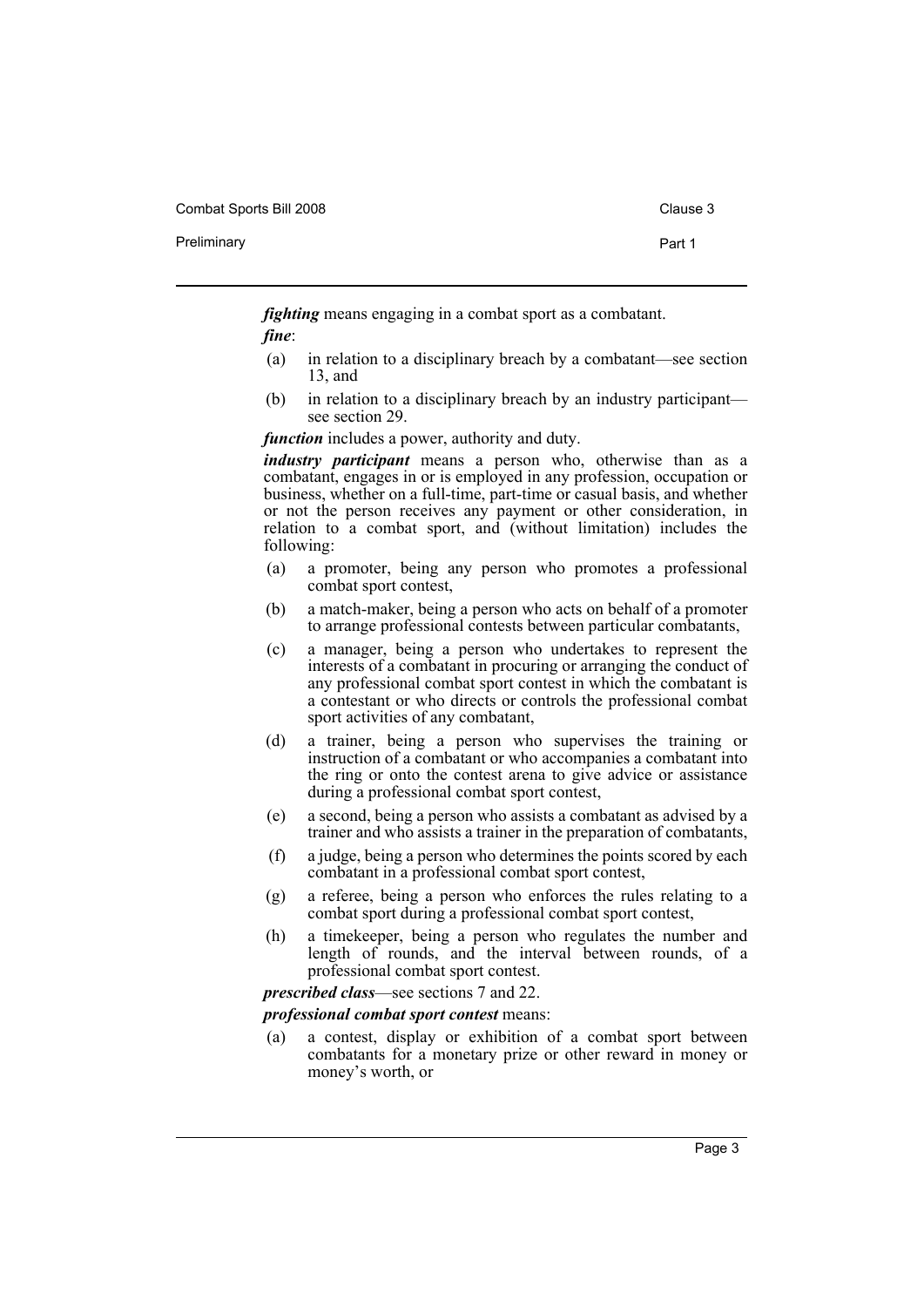Combat Sports Bill 2008 Clause 3

Preliminary **Preliminary Part 1** 

*fighting* means engaging in a combat sport as a combatant. *fine*:

- (a) in relation to a disciplinary breach by a combatant—see section 13, and
- (b) in relation to a disciplinary breach by an industry participant see section 29.

*function* includes a power, authority and duty.

*industry participant* means a person who, otherwise than as a combatant, engages in or is employed in any profession, occupation or business, whether on a full-time, part-time or casual basis, and whether or not the person receives any payment or other consideration, in relation to a combat sport, and (without limitation) includes the following:

- (a) a promoter, being any person who promotes a professional combat sport contest,
- (b) a match-maker, being a person who acts on behalf of a promoter to arrange professional contests between particular combatants,
- (c) a manager, being a person who undertakes to represent the interests of a combatant in procuring or arranging the conduct of any professional combat sport contest in which the combatant is a contestant or who directs or controls the professional combat sport activities of any combatant,
- (d) a trainer, being a person who supervises the training or instruction of a combatant or who accompanies a combatant into the ring or onto the contest arena to give advice or assistance during a professional combat sport contest,
- (e) a second, being a person who assists a combatant as advised by a trainer and who assists a trainer in the preparation of combatants,
- (f) a judge, being a person who determines the points scored by each combatant in a professional combat sport contest,
- (g) a referee, being a person who enforces the rules relating to a combat sport during a professional combat sport contest,
- (h) a timekeeper, being a person who regulates the number and length of rounds, and the interval between rounds, of a professional combat sport contest.

*prescribed class*—see sections 7 and 22.

*professional combat sport contest* means:

(a) a contest, display or exhibition of a combat sport between combatants for a monetary prize or other reward in money or money's worth, or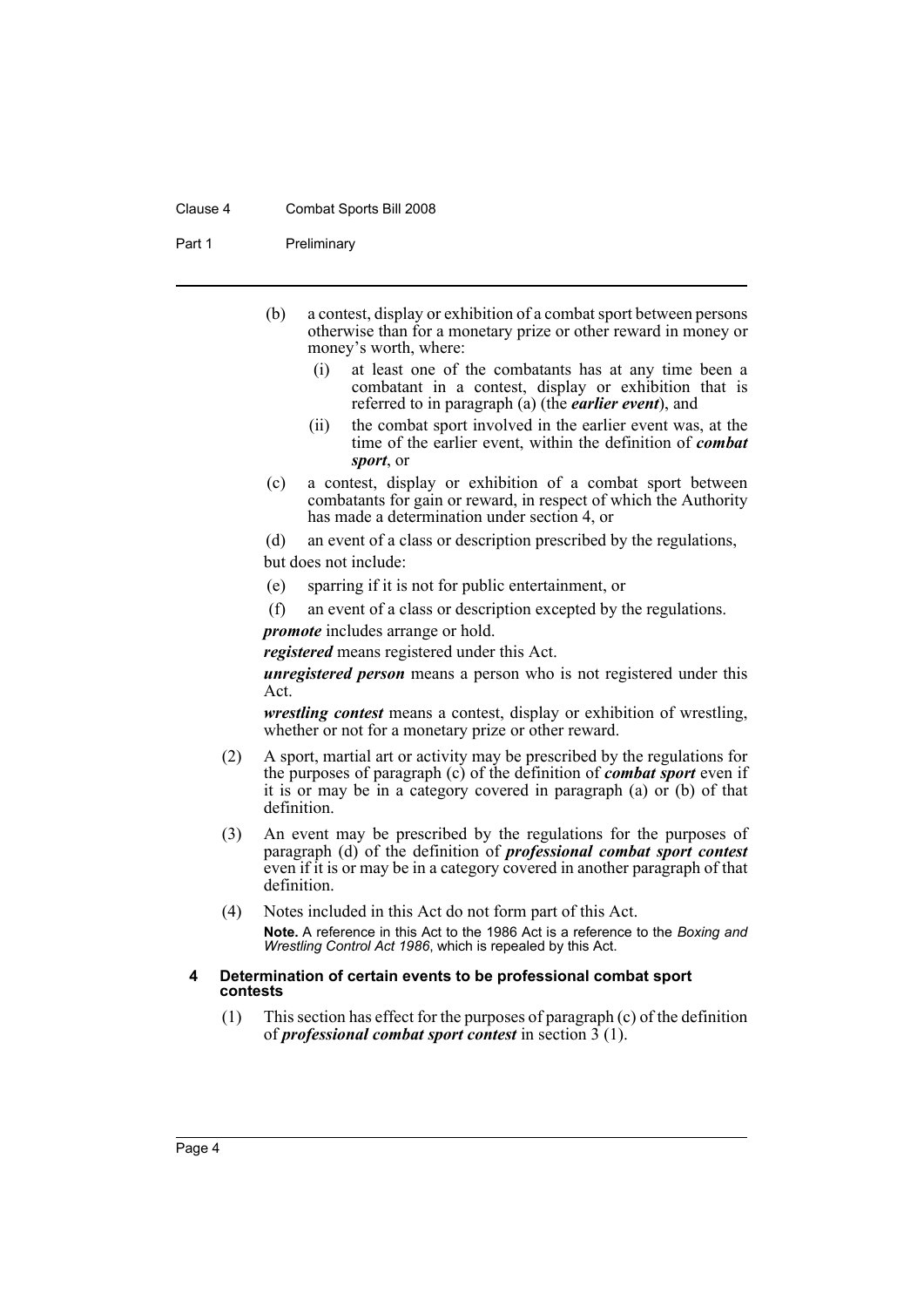#### Clause 4 Combat Sports Bill 2008

Part 1 Preliminary

- (b) a contest, display or exhibition of a combat sport between persons otherwise than for a monetary prize or other reward in money or money's worth, where:
	- (i) at least one of the combatants has at any time been a combatant in a contest, display or exhibition that is referred to in paragraph (a) (the *earlier event*), and
	- (ii) the combat sport involved in the earlier event was, at the time of the earlier event, within the definition of *combat sport*, or
- (c) a contest, display or exhibition of a combat sport between combatants for gain or reward, in respect of which the Authority has made a determination under section 4, or
- (d) an event of a class or description prescribed by the regulations, but does not include:
- (e) sparring if it is not for public entertainment, or
- (f) an event of a class or description excepted by the regulations.

*promote* includes arrange or hold.

*registered* means registered under this Act.

*unregistered person* means a person who is not registered under this Act.

*wrestling contest* means a contest, display or exhibition of wrestling, whether or not for a monetary prize or other reward.

- (2) A sport, martial art or activity may be prescribed by the regulations for the purposes of paragraph (c) of the definition of *combat sport* even if it is or may be in a category covered in paragraph (a) or (b) of that definition.
- (3) An event may be prescribed by the regulations for the purposes of paragraph (d) of the definition of *professional combat sport contest* even if it is or may be in a category covered in another paragraph of that definition.
- (4) Notes included in this Act do not form part of this Act. **Note.** A reference in this Act to the 1986 Act is a reference to the *Boxing and Wrestling Control Act 1986*, which is repealed by this Act.

### <span id="page-7-0"></span>**4 Determination of certain events to be professional combat sport contests**

(1) This section has effect for the purposes of paragraph (c) of the definition of *professional combat sport contest* in section 3 (1).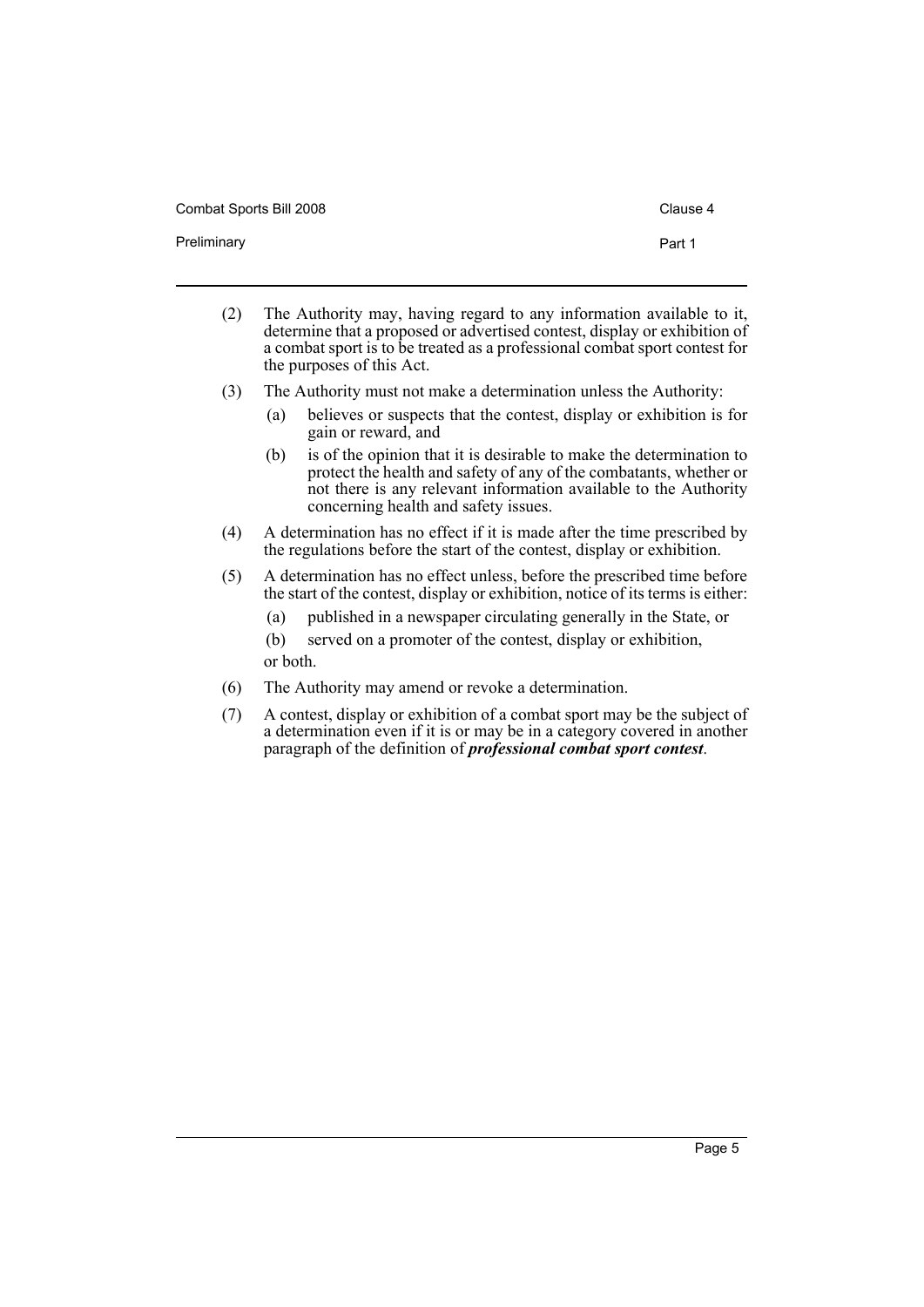| Combat Sports Bill 2008 | Clause 4 |
|-------------------------|----------|
| Preliminary             | Part 1   |

- (2) The Authority may, having regard to any information available to it, determine that a proposed or advertised contest, display or exhibition of a combat sport is to be treated as a professional combat sport contest for the purposes of this Act.
- (3) The Authority must not make a determination unless the Authority:
	- (a) believes or suspects that the contest, display or exhibition is for gain or reward, and
	- (b) is of the opinion that it is desirable to make the determination to protect the health and safety of any of the combatants, whether or not there is any relevant information available to the Authority concerning health and safety issues.
- (4) A determination has no effect if it is made after the time prescribed by the regulations before the start of the contest, display or exhibition.
- (5) A determination has no effect unless, before the prescribed time before the start of the contest, display or exhibition, notice of its terms is either:
	- (a) published in a newspaper circulating generally in the State, or
	- (b) served on a promoter of the contest, display or exhibition, or both.
- (6) The Authority may amend or revoke a determination.
- (7) A contest, display or exhibition of a combat sport may be the subject of a determination even if it is or may be in a category covered in another paragraph of the definition of *professional combat sport contest*.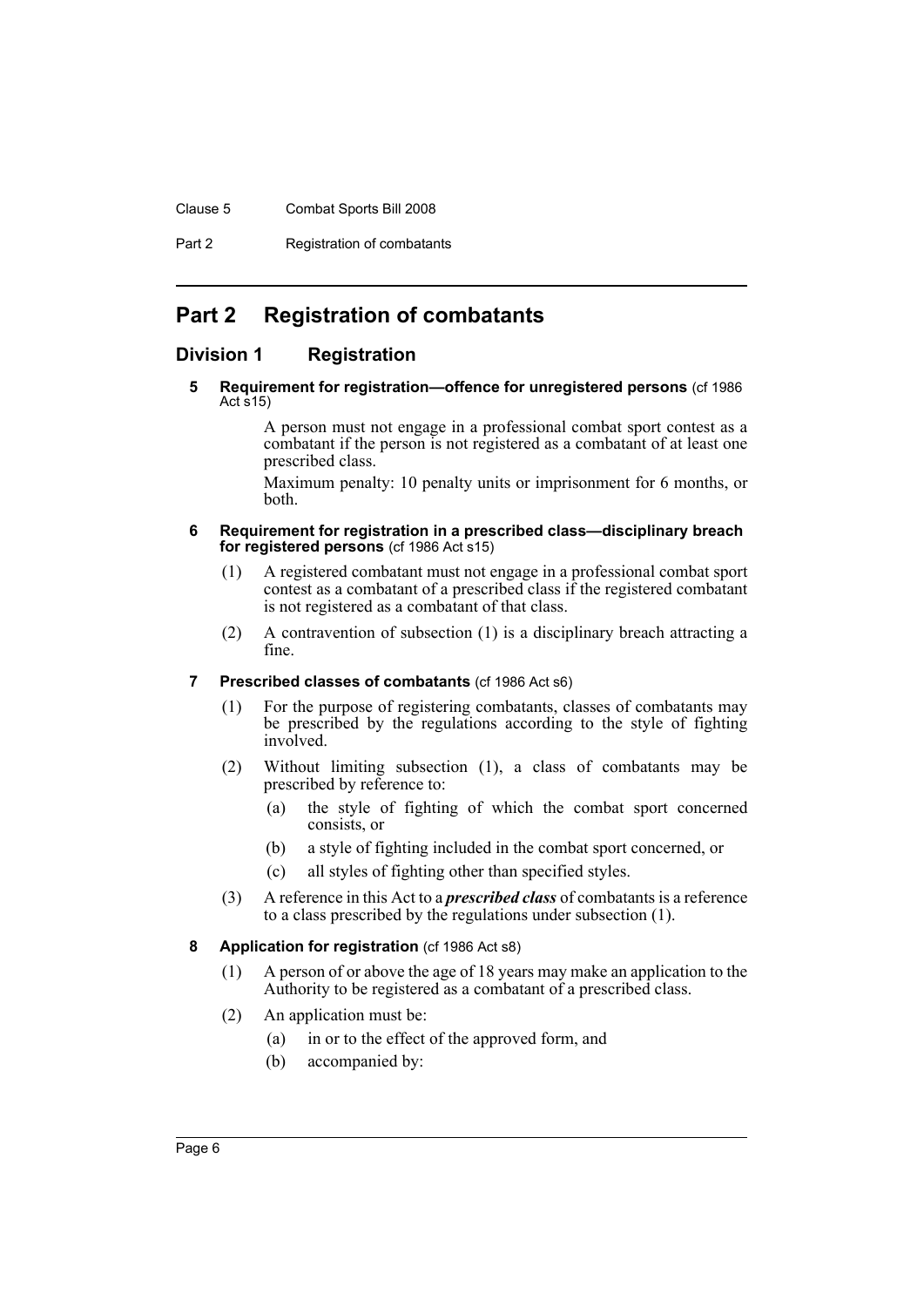#### Clause 5 Combat Sports Bill 2008

Part 2 Registration of combatants

# <span id="page-9-0"></span>**Part 2 Registration of combatants**

### <span id="page-9-2"></span><span id="page-9-1"></span>**Division 1 Registration**

**5 Requirement for registration—offence for unregistered persons** (cf 1986 Act  $\overline{s}$ 15)

> A person must not engage in a professional combat sport contest as a combatant if the person is not registered as a combatant of at least one prescribed class.

Maximum penalty: 10 penalty units or imprisonment for 6 months, or both.

- <span id="page-9-3"></span>**6 Requirement for registration in a prescribed class—disciplinary breach for registered persons** (cf 1986 Act s15)
	- (1) A registered combatant must not engage in a professional combat sport contest as a combatant of a prescribed class if the registered combatant is not registered as a combatant of that class.
	- (2) A contravention of subsection (1) is a disciplinary breach attracting a fine.
- <span id="page-9-4"></span>**7 Prescribed classes of combatants** (cf 1986 Act s6)
	- (1) For the purpose of registering combatants, classes of combatants may be prescribed by the regulations according to the style of fighting involved.
	- (2) Without limiting subsection (1), a class of combatants may be prescribed by reference to:
		- (a) the style of fighting of which the combat sport concerned consists, or
		- (b) a style of fighting included in the combat sport concerned, or
		- (c) all styles of fighting other than specified styles.
	- (3) A reference in this Act to a *prescribed class* of combatants is a reference to a class prescribed by the regulations under subsection (1).

### <span id="page-9-5"></span>**8 Application for registration** (cf 1986 Act s8)

- (1) A person of or above the age of 18 years may make an application to the Authority to be registered as a combatant of a prescribed class.
- (2) An application must be:
	- (a) in or to the effect of the approved form, and
	- (b) accompanied by: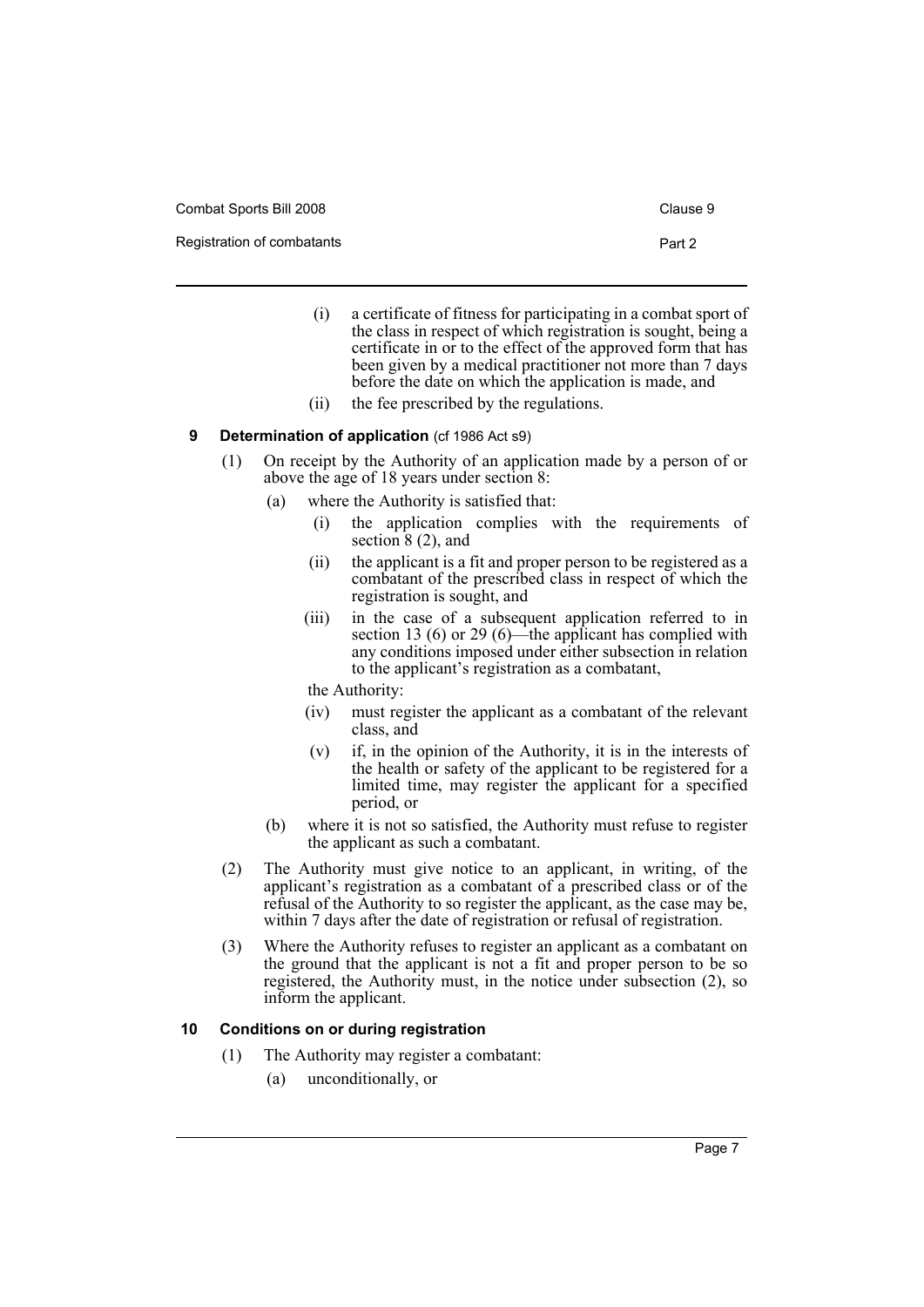Combat Sports Bill 2008 Combat Sports Bill 2008

Registration of combatants **Part 2** 

- (i) a certificate of fitness for participating in a combat sport of the class in respect of which registration is sought, being a certificate in or to the effect of the approved form that has been given by a medical practitioner not more than 7 days before the date on which the application is made, and
- (ii) the fee prescribed by the regulations.

#### <span id="page-10-0"></span>**9** Determination of application (cf 1986 Act s9)

- (1) On receipt by the Authority of an application made by a person of or above the age of 18 years under section 8:
	- (a) where the Authority is satisfied that:
		- (i) the application complies with the requirements of section  $\hat{8}$  (2), and
		- (ii) the applicant is a fit and proper person to be registered as a combatant of the prescribed class in respect of which the registration is sought, and
		- (iii) in the case of a subsequent application referred to in section 13 (6) or 29 (6)—the applicant has complied with any conditions imposed under either subsection in relation to the applicant's registration as a combatant,

the Authority:

- (iv) must register the applicant as a combatant of the relevant class, and
- (v) if, in the opinion of the Authority, it is in the interests of the health or safety of the applicant to be registered for a limited time, may register the applicant for a specified period, or
- (b) where it is not so satisfied, the Authority must refuse to register the applicant as such a combatant.
- (2) The Authority must give notice to an applicant, in writing, of the applicant's registration as a combatant of a prescribed class or of the refusal of the Authority to so register the applicant, as the case may be, within 7 days after the date of registration or refusal of registration.
- (3) Where the Authority refuses to register an applicant as a combatant on the ground that the applicant is not a fit and proper person to be so registered, the Authority must, in the notice under subsection (2), so inform the applicant.

### <span id="page-10-1"></span>**10 Conditions on or during registration**

- (1) The Authority may register a combatant:
	- (a) unconditionally, or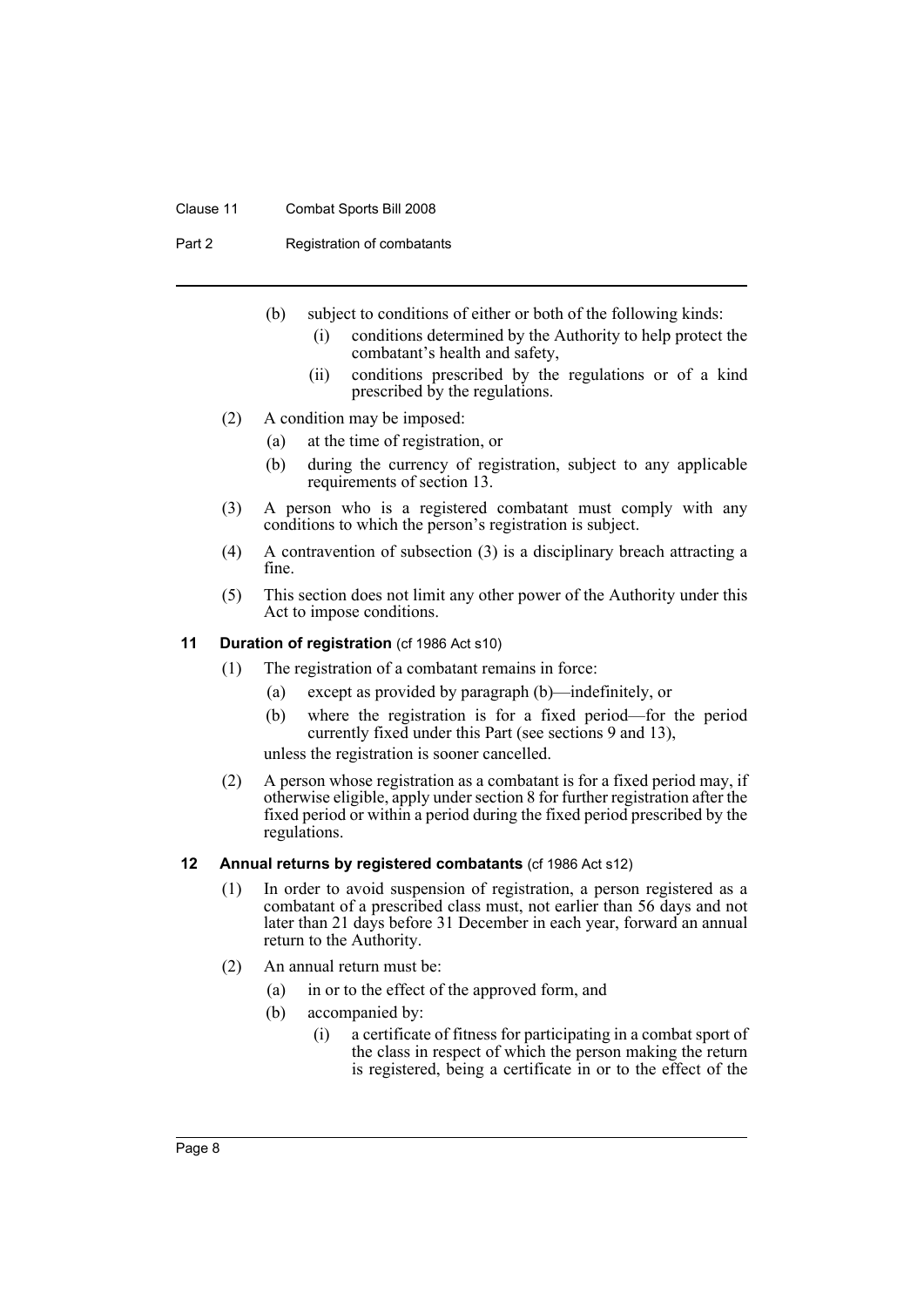### Clause 11 Combat Sports Bill 2008

Part 2 Registration of combatants

- (b) subject to conditions of either or both of the following kinds:
	- (i) conditions determined by the Authority to help protect the combatant's health and safety,
	- (ii) conditions prescribed by the regulations or of a kind prescribed by the regulations.
- (2) A condition may be imposed:
	- (a) at the time of registration, or
	- (b) during the currency of registration, subject to any applicable requirements of section 13.
- (3) A person who is a registered combatant must comply with any conditions to which the person's registration is subject.
- (4) A contravention of subsection (3) is a disciplinary breach attracting a fine.
- (5) This section does not limit any other power of the Authority under this Act to impose conditions.

### <span id="page-11-0"></span>**11 Duration of registration** (cf 1986 Act s10)

- (1) The registration of a combatant remains in force:
	- (a) except as provided by paragraph (b)—indefinitely, or
	- (b) where the registration is for a fixed period—for the period currently fixed under this Part (see sections 9 and 13),

unless the registration is sooner cancelled.

(2) A person whose registration as a combatant is for a fixed period may, if otherwise eligible, apply under section 8 for further registration after the fixed period or within a period during the fixed period prescribed by the regulations.

### <span id="page-11-1"></span>**12 Annual returns by registered combatants** (cf 1986 Act s12)

- (1) In order to avoid suspension of registration, a person registered as a combatant of a prescribed class must, not earlier than 56 days and not later than 21 days before 31 December in each year, forward an annual return to the Authority.
- (2) An annual return must be:
	- (a) in or to the effect of the approved form, and
	- (b) accompanied by:
		- (i) a certificate of fitness for participating in a combat sport of the class in respect of which the person making the return is registered, being a certificate in or to the effect of the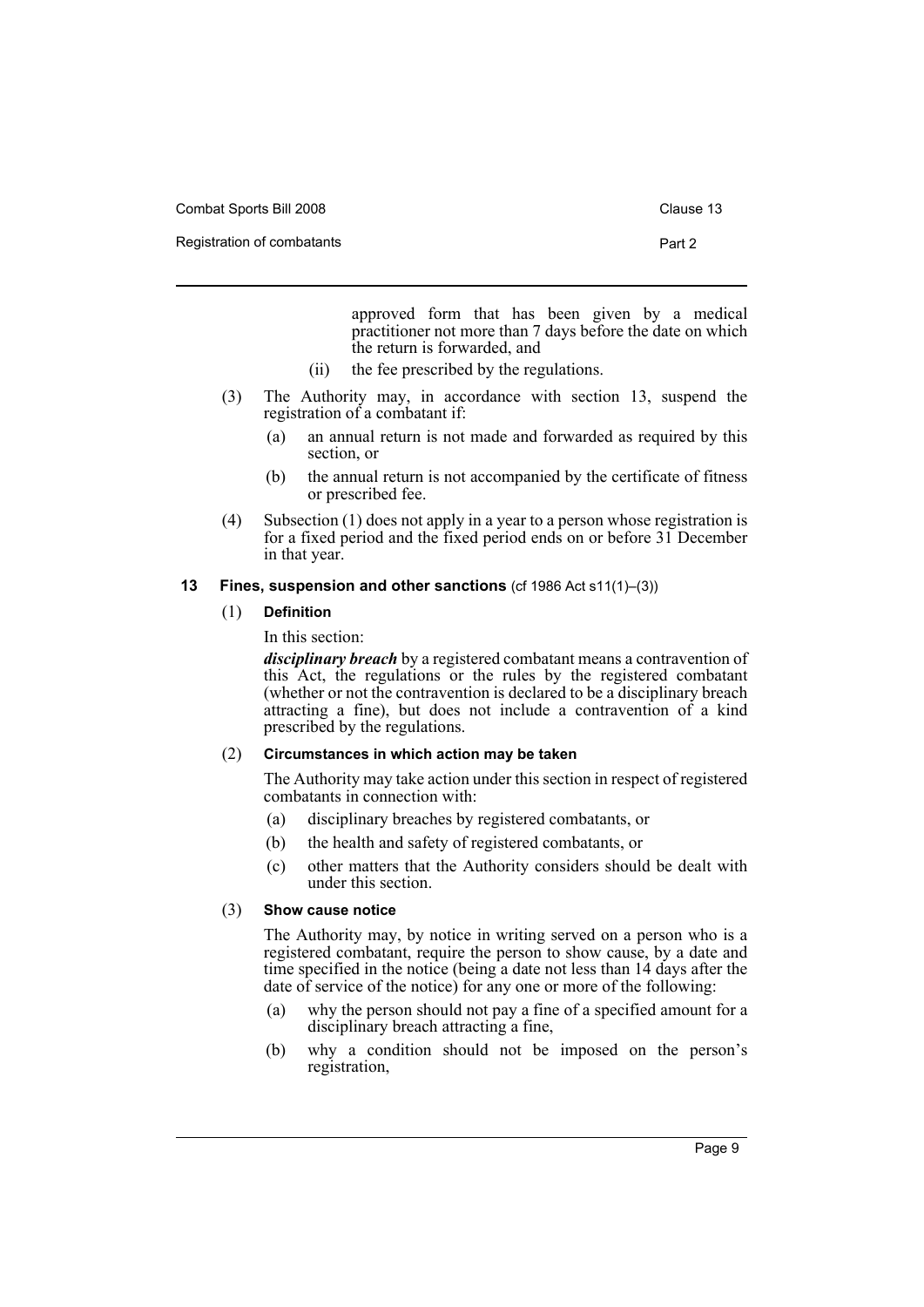Combat Sports Bill 2008 Combat Sports Bill 2008

Registration of combatants **Part 2** 

approved form that has been given by a medical practitioner not more than 7 days before the date on which the return is forwarded, and

- (ii) the fee prescribed by the regulations.
- (3) The Authority may, in accordance with section 13, suspend the registration of a combatant if:
	- (a) an annual return is not made and forwarded as required by this section, or
	- (b) the annual return is not accompanied by the certificate of fitness or prescribed fee.
- (4) Subsection (1) does not apply in a year to a person whose registration is for a fixed period and the fixed period ends on or before 31 December in that year.

### <span id="page-12-0"></span>**13 Fines, suspension and other sanctions** (cf 1986 Act s11(1)–(3))

(1) **Definition**

In this section:

*disciplinary breach* by a registered combatant means a contravention of this Act, the regulations or the rules by the registered combatant (whether or not the contravention is declared to be a disciplinary breach attracting a fine), but does not include a contravention of a kind prescribed by the regulations.

### (2) **Circumstances in which action may be taken**

The Authority may take action under this section in respect of registered combatants in connection with:

- (a) disciplinary breaches by registered combatants, or
- (b) the health and safety of registered combatants, or
- (c) other matters that the Authority considers should be dealt with under this section.

### (3) **Show cause notice**

The Authority may, by notice in writing served on a person who is a registered combatant, require the person to show cause, by a date and time specified in the notice (being a date not less than 14 days after the date of service of the notice) for any one or more of the following:

- (a) why the person should not pay a fine of a specified amount for a disciplinary breach attracting a fine,
- (b) why a condition should not be imposed on the person's registration,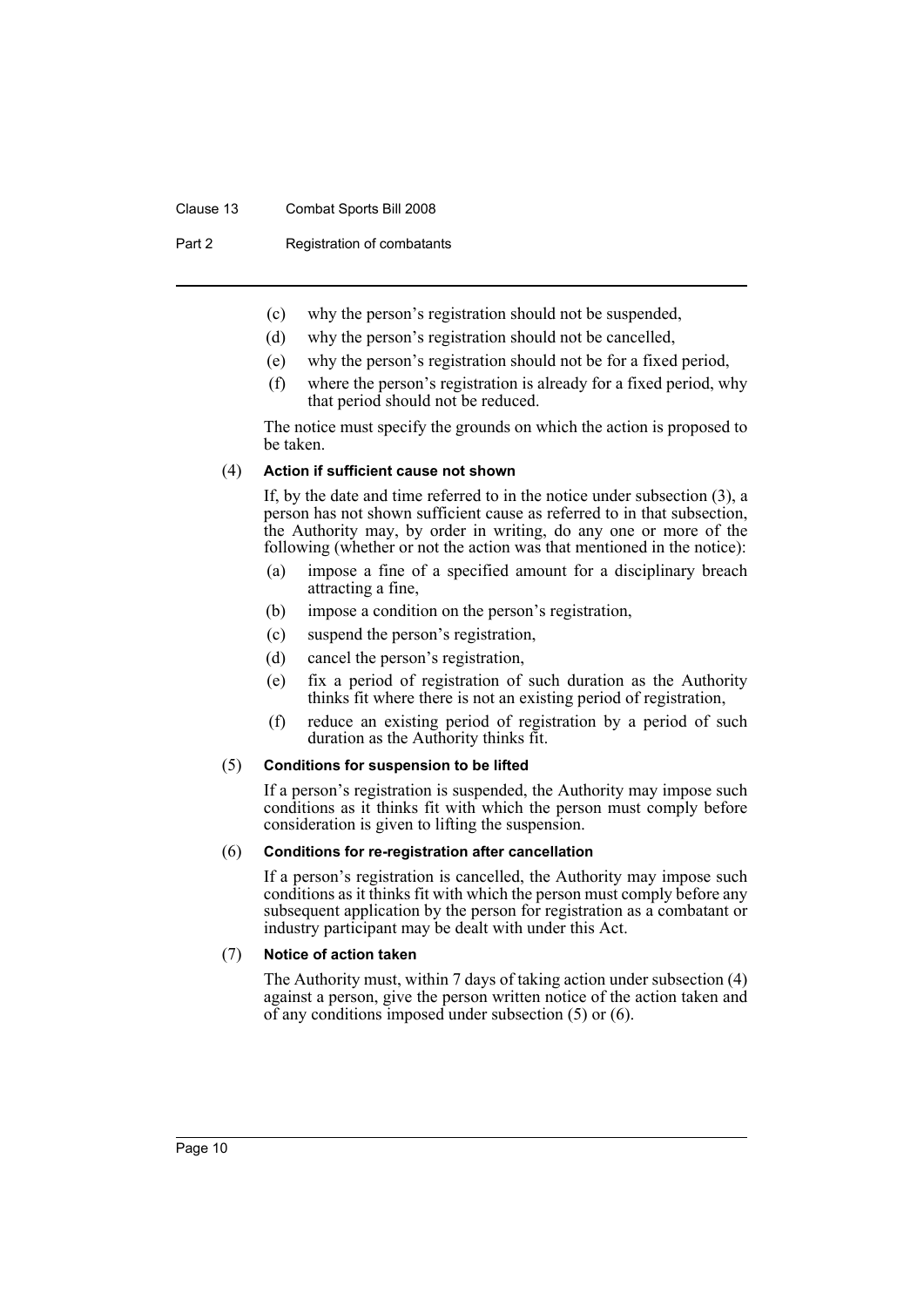### Clause 13 Combat Sports Bill 2008

Part 2 Registration of combatants

- (c) why the person's registration should not be suspended,
- (d) why the person's registration should not be cancelled,
- (e) why the person's registration should not be for a fixed period,
- (f) where the person's registration is already for a fixed period, why that period should not be reduced.

The notice must specify the grounds on which the action is proposed to be taken.

### (4) **Action if sufficient cause not shown**

If, by the date and time referred to in the notice under subsection (3), a person has not shown sufficient cause as referred to in that subsection, the Authority may, by order in writing, do any one or more of the following (whether or not the action was that mentioned in the notice):

- (a) impose a fine of a specified amount for a disciplinary breach attracting a fine,
- (b) impose a condition on the person's registration,
- (c) suspend the person's registration,
- (d) cancel the person's registration,
- (e) fix a period of registration of such duration as the Authority thinks fit where there is not an existing period of registration,
- (f) reduce an existing period of registration by a period of such duration as the Authority thinks fit.

#### (5) **Conditions for suspension to be lifted**

If a person's registration is suspended, the Authority may impose such conditions as it thinks fit with which the person must comply before consideration is given to lifting the suspension.

#### (6) **Conditions for re-registration after cancellation**

If a person's registration is cancelled, the Authority may impose such conditions as it thinks fit with which the person must comply before any subsequent application by the person for registration as a combatant or industry participant may be dealt with under this Act.

### (7) **Notice of action taken**

The Authority must, within 7 days of taking action under subsection (4) against a person, give the person written notice of the action taken and of any conditions imposed under subsection (5) or (6).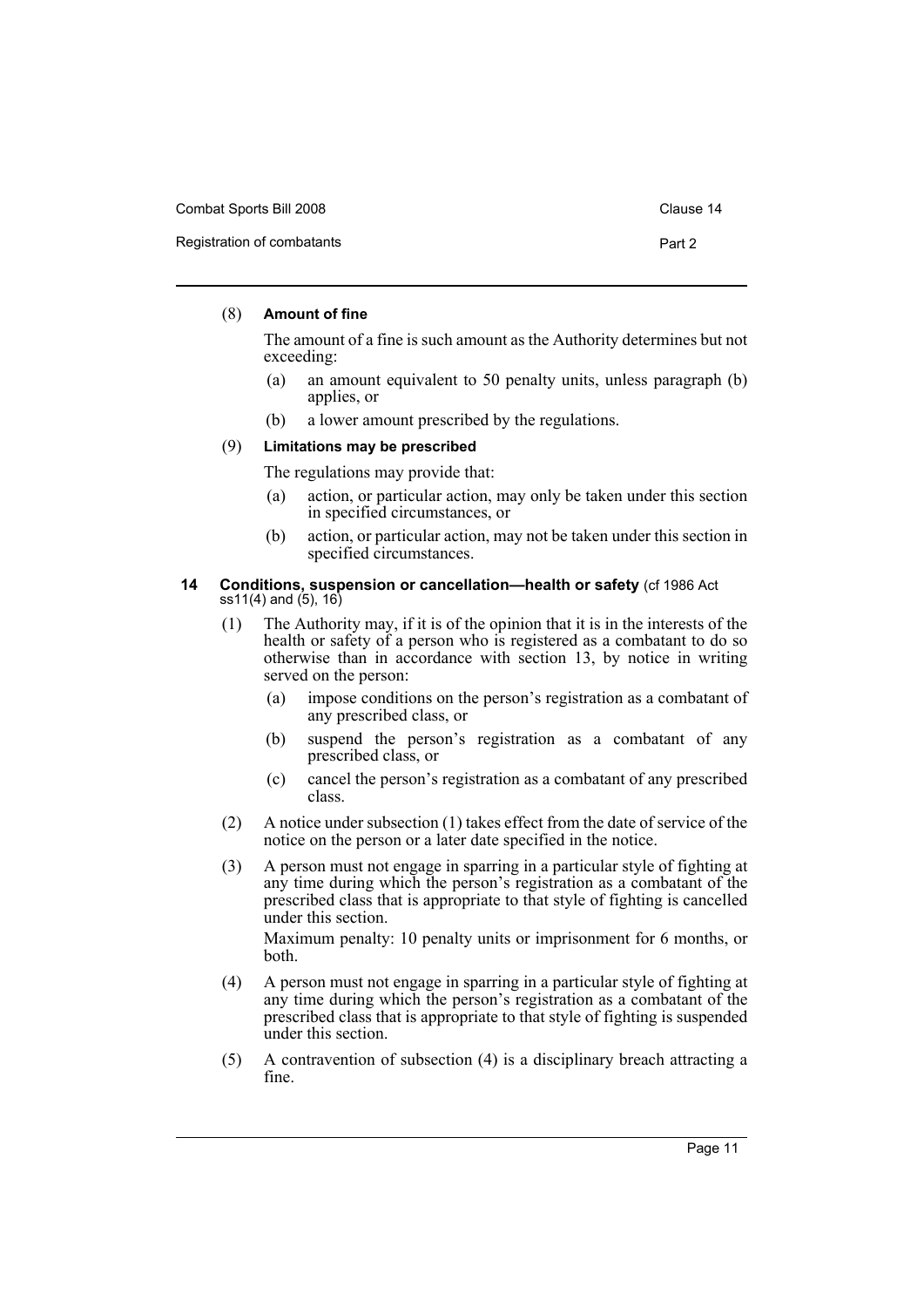| Combat Sports Bill 2008    | Clause 14 |
|----------------------------|-----------|
| Registration of combatants | Part 2    |

### (8) **Amount of fine**

The amount of a fine is such amount as the Authority determines but not exceeding:

- (a) an amount equivalent to 50 penalty units, unless paragraph (b) applies, or
- (b) a lower amount prescribed by the regulations.

### (9) **Limitations may be prescribed**

The regulations may provide that:

- (a) action, or particular action, may only be taken under this section in specified circumstances, or
- (b) action, or particular action, may not be taken under this section in specified circumstances.

### <span id="page-14-0"></span>**14 Conditions, suspension or cancellation—health or safety** (cf 1986 Act ss11(4) and (5), 16)

- (1) The Authority may, if it is of the opinion that it is in the interests of the health or safety of a person who is registered as a combatant to do so otherwise than in accordance with section 13, by notice in writing served on the person:
	- (a) impose conditions on the person's registration as a combatant of any prescribed class, or
	- (b) suspend the person's registration as a combatant of any prescribed class, or
	- (c) cancel the person's registration as a combatant of any prescribed class.
- (2) A notice under subsection (1) takes effect from the date of service of the notice on the person or a later date specified in the notice.
- (3) A person must not engage in sparring in a particular style of fighting at any time during which the person's registration as a combatant of the prescribed class that is appropriate to that style of fighting is cancelled under this section.

Maximum penalty: 10 penalty units or imprisonment for 6 months, or both.

- (4) A person must not engage in sparring in a particular style of fighting at any time during which the person's registration as a combatant of the prescribed class that is appropriate to that style of fighting is suspended under this section.
- (5) A contravention of subsection (4) is a disciplinary breach attracting a fine.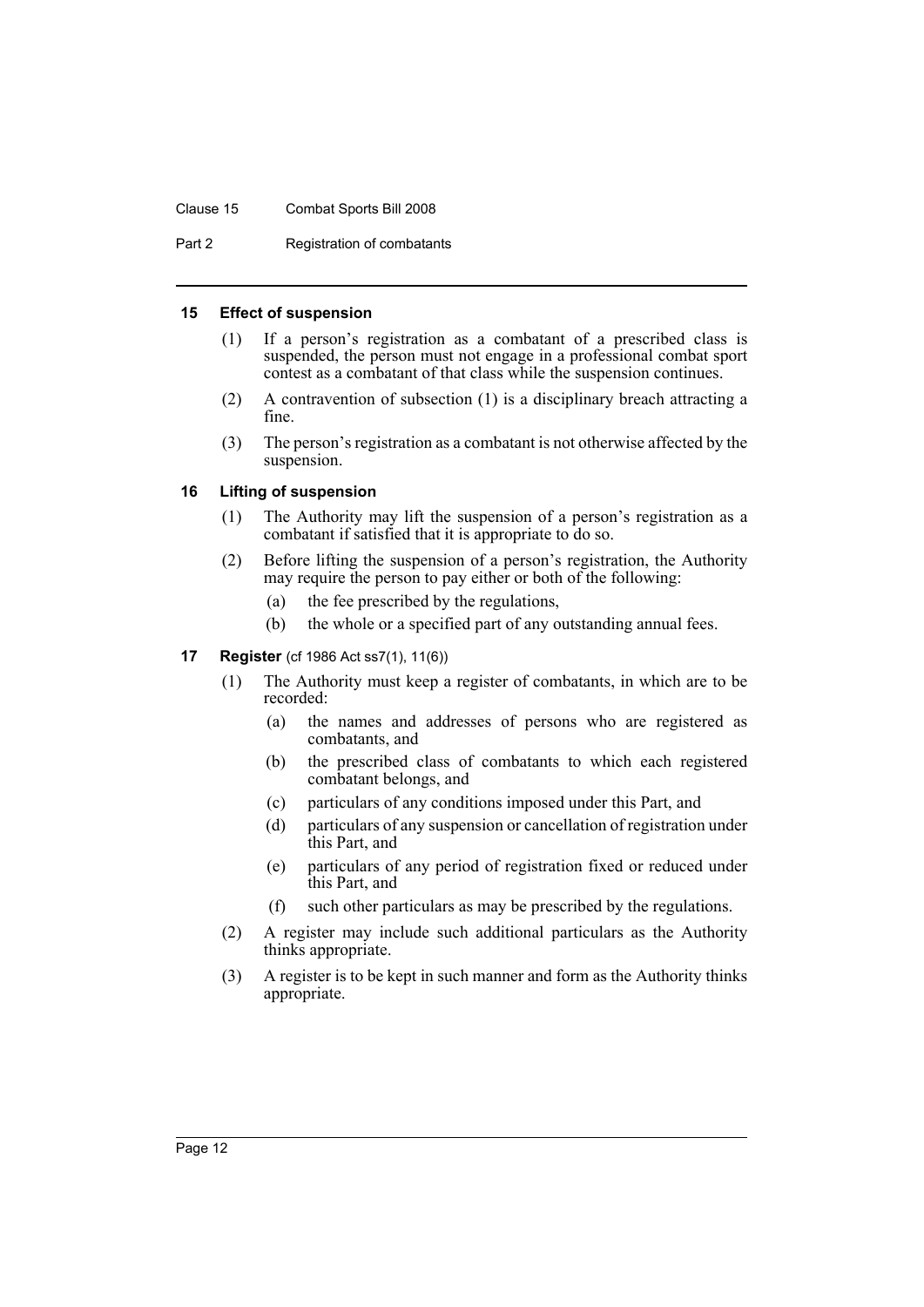Clause 15 Combat Sports Bill 2008

Part 2 Registration of combatants

### <span id="page-15-0"></span>**15 Effect of suspension**

- (1) If a person's registration as a combatant of a prescribed class is suspended, the person must not engage in a professional combat sport contest as a combatant of that class while the suspension continues.
- (2) A contravention of subsection (1) is a disciplinary breach attracting a fine.
- (3) The person's registration as a combatant is not otherwise affected by the suspension.

### <span id="page-15-1"></span>**16 Lifting of suspension**

- (1) The Authority may lift the suspension of a person's registration as a combatant if satisfied that it is appropriate to do so.
- (2) Before lifting the suspension of a person's registration, the Authority may require the person to pay either or both of the following:
	- (a) the fee prescribed by the regulations,
	- (b) the whole or a specified part of any outstanding annual fees.
- <span id="page-15-2"></span>**17 Register** (cf 1986 Act ss7(1), 11(6))
	- (1) The Authority must keep a register of combatants, in which are to be recorded:
		- (a) the names and addresses of persons who are registered as combatants, and
		- (b) the prescribed class of combatants to which each registered combatant belongs, and
		- (c) particulars of any conditions imposed under this Part, and
		- (d) particulars of any suspension or cancellation of registration under this Part, and
		- (e) particulars of any period of registration fixed or reduced under this Part, and
		- (f) such other particulars as may be prescribed by the regulations.
	- (2) A register may include such additional particulars as the Authority thinks appropriate.
	- (3) A register is to be kept in such manner and form as the Authority thinks appropriate.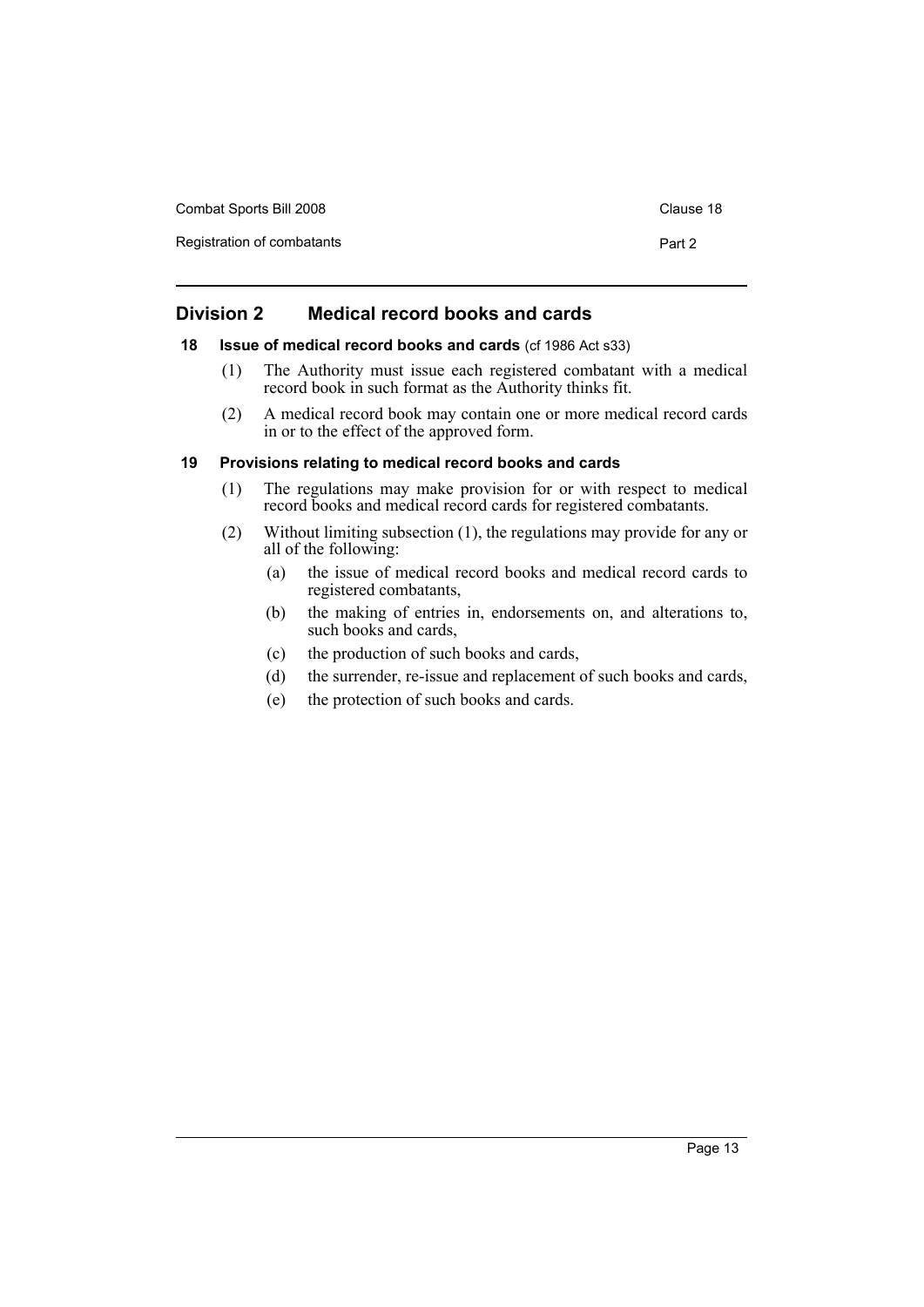| Combat Sports Bill 2008    | Clause 18 |
|----------------------------|-----------|
| Registration of combatants | Part 2    |

### <span id="page-16-0"></span>**Division 2 Medical record books and cards**

### <span id="page-16-1"></span>**18 Issue of medical record books and cards** (cf 1986 Act s33)

- (1) The Authority must issue each registered combatant with a medical record book in such format as the Authority thinks fit.
- (2) A medical record book may contain one or more medical record cards in or to the effect of the approved form.

### <span id="page-16-2"></span>**19 Provisions relating to medical record books and cards**

- (1) The regulations may make provision for or with respect to medical record books and medical record cards for registered combatants.
- (2) Without limiting subsection (1), the regulations may provide for any or all of the following:
	- (a) the issue of medical record books and medical record cards to registered combatants,
	- (b) the making of entries in, endorsements on, and alterations to, such books and cards,
	- (c) the production of such books and cards,
	- (d) the surrender, re-issue and replacement of such books and cards,
	- (e) the protection of such books and cards.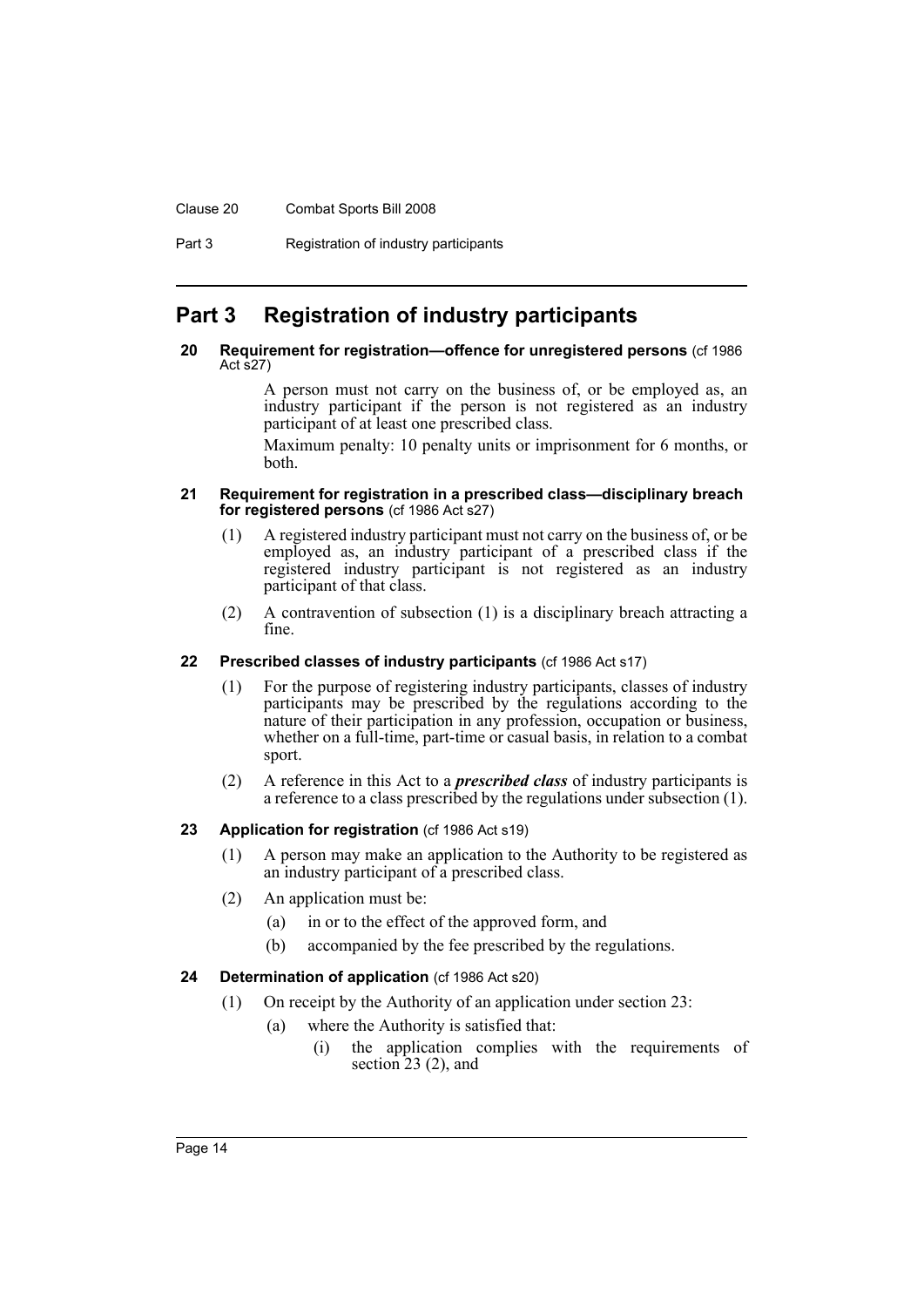### Clause 20 Combat Sports Bill 2008

Part 3 Registration of industry participants

# <span id="page-17-0"></span>**Part 3 Registration of industry participants**

### <span id="page-17-1"></span>**20 Requirement for registration—offence for unregistered persons** (cf 1986 Act s27)

A person must not carry on the business of, or be employed as, an industry participant if the person is not registered as an industry participant of at least one prescribed class.

Maximum penalty: 10 penalty units or imprisonment for 6 months, or both.

#### <span id="page-17-2"></span>**21 Requirement for registration in a prescribed class—disciplinary breach for registered persons** (cf 1986 Act s27)

- (1) A registered industry participant must not carry on the business of, or be employed as, an industry participant of a prescribed class if the registered industry participant is not registered as an industry participant of that class.
- (2) A contravention of subsection (1) is a disciplinary breach attracting a fine.

### <span id="page-17-3"></span>**22 Prescribed classes of industry participants** (cf 1986 Act s17)

- (1) For the purpose of registering industry participants, classes of industry participants may be prescribed by the regulations according to the nature of their participation in any profession, occupation or business, whether on a full-time, part-time or casual basis, in relation to a combat sport.
- (2) A reference in this Act to a *prescribed class* of industry participants is a reference to a class prescribed by the regulations under subsection (1).

### <span id="page-17-4"></span>**23 Application for registration** (cf 1986 Act s19)

- (1) A person may make an application to the Authority to be registered as an industry participant of a prescribed class.
- (2) An application must be:
	- (a) in or to the effect of the approved form, and
	- (b) accompanied by the fee prescribed by the regulations.

### <span id="page-17-5"></span>**24 Determination of application** (cf 1986 Act s20)

- (1) On receipt by the Authority of an application under section 23:
	- (a) where the Authority is satisfied that:
		- (i) the application complies with the requirements of section  $23$  (2), and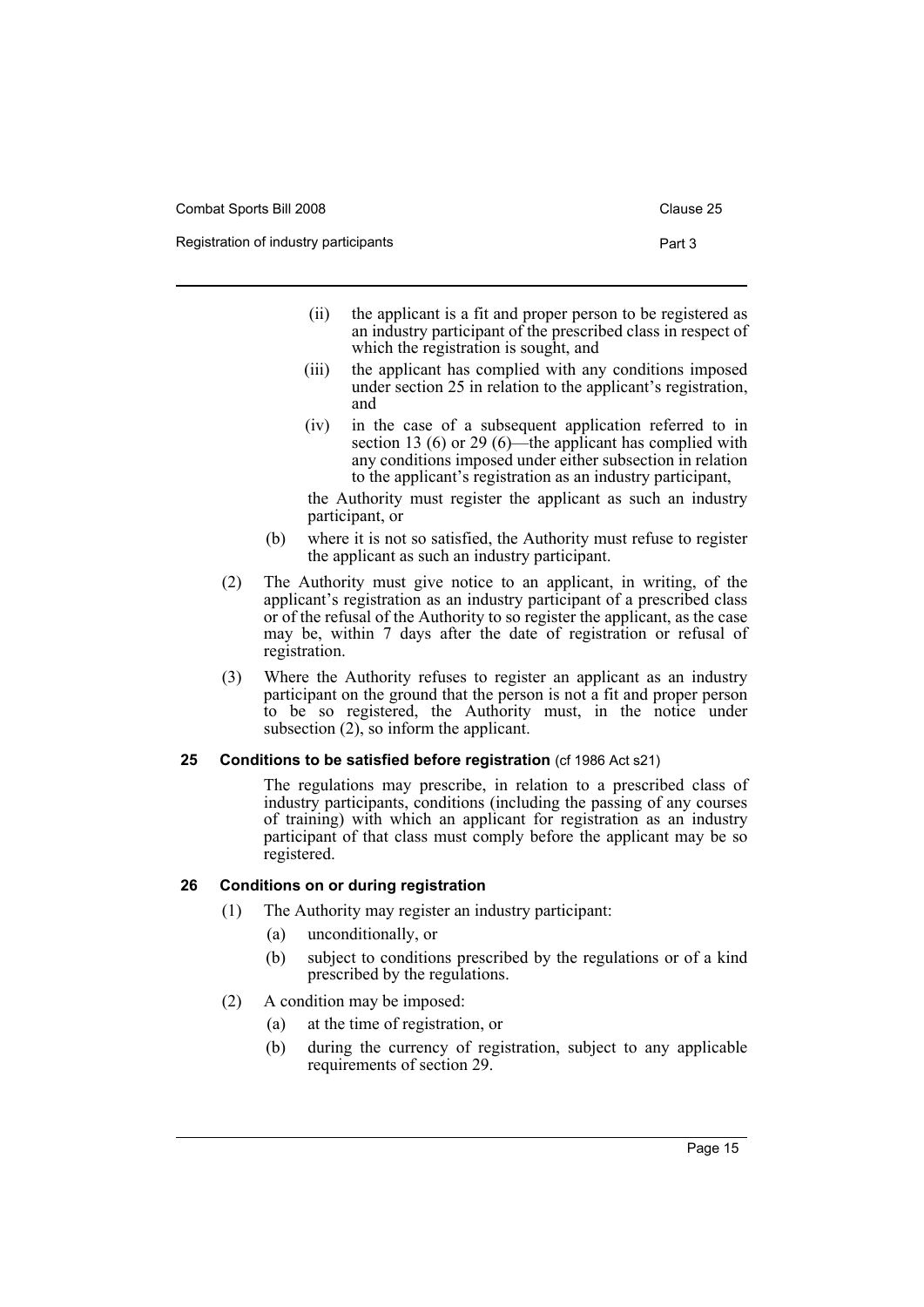Combat Sports Bill 2008 Combat Sports Bill 2008

- Registration of industry participants **Part 3** Part 3
- - (ii) the applicant is a fit and proper person to be registered as an industry participant of the prescribed class in respect of which the registration is sought, and
	- (iii) the applicant has complied with any conditions imposed under section 25 in relation to the applicant's registration, and
	- (iv) in the case of a subsequent application referred to in section 13 (6) or 29 (6)—the applicant has complied with any conditions imposed under either subsection in relation to the applicant's registration as an industry participant,

the Authority must register the applicant as such an industry participant, or

- (b) where it is not so satisfied, the Authority must refuse to register the applicant as such an industry participant.
- (2) The Authority must give notice to an applicant, in writing, of the applicant's registration as an industry participant of a prescribed class or of the refusal of the Authority to so register the applicant, as the case may be, within 7 days after the date of registration or refusal of registration.
- (3) Where the Authority refuses to register an applicant as an industry participant on the ground that the person is not a fit and proper person to be so registered, the Authority must, in the notice under subsection  $(2)$ , so inform the applicant.

### <span id="page-18-0"></span>**25 Conditions to be satisfied before registration** (cf 1986 Act s21)

The regulations may prescribe, in relation to a prescribed class of industry participants, conditions (including the passing of any courses of training) with which an applicant for registration as an industry participant of that class must comply before the applicant may be so registered.

### <span id="page-18-1"></span>**26 Conditions on or during registration**

- (1) The Authority may register an industry participant:
	- (a) unconditionally, or
	- (b) subject to conditions prescribed by the regulations or of a kind prescribed by the regulations.
- (2) A condition may be imposed:
	- (a) at the time of registration, or
	- (b) during the currency of registration, subject to any applicable requirements of section 29.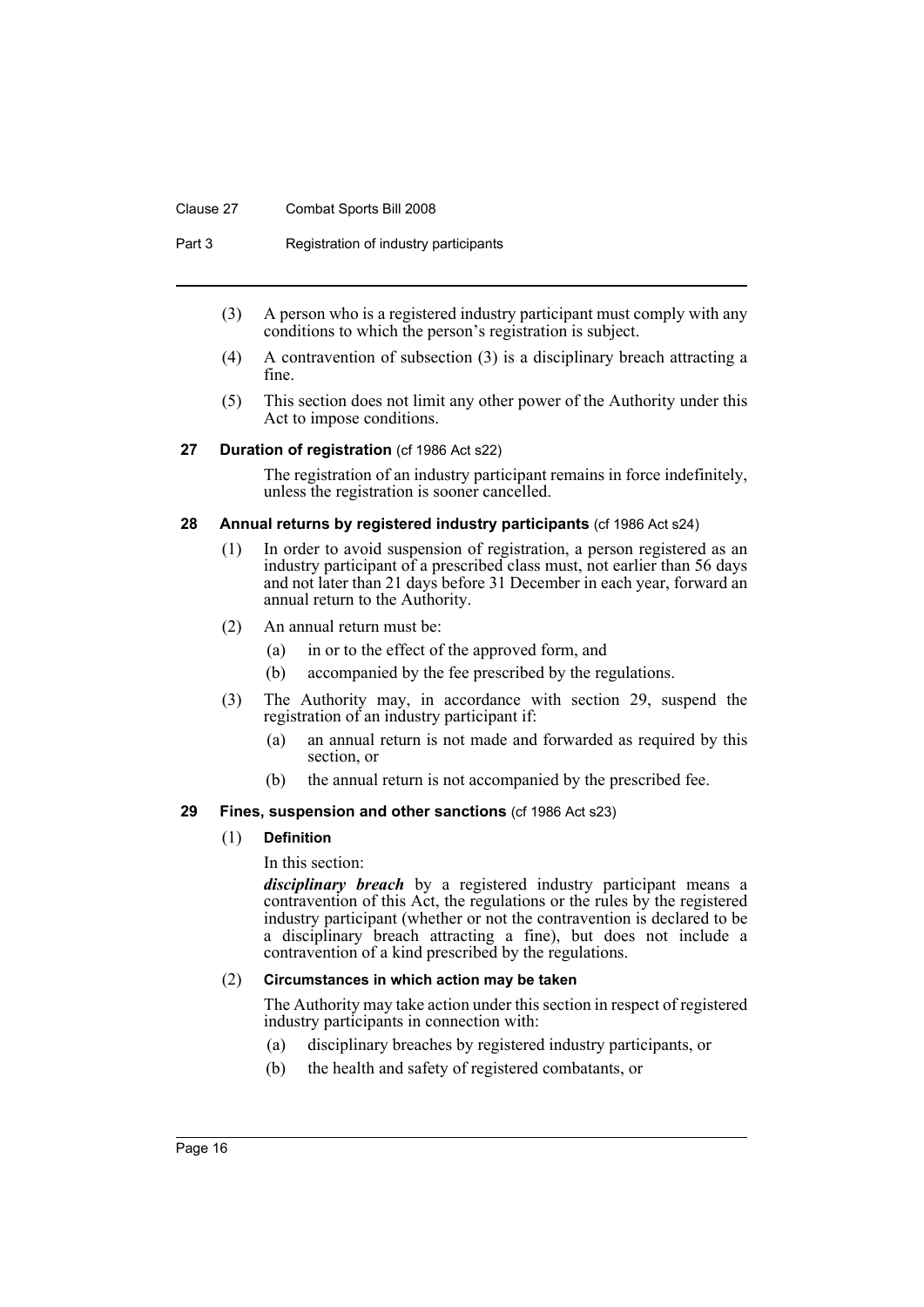### Clause 27 Combat Sports Bill 2008

Part 3 Registration of industry participants

- (3) A person who is a registered industry participant must comply with any conditions to which the person's registration is subject.
- (4) A contravention of subsection (3) is a disciplinary breach attracting a fine.
- (5) This section does not limit any other power of the Authority under this Act to impose conditions.

#### <span id="page-19-0"></span>**27 Duration of registration** (cf 1986 Act s22)

The registration of an industry participant remains in force indefinitely, unless the registration is sooner cancelled.

### <span id="page-19-1"></span>**28 Annual returns by registered industry participants** (cf 1986 Act s24)

- (1) In order to avoid suspension of registration, a person registered as an industry participant of a prescribed class must, not earlier than 56 days and not later than 21 days before 31 December in each year, forward an annual return to the Authority.
- (2) An annual return must be:
	- (a) in or to the effect of the approved form, and
	- (b) accompanied by the fee prescribed by the regulations.
- (3) The Authority may, in accordance with section 29, suspend the registration of an industry participant if:
	- (a) an annual return is not made and forwarded as required by this section, or
	- (b) the annual return is not accompanied by the prescribed fee.

#### <span id="page-19-2"></span>**29 Fines, suspension and other sanctions** (cf 1986 Act s23)

#### (1) **Definition**

In this section:

*disciplinary breach* by a registered industry participant means a contravention of this Act, the regulations or the rules by the registered industry participant (whether or not the contravention is declared to be a disciplinary breach attracting a fine), but does not include a contravention of a kind prescribed by the regulations.

#### (2) **Circumstances in which action may be taken**

The Authority may take action under this section in respect of registered industry participants in connection with:

- (a) disciplinary breaches by registered industry participants, or
- (b) the health and safety of registered combatants, or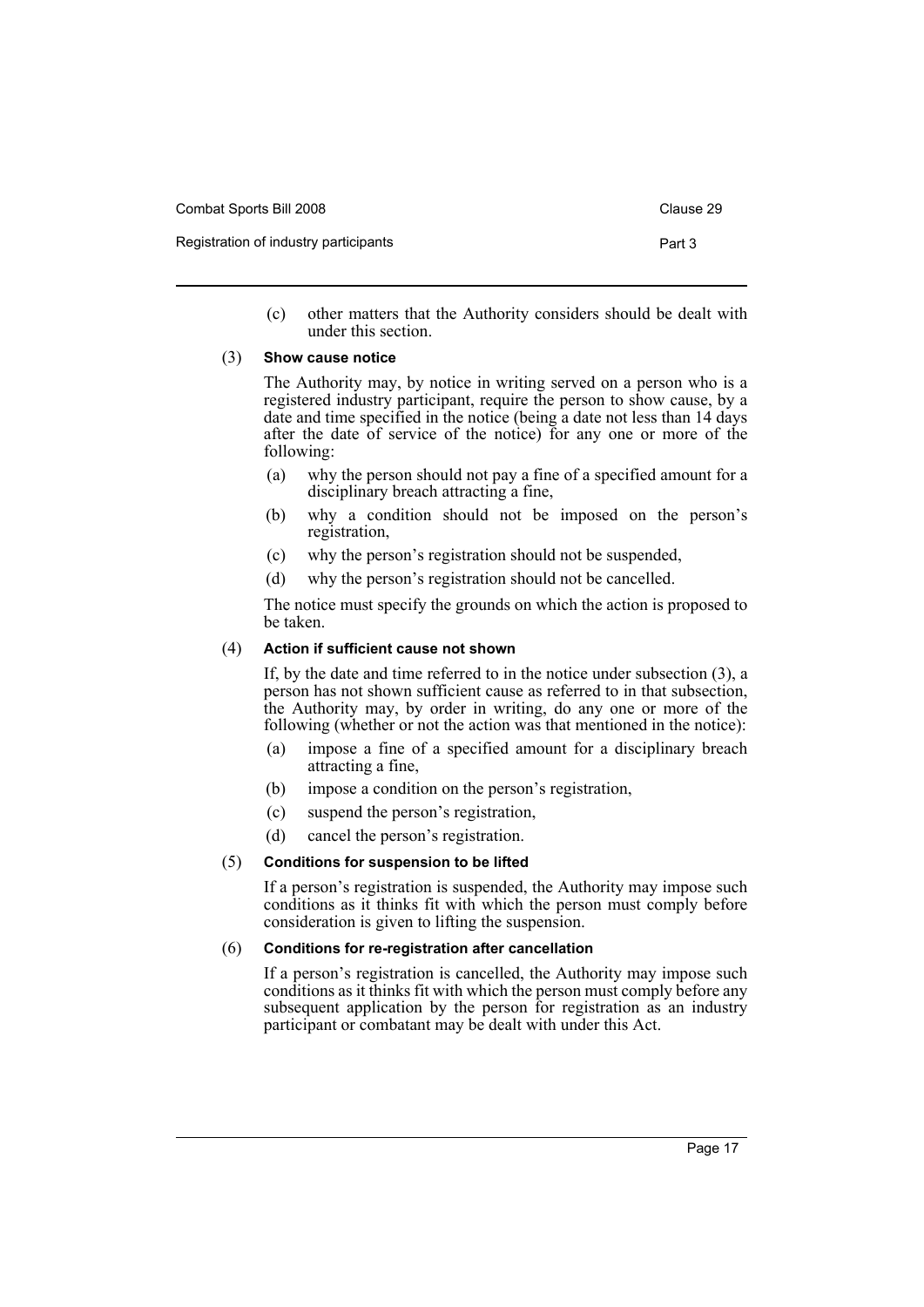| Combat Sports Bill 2008               | Clause 29 |
|---------------------------------------|-----------|
| Registration of industry participants | Part 3    |

(c) other matters that the Authority considers should be dealt with under this section.

### (3) **Show cause notice**

The Authority may, by notice in writing served on a person who is a registered industry participant, require the person to show cause, by a date and time specified in the notice (being a date not less than 14 days after the date of service of the notice) for any one or more of the following:

- (a) why the person should not pay a fine of a specified amount for a disciplinary breach attracting a fine,
- (b) why a condition should not be imposed on the person's registration,
- (c) why the person's registration should not be suspended,
- (d) why the person's registration should not be cancelled.

The notice must specify the grounds on which the action is proposed to be taken.

### (4) **Action if sufficient cause not shown**

If, by the date and time referred to in the notice under subsection (3), a person has not shown sufficient cause as referred to in that subsection, the Authority may, by order in writing, do any one or more of the following (whether or not the action was that mentioned in the notice):

- (a) impose a fine of a specified amount for a disciplinary breach attracting a fine,
- (b) impose a condition on the person's registration,
- (c) suspend the person's registration,
- (d) cancel the person's registration.

### (5) **Conditions for suspension to be lifted**

If a person's registration is suspended, the Authority may impose such conditions as it thinks fit with which the person must comply before consideration is given to lifting the suspension.

### (6) **Conditions for re-registration after cancellation**

If a person's registration is cancelled, the Authority may impose such conditions as it thinks fit with which the person must comply before any subsequent application by the person for registration as an industry participant or combatant may be dealt with under this Act.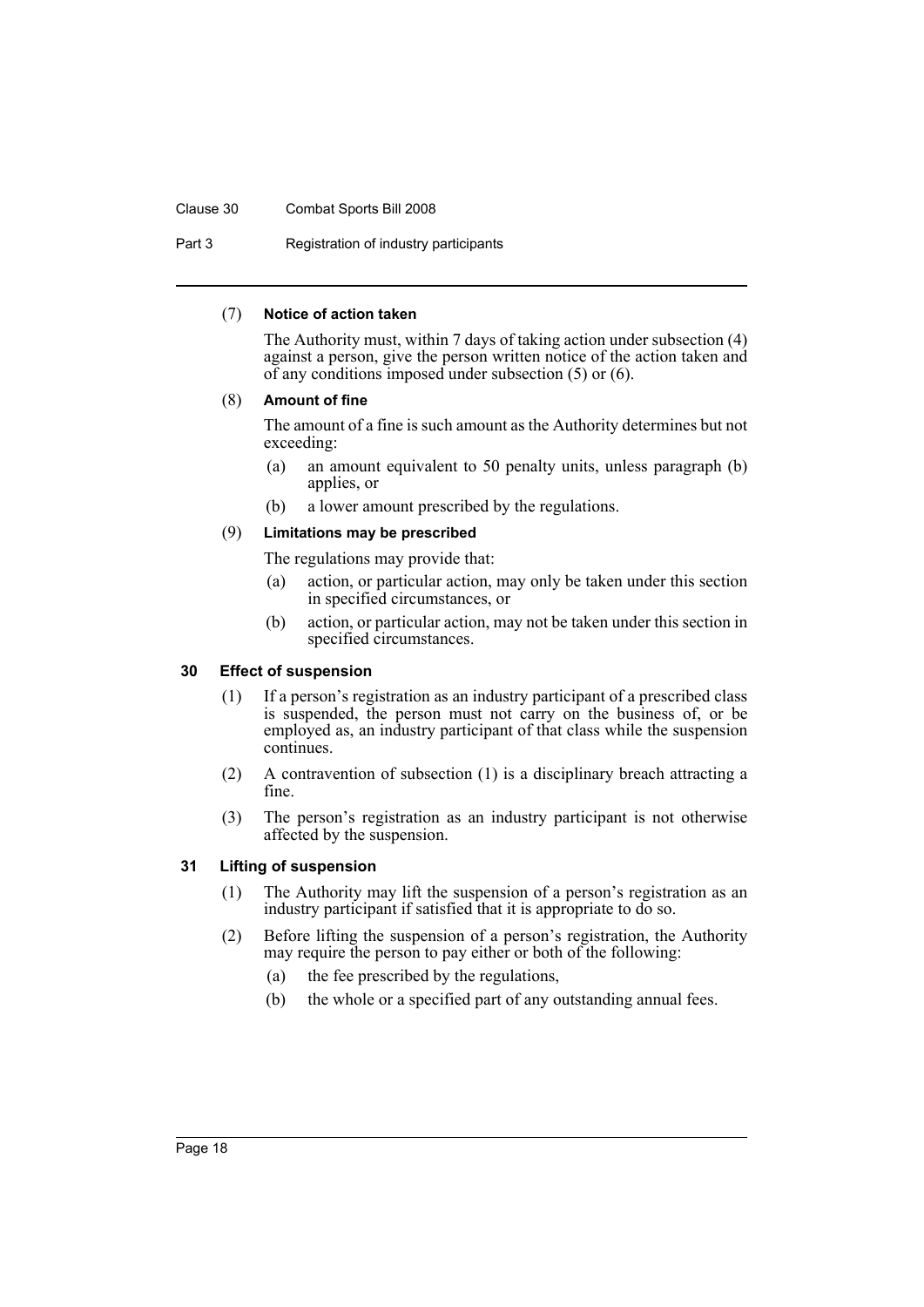### Clause 30 Combat Sports Bill 2008

Part 3 Registration of industry participants

### (7) **Notice of action taken**

The Authority must, within 7 days of taking action under subsection (4) against a person, give the person written notice of the action taken and of any conditions imposed under subsection (5) or (6).

### (8) **Amount of fine**

The amount of a fine is such amount as the Authority determines but not exceeding:

- (a) an amount equivalent to 50 penalty units, unless paragraph (b) applies, or
- (b) a lower amount prescribed by the regulations.

### (9) **Limitations may be prescribed**

The regulations may provide that:

- (a) action, or particular action, may only be taken under this section in specified circumstances, or
- (b) action, or particular action, may not be taken under this section in specified circumstances.

### <span id="page-21-0"></span>**30 Effect of suspension**

- (1) If a person's registration as an industry participant of a prescribed class is suspended, the person must not carry on the business of, or be employed as, an industry participant of that class while the suspension continues.
- (2) A contravention of subsection (1) is a disciplinary breach attracting a fine.
- (3) The person's registration as an industry participant is not otherwise affected by the suspension.

### <span id="page-21-1"></span>**31 Lifting of suspension**

- (1) The Authority may lift the suspension of a person's registration as an industry participant if satisfied that it is appropriate to do so.
- (2) Before lifting the suspension of a person's registration, the Authority may require the person to pay either or both of the following:
	- (a) the fee prescribed by the regulations,
	- (b) the whole or a specified part of any outstanding annual fees.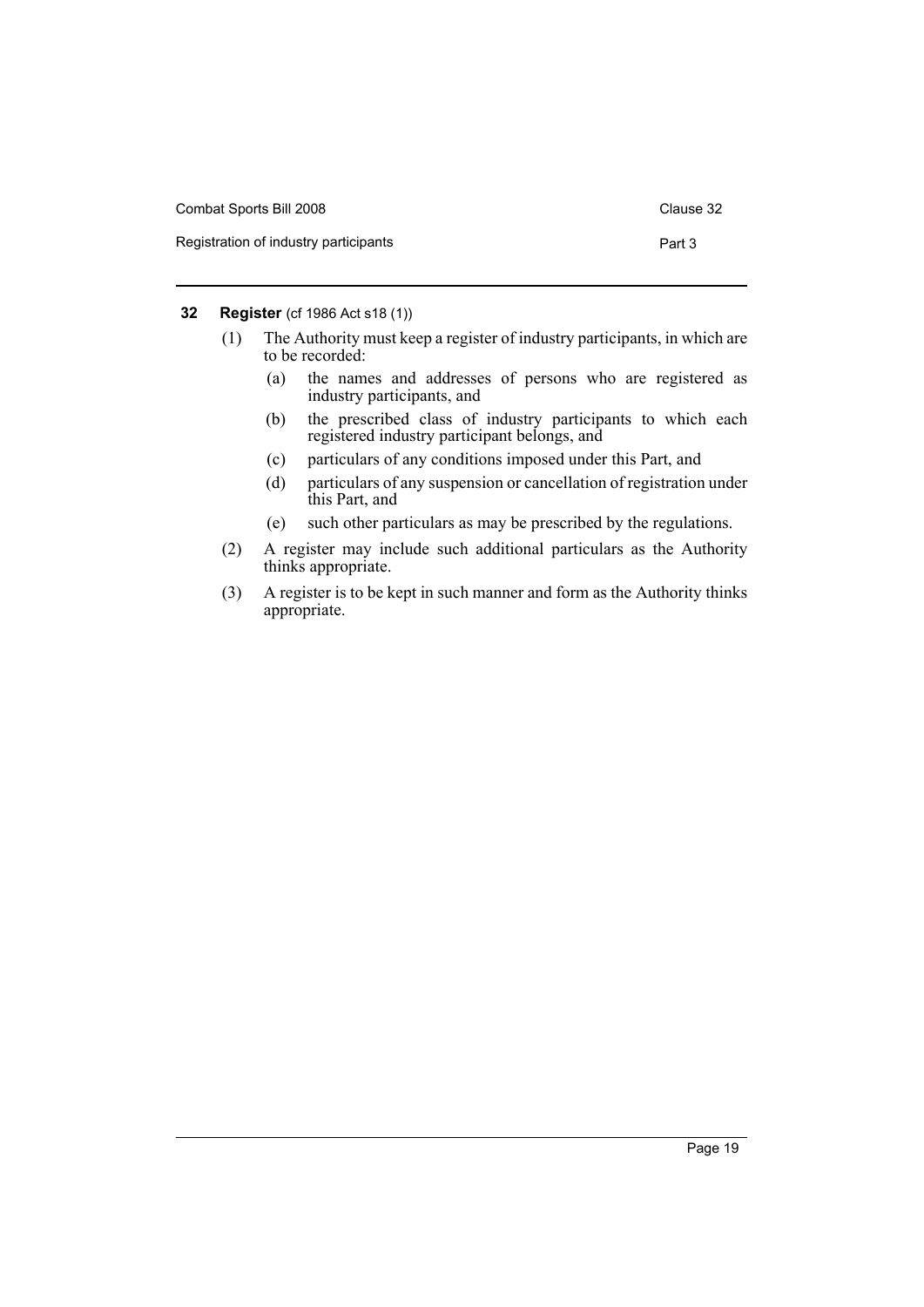| Combat Sports Bill 2008               | Clause 32 |
|---------------------------------------|-----------|
| Registration of industry participants | Part 3    |

### <span id="page-22-0"></span>**32 Register** (cf 1986 Act s18 (1))

- (1) The Authority must keep a register of industry participants, in which are to be recorded:
	- (a) the names and addresses of persons who are registered as industry participants, and
	- (b) the prescribed class of industry participants to which each registered industry participant belongs, and
	- (c) particulars of any conditions imposed under this Part, and
	- (d) particulars of any suspension or cancellation of registration under this Part, and
	- (e) such other particulars as may be prescribed by the regulations.
- (2) A register may include such additional particulars as the Authority thinks appropriate.
- (3) A register is to be kept in such manner and form as the Authority thinks appropriate.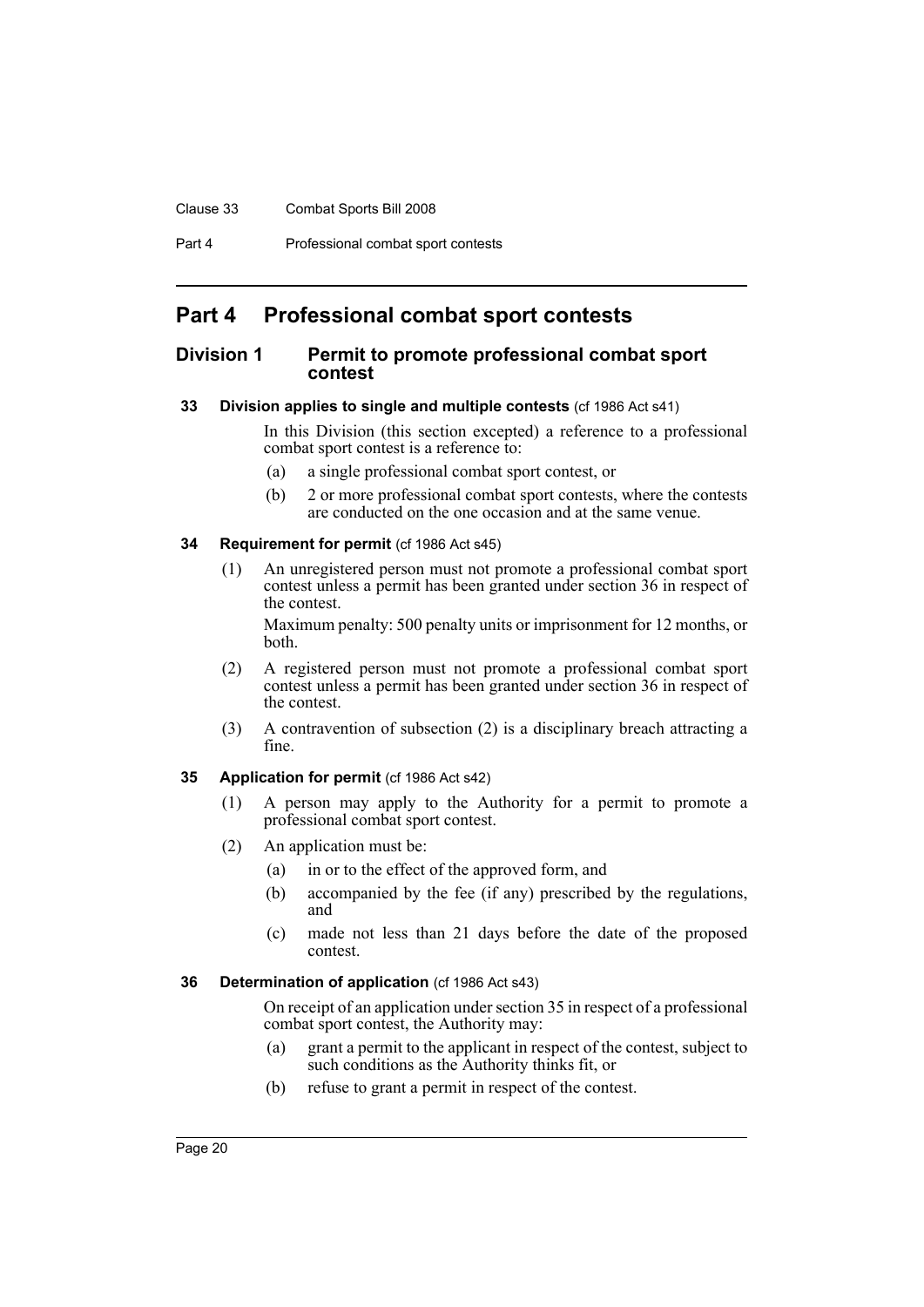#### Clause 33 Combat Sports Bill 2008

Part 4 Professional combat sport contests

# <span id="page-23-0"></span>**Part 4 Professional combat sport contests**

### <span id="page-23-1"></span>**Division 1 Permit to promote professional combat sport contest**

### <span id="page-23-2"></span>**33 Division applies to single and multiple contests** (cf 1986 Act s41)

In this Division (this section excepted) a reference to a professional combat sport contest is a reference to:

- (a) a single professional combat sport contest, or
- (b) 2 or more professional combat sport contests, where the contests are conducted on the one occasion and at the same venue.

### <span id="page-23-3"></span>**34 Requirement for permit** (cf 1986 Act s45)

(1) An unregistered person must not promote a professional combat sport contest unless a permit has been granted under section 36 in respect of the contest.

Maximum penalty: 500 penalty units or imprisonment for 12 months, or both.

- (2) A registered person must not promote a professional combat sport contest unless a permit has been granted under section 36 in respect of the contest.
- (3) A contravention of subsection (2) is a disciplinary breach attracting a fine.

### <span id="page-23-4"></span>**35 Application for permit** (cf 1986 Act s42)

- (1) A person may apply to the Authority for a permit to promote a professional combat sport contest.
- (2) An application must be:
	- (a) in or to the effect of the approved form, and
	- (b) accompanied by the fee (if any) prescribed by the regulations, and
	- (c) made not less than 21 days before the date of the proposed contest.

### <span id="page-23-5"></span>**36 Determination of application** (cf 1986 Act s43)

On receipt of an application under section 35 in respect of a professional combat sport contest, the Authority may:

- (a) grant a permit to the applicant in respect of the contest, subject to such conditions as the Authority thinks fit, or
- (b) refuse to grant a permit in respect of the contest.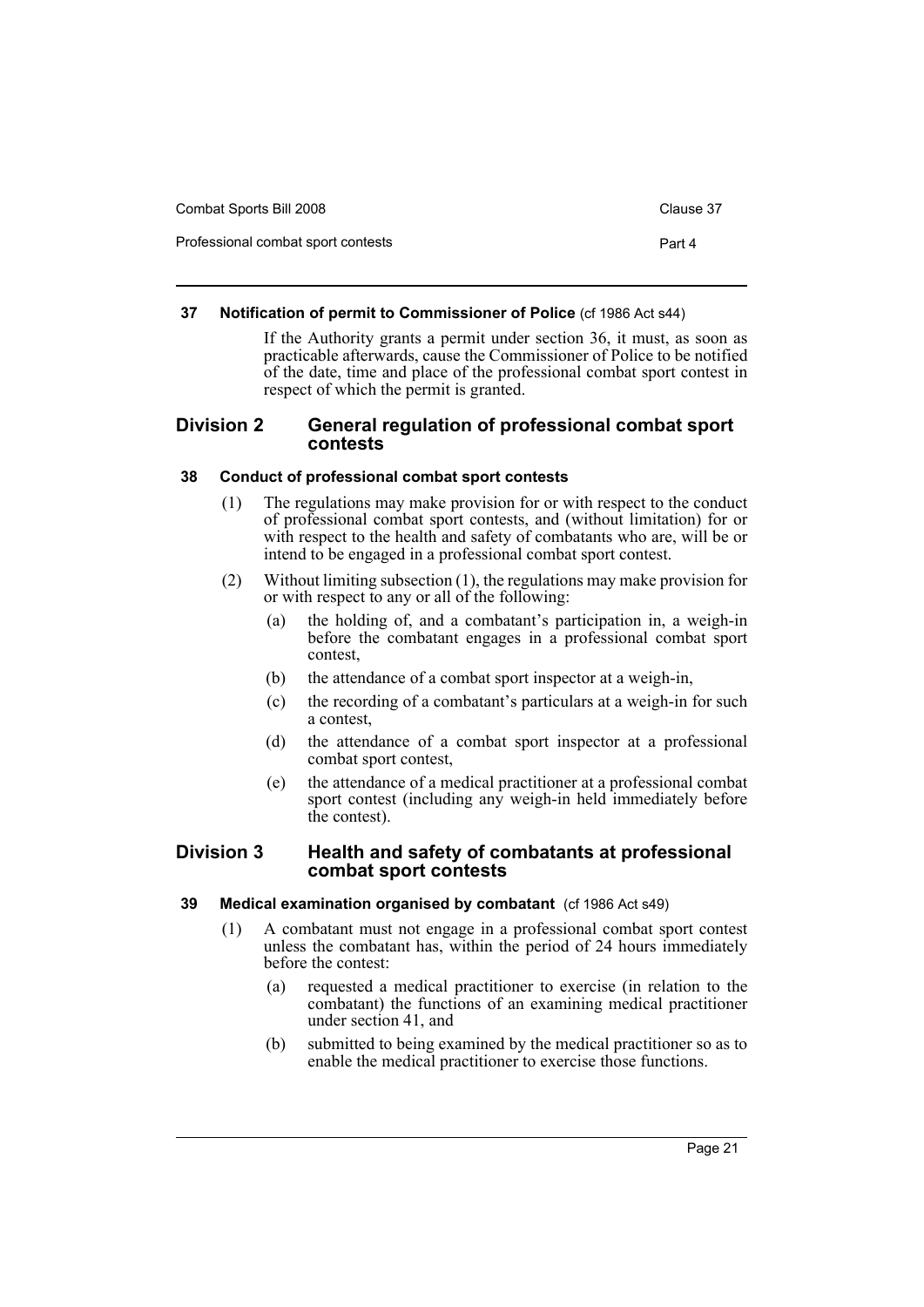| Combat Sports Bill 2008            | Clause 37 |
|------------------------------------|-----------|
| Professional combat sport contests | Part 4    |

### <span id="page-24-0"></span>**37 Notification of permit to Commissioner of Police** (cf 1986 Act s44)

If the Authority grants a permit under section 36, it must, as soon as practicable afterwards, cause the Commissioner of Police to be notified of the date, time and place of the professional combat sport contest in respect of which the permit is granted.

### <span id="page-24-1"></span>**Division 2 General regulation of professional combat sport contests**

### <span id="page-24-2"></span>**38 Conduct of professional combat sport contests**

- (1) The regulations may make provision for or with respect to the conduct of professional combat sport contests, and (without limitation) for or with respect to the health and safety of combatants who are, will be or intend to be engaged in a professional combat sport contest.
- (2) Without limiting subsection (1), the regulations may make provision for or with respect to any or all of the following:
	- (a) the holding of, and a combatant's participation in, a weigh-in before the combatant engages in a professional combat sport contest,
	- (b) the attendance of a combat sport inspector at a weigh-in,
	- (c) the recording of a combatant's particulars at a weigh-in for such a contest,
	- (d) the attendance of a combat sport inspector at a professional combat sport contest,
	- (e) the attendance of a medical practitioner at a professional combat sport contest (including any weigh-in held immediately before the contest).

### <span id="page-24-3"></span>**Division 3 Health and safety of combatants at professional combat sport contests**

- <span id="page-24-4"></span>**39 Medical examination organised by combatant** (cf 1986 Act s49)
	- (1) A combatant must not engage in a professional combat sport contest unless the combatant has, within the period of 24 hours immediately before the contest:
		- (a) requested a medical practitioner to exercise (in relation to the combatant) the functions of an examining medical practitioner under section 41, and
		- (b) submitted to being examined by the medical practitioner so as to enable the medical practitioner to exercise those functions.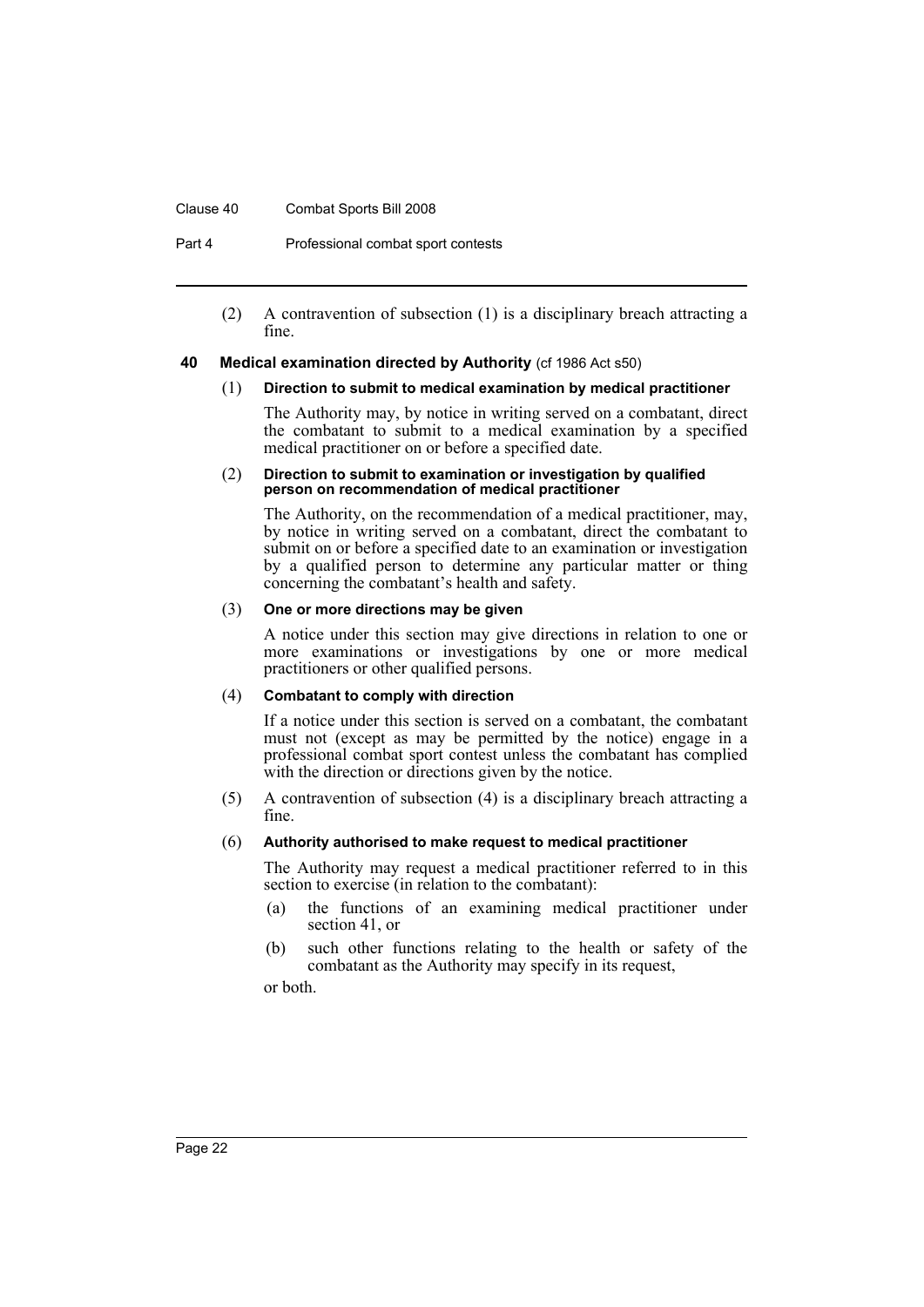#### Clause 40 Combat Sports Bill 2008

Part 4 Professional combat sport contests

(2) A contravention of subsection (1) is a disciplinary breach attracting a fine.

#### <span id="page-25-0"></span>**40 Medical examination directed by Authority** (cf 1986 Act s50)

#### (1) **Direction to submit to medical examination by medical practitioner**

The Authority may, by notice in writing served on a combatant, direct the combatant to submit to a medical examination by a specified medical practitioner on or before a specified date.

#### (2) **Direction to submit to examination or investigation by qualified person on recommendation of medical practitioner**

The Authority, on the recommendation of a medical practitioner, may, by notice in writing served on a combatant, direct the combatant to submit on or before a specified date to an examination or investigation by a qualified person to determine any particular matter or thing concerning the combatant's health and safety.

#### (3) **One or more directions may be given**

A notice under this section may give directions in relation to one or more examinations or investigations by one or more medical practitioners or other qualified persons.

### (4) **Combatant to comply with direction**

If a notice under this section is served on a combatant, the combatant must not (except as may be permitted by the notice) engage in a professional combat sport contest unless the combatant has complied with the direction or directions given by the notice.

(5) A contravention of subsection (4) is a disciplinary breach attracting a fine.

### (6) **Authority authorised to make request to medical practitioner**

The Authority may request a medical practitioner referred to in this section to exercise (in relation to the combatant):

- (a) the functions of an examining medical practitioner under section 41, or
- (b) such other functions relating to the health or safety of the combatant as the Authority may specify in its request,

or both.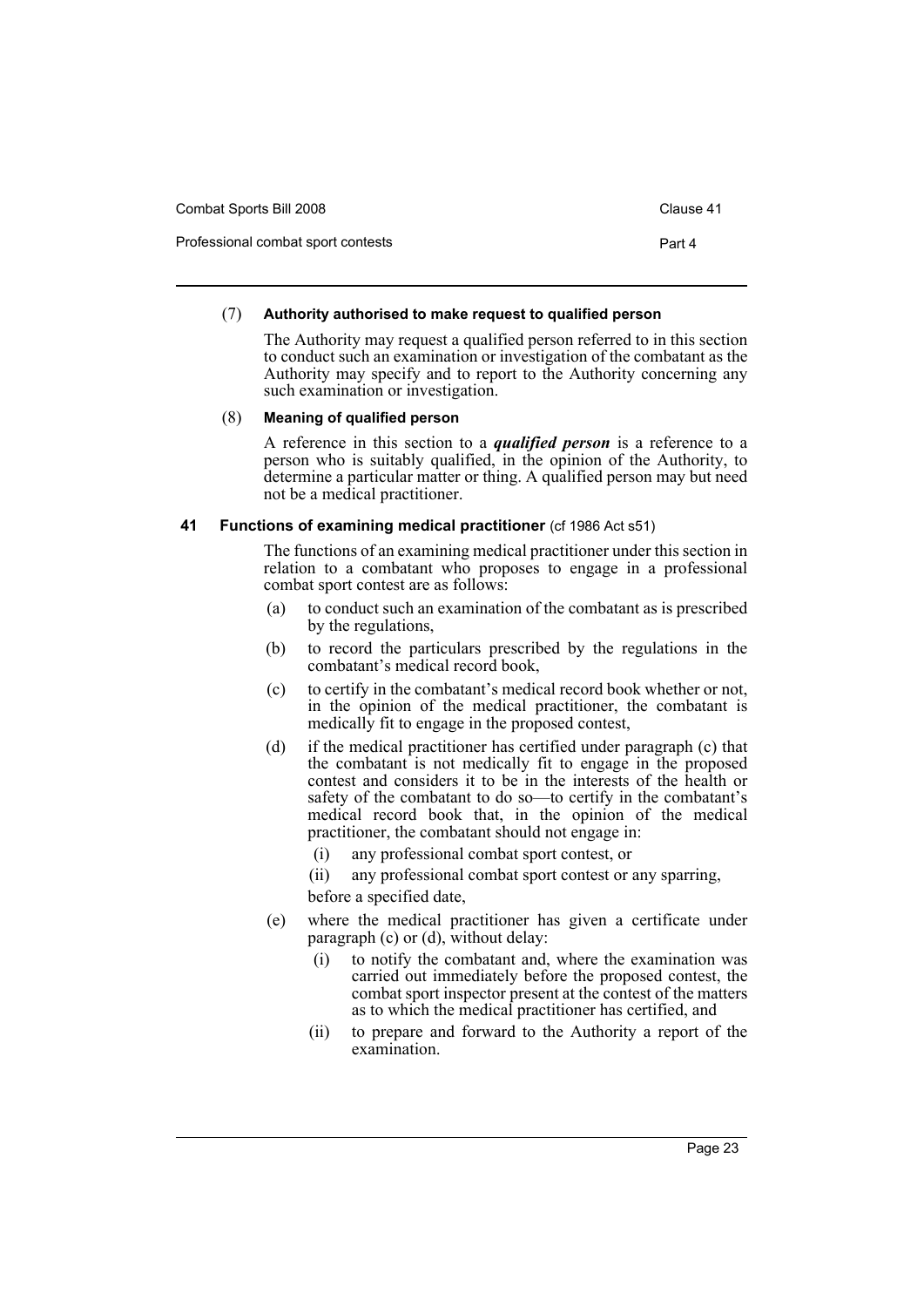| Combat Sports Bill 2008            | Clause 41 |
|------------------------------------|-----------|
| Professional combat sport contests | Part 4    |

### (7) **Authority authorised to make request to qualified person**

The Authority may request a qualified person referred to in this section to conduct such an examination or investigation of the combatant as the Authority may specify and to report to the Authority concerning any such examination or investigation.

### (8) **Meaning of qualified person**

A reference in this section to a *qualified person* is a reference to a person who is suitably qualified, in the opinion of the Authority, to determine a particular matter or thing. A qualified person may but need not be a medical practitioner.

### <span id="page-26-0"></span>**41 Functions of examining medical practitioner** (cf 1986 Act s51)

The functions of an examining medical practitioner under this section in relation to a combatant who proposes to engage in a professional combat sport contest are as follows:

- (a) to conduct such an examination of the combatant as is prescribed by the regulations,
- (b) to record the particulars prescribed by the regulations in the combatant's medical record book,
- (c) to certify in the combatant's medical record book whether or not, in the opinion of the medical practitioner, the combatant is medically fit to engage in the proposed contest,
- (d) if the medical practitioner has certified under paragraph (c) that the combatant is not medically fit to engage in the proposed contest and considers it to be in the interests of the health or safety of the combatant to do so—to certify in the combatant's medical record book that, in the opinion of the medical practitioner, the combatant should not engage in:
	- (i) any professional combat sport contest, or
	- (ii) any professional combat sport contest or any sparring,

before a specified date,

- (e) where the medical practitioner has given a certificate under paragraph (c) or (d), without delay:
	- (i) to notify the combatant and, where the examination was carried out immediately before the proposed contest, the combat sport inspector present at the contest of the matters as to which the medical practitioner has certified, and
	- (ii) to prepare and forward to the Authority a report of the examination.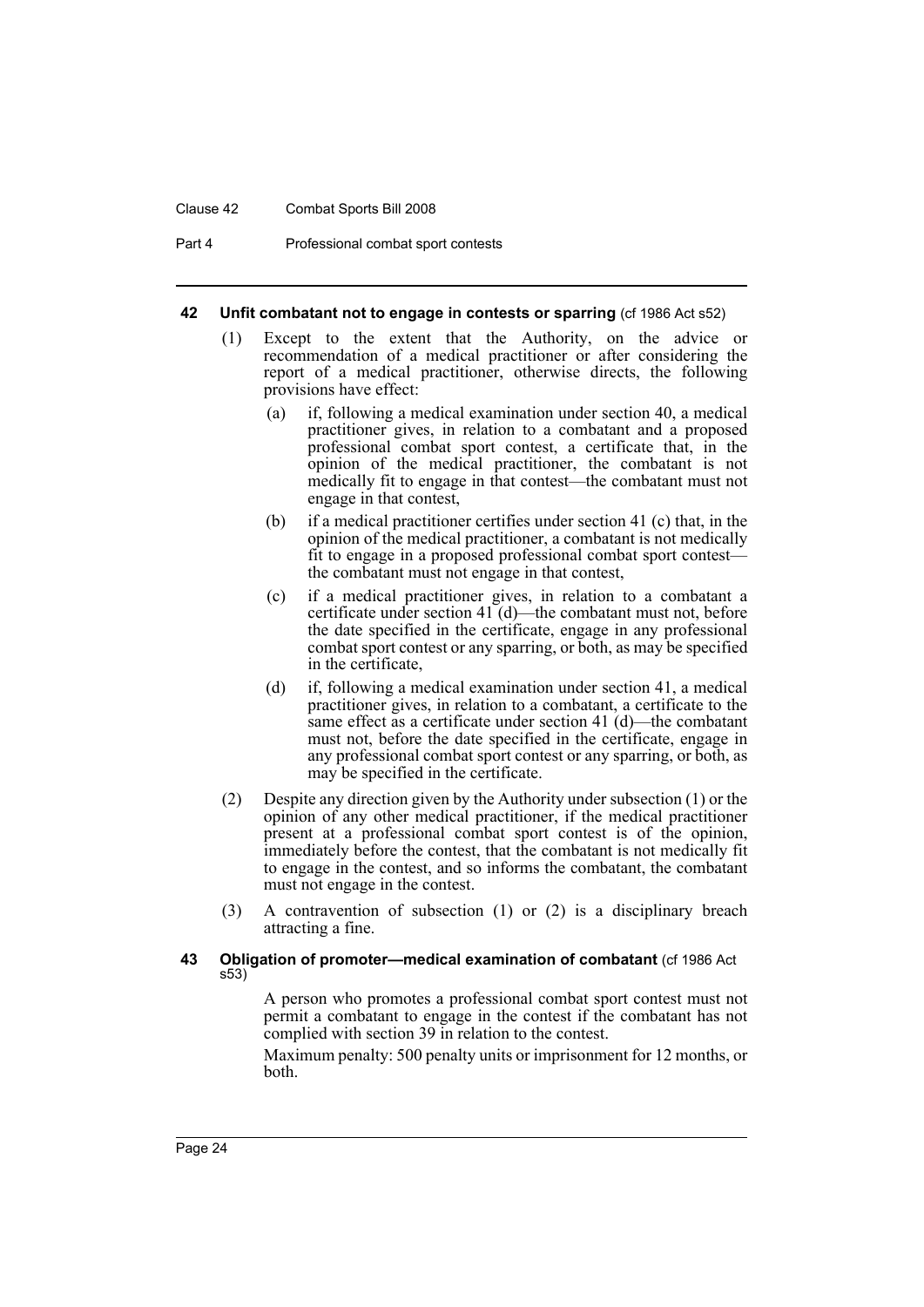#### Clause 42 Combat Sports Bill 2008

Part 4 Professional combat sport contests

#### <span id="page-27-0"></span>**42 Unfit combatant not to engage in contests or sparring** (cf 1986 Act s52)

- (1) Except to the extent that the Authority, on the advice or recommendation of a medical practitioner or after considering the report of a medical practitioner, otherwise directs, the following provisions have effect:
	- (a) if, following a medical examination under section 40, a medical practitioner gives, in relation to a combatant and a proposed professional combat sport contest, a certificate that, in the opinion of the medical practitioner, the combatant is not medically fit to engage in that contest—the combatant must not engage in that contest,
	- (b) if a medical practitioner certifies under section 41 (c) that, in the opinion of the medical practitioner, a combatant is not medically fit to engage in a proposed professional combat sport contest the combatant must not engage in that contest,
	- (c) if a medical practitioner gives, in relation to a combatant a certificate under section 41 (d)—the combatant must not, before the date specified in the certificate, engage in any professional combat sport contest or any sparring, or both, as may be specified in the certificate,
	- (d) if, following a medical examination under section 41, a medical practitioner gives, in relation to a combatant, a certificate to the same effect as a certificate under section 41 (d)—the combatant must not, before the date specified in the certificate, engage in any professional combat sport contest or any sparring, or both, as may be specified in the certificate.
- (2) Despite any direction given by the Authority under subsection (1) or the opinion of any other medical practitioner, if the medical practitioner present at a professional combat sport contest is of the opinion, immediately before the contest, that the combatant is not medically fit to engage in the contest, and so informs the combatant, the combatant must not engage in the contest.
- (3) A contravention of subsection (1) or (2) is a disciplinary breach attracting a fine.

#### <span id="page-27-1"></span>**43 Obligation of promoter—medical examination of combatant** (cf 1986 Act s53)

A person who promotes a professional combat sport contest must not permit a combatant to engage in the contest if the combatant has not complied with section 39 in relation to the contest.

Maximum penalty: 500 penalty units or imprisonment for 12 months, or both.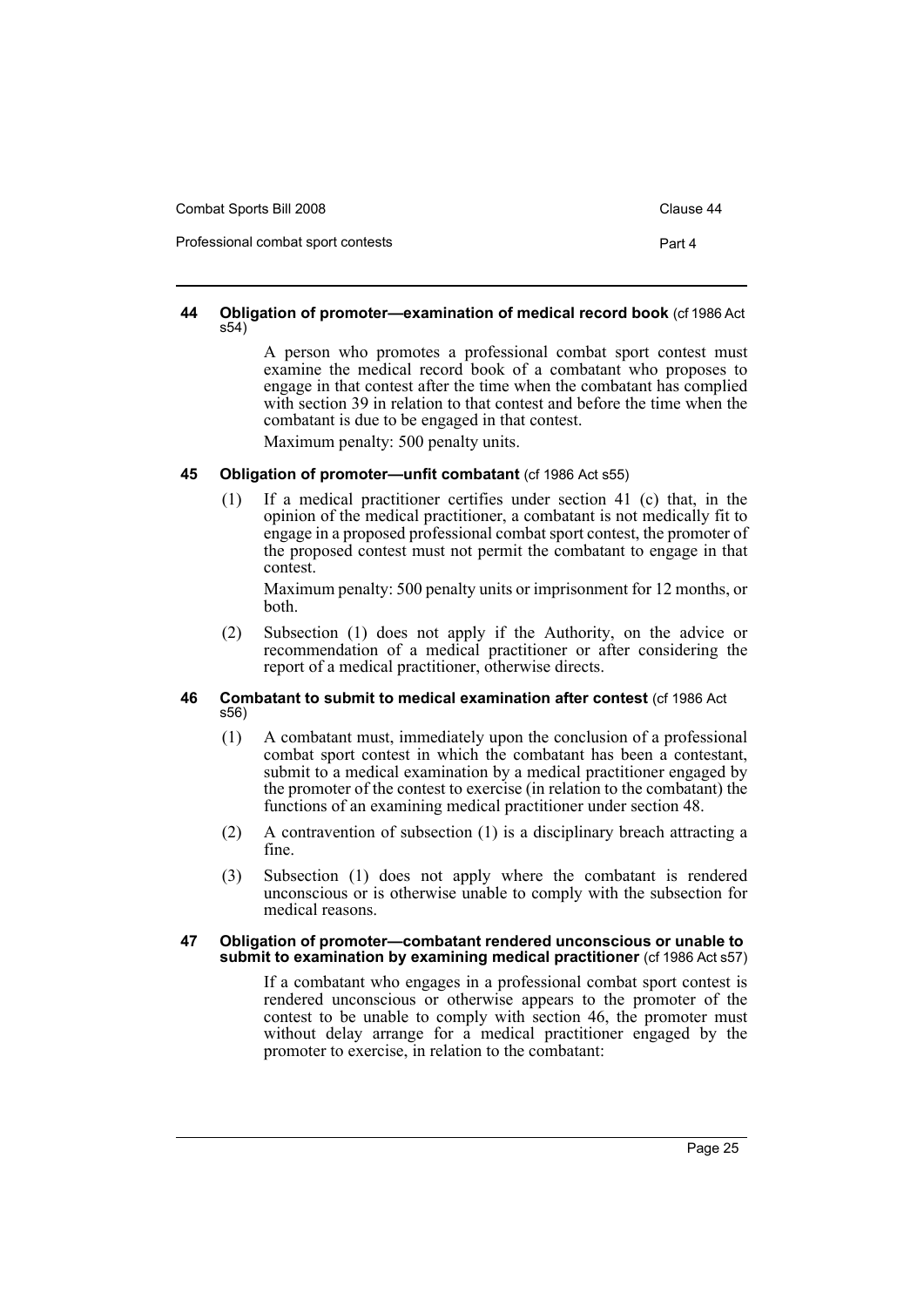| Combat Sports Bill 2008            | Clause 44 |
|------------------------------------|-----------|
| Professional combat sport contests | Part 4    |

### <span id="page-28-0"></span>**44 Obligation of promoter—examination of medical record book** (cf 1986 Act s54)

A person who promotes a professional combat sport contest must examine the medical record book of a combatant who proposes to engage in that contest after the time when the combatant has complied with section 39 in relation to that contest and before the time when the combatant is due to be engaged in that contest.

Maximum penalty: 500 penalty units.

### <span id="page-28-1"></span>**45 Obligation of promoter—unfit combatant** (cf 1986 Act s55)

(1) If a medical practitioner certifies under section 41 (c) that, in the opinion of the medical practitioner, a combatant is not medically fit to engage in a proposed professional combat sport contest, the promoter of the proposed contest must not permit the combatant to engage in that contest.

Maximum penalty: 500 penalty units or imprisonment for 12 months, or both.

(2) Subsection (1) does not apply if the Authority, on the advice or recommendation of a medical practitioner or after considering the report of a medical practitioner, otherwise directs.

### <span id="page-28-2"></span>**46 Combatant to submit to medical examination after contest** (cf 1986 Act s56)

- (1) A combatant must, immediately upon the conclusion of a professional combat sport contest in which the combatant has been a contestant, submit to a medical examination by a medical practitioner engaged by the promoter of the contest to exercise (in relation to the combatant) the functions of an examining medical practitioner under section 48.
- (2) A contravention of subsection (1) is a disciplinary breach attracting a fine.
- (3) Subsection (1) does not apply where the combatant is rendered unconscious or is otherwise unable to comply with the subsection for medical reasons.

### <span id="page-28-3"></span>**47 Obligation of promoter—combatant rendered unconscious or unable to submit to examination by examining medical practitioner** (cf 1986 Act s57)

If a combatant who engages in a professional combat sport contest is rendered unconscious or otherwise appears to the promoter of the contest to be unable to comply with section 46, the promoter must without delay arrange for a medical practitioner engaged by the promoter to exercise, in relation to the combatant: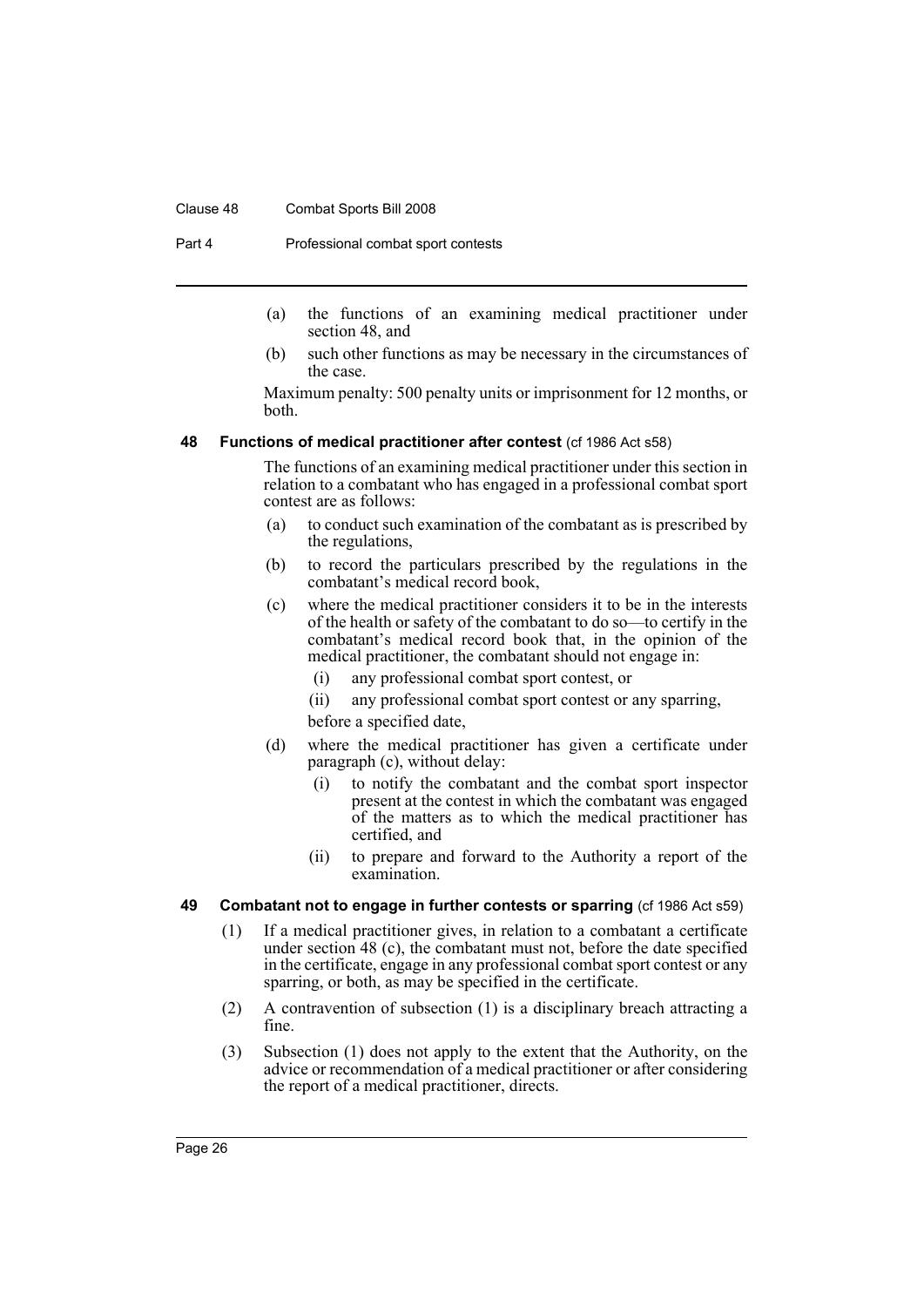#### Clause 48 Combat Sports Bill 2008

Part 4 Professional combat sport contests

- (a) the functions of an examining medical practitioner under section 48, and
- (b) such other functions as may be necessary in the circumstances of the case.

Maximum penalty: 500 penalty units or imprisonment for 12 months, or both.

#### <span id="page-29-0"></span>**48 Functions of medical practitioner after contest** (cf 1986 Act s58)

The functions of an examining medical practitioner under this section in relation to a combatant who has engaged in a professional combat sport contest are as follows:

- (a) to conduct such examination of the combatant as is prescribed by the regulations,
- (b) to record the particulars prescribed by the regulations in the combatant's medical record book,
- (c) where the medical practitioner considers it to be in the interests of the health or safety of the combatant to do so—to certify in the combatant's medical record book that, in the opinion of the medical practitioner, the combatant should not engage in:
	- (i) any professional combat sport contest, or

(ii) any professional combat sport contest or any sparring, before a specified date,

- (d) where the medical practitioner has given a certificate under paragraph (c), without delay:
	- (i) to notify the combatant and the combat sport inspector present at the contest in which the combatant was engaged of the matters as to which the medical practitioner has certified, and
	- (ii) to prepare and forward to the Authority a report of the examination.

### <span id="page-29-1"></span>**49 Combatant not to engage in further contests or sparring** (cf 1986 Act s59)

- (1) If a medical practitioner gives, in relation to a combatant a certificate under section 48 (c), the combatant must not, before the date specified in the certificate, engage in any professional combat sport contest or any sparring, or both, as may be specified in the certificate.
- (2) A contravention of subsection (1) is a disciplinary breach attracting a fine.
- (3) Subsection (1) does not apply to the extent that the Authority, on the advice or recommendation of a medical practitioner or after considering the report of a medical practitioner, directs.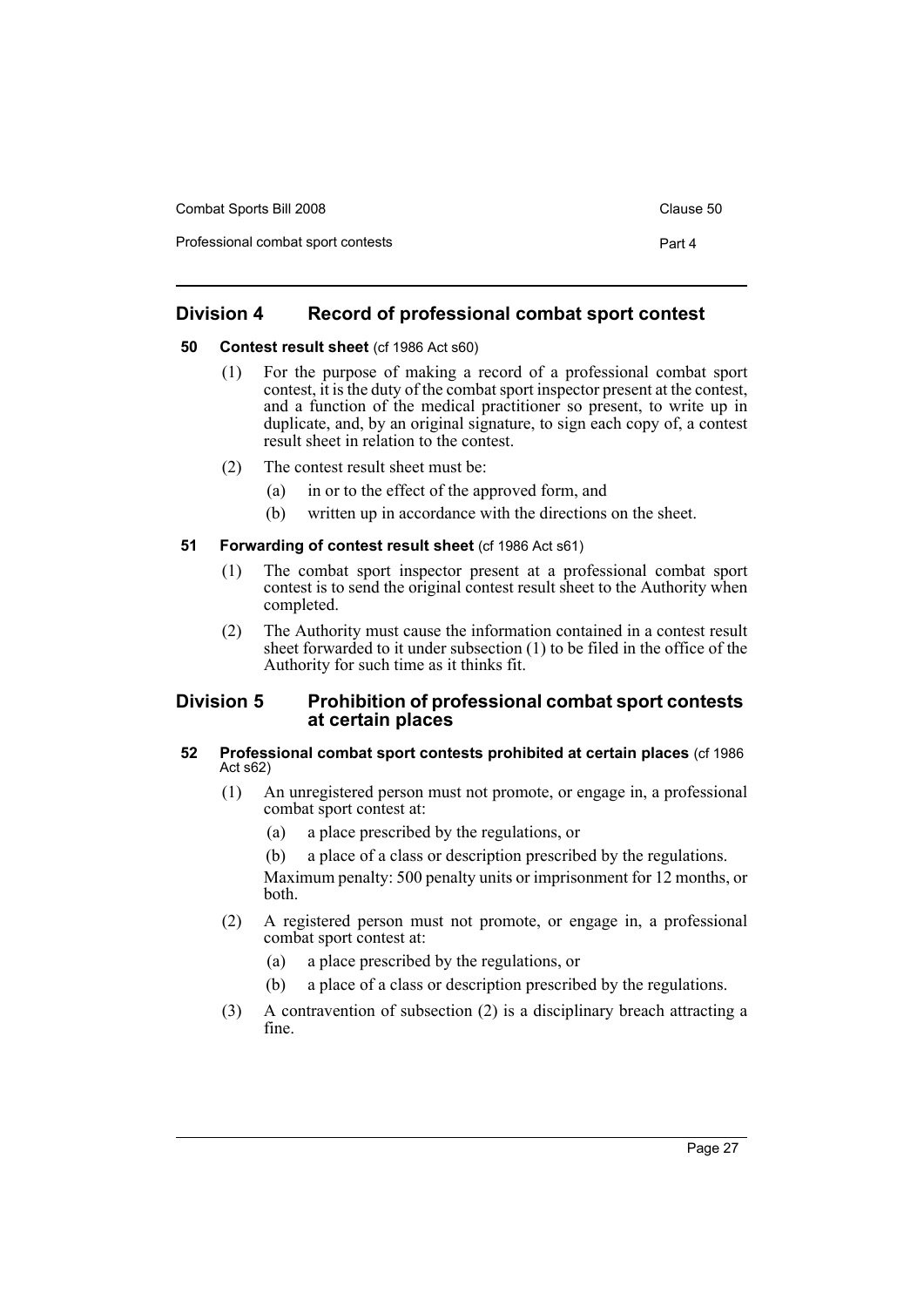| Combat Sports Bill 2008            | Clause 50 |
|------------------------------------|-----------|
| Professional combat sport contests | Part 4    |

### <span id="page-30-0"></span>**Division 4 Record of professional combat sport contest**

### <span id="page-30-1"></span>**50** Contest result sheet (cf 1986 Act s60)

- (1) For the purpose of making a record of a professional combat sport contest, it is the duty of the combat sport inspector present at the contest, and a function of the medical practitioner so present, to write up in duplicate, and, by an original signature, to sign each copy of, a contest result sheet in relation to the contest.
- (2) The contest result sheet must be:
	- (a) in or to the effect of the approved form, and
	- (b) written up in accordance with the directions on the sheet.

### <span id="page-30-2"></span>**51 Forwarding of contest result sheet** (cf 1986 Act s61)

- (1) The combat sport inspector present at a professional combat sport contest is to send the original contest result sheet to the Authority when completed.
- (2) The Authority must cause the information contained in a contest result sheet forwarded to it under subsection (1) to be filed in the office of the Authority for such time as it thinks fit.

### <span id="page-30-3"></span>**Division 5 Prohibition of professional combat sport contests at certain places**

### <span id="page-30-4"></span>**52 Professional combat sport contests prohibited at certain places** (cf 1986 Act s62)

- (1) An unregistered person must not promote, or engage in, a professional combat sport contest at:
	- (a) a place prescribed by the regulations, or
	- (b) a place of a class or description prescribed by the regulations.

Maximum penalty: 500 penalty units or imprisonment for 12 months, or both.

- (2) A registered person must not promote, or engage in, a professional combat sport contest at:
	- (a) a place prescribed by the regulations, or
	- (b) a place of a class or description prescribed by the regulations.
- (3) A contravention of subsection (2) is a disciplinary breach attracting a fine.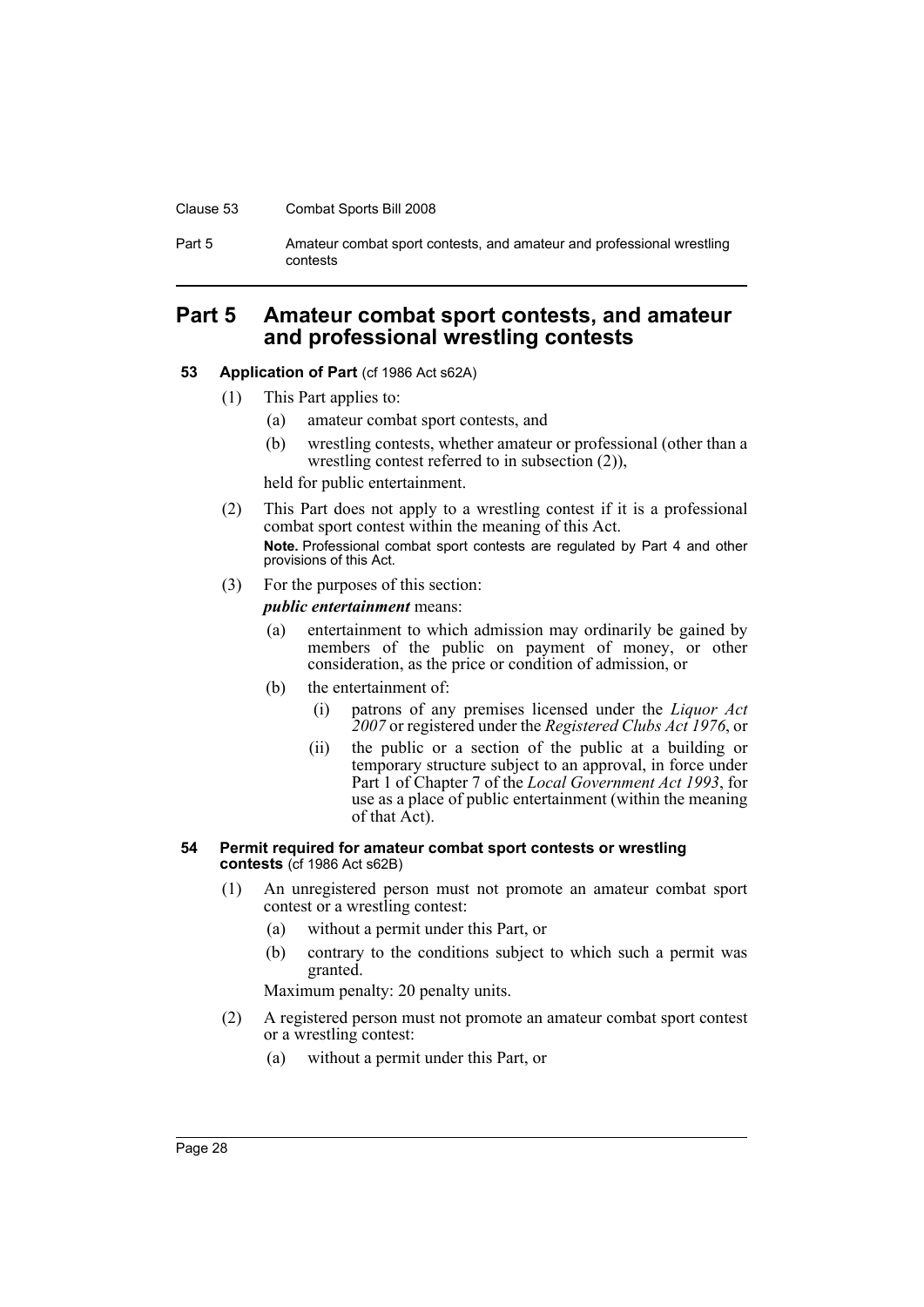#### Clause 53 Combat Sports Bill 2008

Part 5 Amateur combat sport contests, and amateur and professional wrestling contests

# <span id="page-31-0"></span>**Part 5 Amateur combat sport contests, and amateur and professional wrestling contests**

### <span id="page-31-1"></span>**53 Application of Part** (cf 1986 Act s62A)

- (1) This Part applies to:
	- (a) amateur combat sport contests, and
	- (b) wrestling contests, whether amateur or professional (other than a wrestling contest referred to in subsection (2)),

held for public entertainment.

- (2) This Part does not apply to a wrestling contest if it is a professional combat sport contest within the meaning of this Act. **Note.** Professional combat sport contests are regulated by Part 4 and other provisions of this Act.
- (3) For the purposes of this section:

#### *public entertainment* means:

- (a) entertainment to which admission may ordinarily be gained by members of the public on payment of money, or other consideration, as the price or condition of admission, or
- (b) the entertainment of:
	- (i) patrons of any premises licensed under the *Liquor Act 2007* or registered under the *Registered Clubs Act 1976*, or
	- (ii) the public or a section of the public at a building or temporary structure subject to an approval, in force under Part 1 of Chapter 7 of the *Local Government Act 1993*, for use as a place of public entertainment (within the meaning of that Act).

#### <span id="page-31-2"></span>**54 Permit required for amateur combat sport contests or wrestling contests** (cf 1986 Act s62B)

- (1) An unregistered person must not promote an amateur combat sport contest or a wrestling contest:
	- (a) without a permit under this Part, or
	- (b) contrary to the conditions subject to which such a permit was granted.

Maximum penalty: 20 penalty units.

- (2) A registered person must not promote an amateur combat sport contest or a wrestling contest:
	- (a) without a permit under this Part, or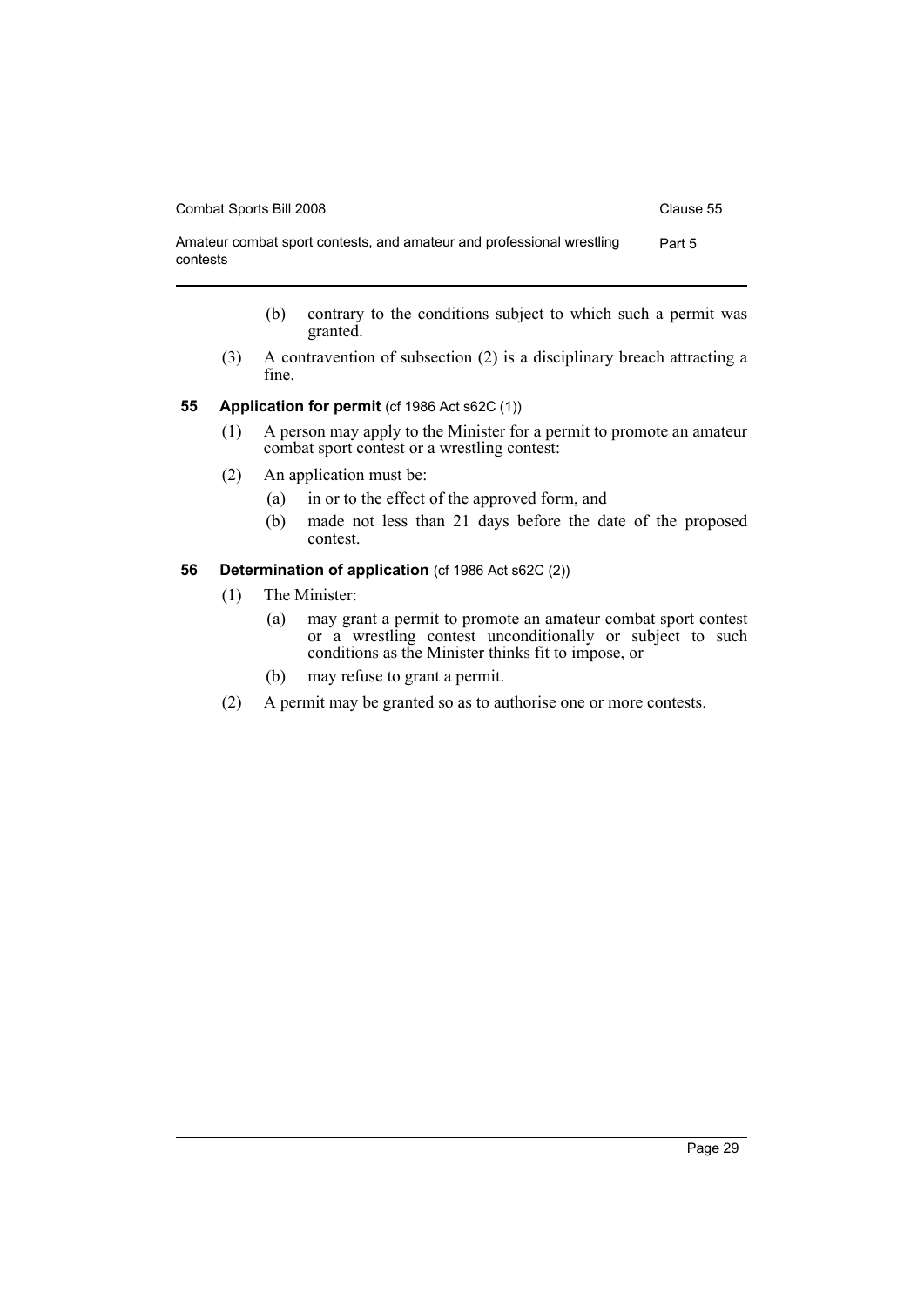Amateur combat sport contests, and amateur and professional wrestling Part 5 contests

- (b) contrary to the conditions subject to which such a permit was granted.
- (3) A contravention of subsection (2) is a disciplinary breach attracting a fine.

### <span id="page-32-0"></span>**55 Application for permit** (cf 1986 Act s62C (1))

- (1) A person may apply to the Minister for a permit to promote an amateur combat sport contest or a wrestling contest:
- (2) An application must be:
	- (a) in or to the effect of the approved form, and
	- (b) made not less than 21 days before the date of the proposed contest.

### <span id="page-32-1"></span>**56** Determination of application (cf 1986 Act s62C (2))

- (1) The Minister:
	- (a) may grant a permit to promote an amateur combat sport contest or a wrestling contest unconditionally or subject to such conditions as the Minister thinks fit to impose, or
	- (b) may refuse to grant a permit.
- (2) A permit may be granted so as to authorise one or more contests.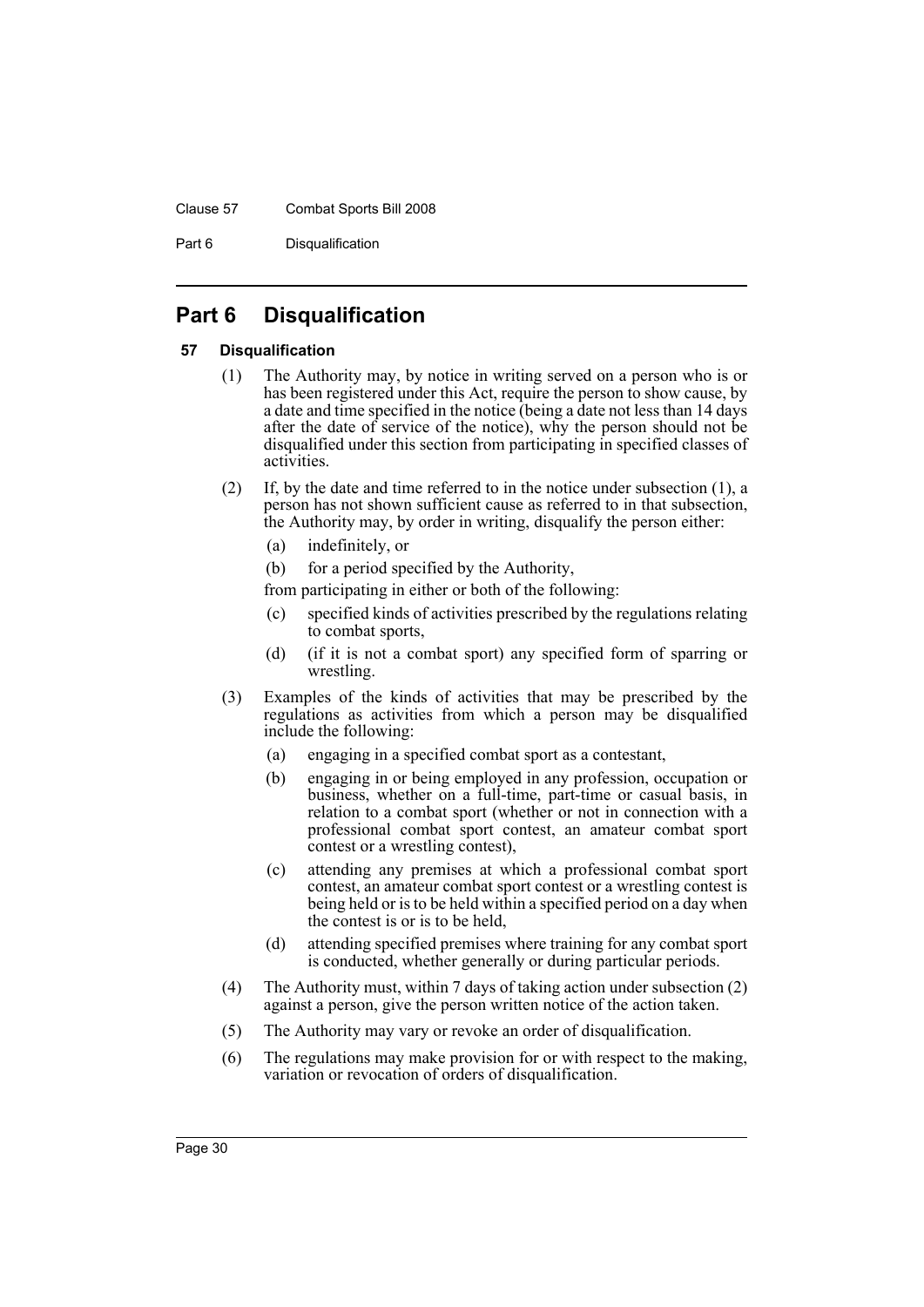#### Clause 57 Combat Sports Bill 2008

Part 6 Disqualification

# <span id="page-33-0"></span>**Part 6 Disqualification**

### <span id="page-33-1"></span>**57 Disqualification**

- (1) The Authority may, by notice in writing served on a person who is or has been registered under this Act, require the person to show cause, by a date and time specified in the notice (being a date not less than 14 days after the date of service of the notice), why the person should not be disqualified under this section from participating in specified classes of activities.
- (2) If, by the date and time referred to in the notice under subsection (1), a person has not shown sufficient cause as referred to in that subsection, the Authority may, by order in writing, disqualify the person either:
	- (a) indefinitely, or
	- (b) for a period specified by the Authority,
	- from participating in either or both of the following:
	- (c) specified kinds of activities prescribed by the regulations relating to combat sports,
	- (d) (if it is not a combat sport) any specified form of sparring or wrestling.
- (3) Examples of the kinds of activities that may be prescribed by the regulations as activities from which a person may be disqualified include the following:
	- (a) engaging in a specified combat sport as a contestant,
	- (b) engaging in or being employed in any profession, occupation or business, whether on a full-time, part-time or casual basis, in relation to a combat sport (whether or not in connection with a professional combat sport contest, an amateur combat sport contest or a wrestling contest),
	- (c) attending any premises at which a professional combat sport contest, an amateur combat sport contest or a wrestling contest is being held or is to be held within a specified period on a day when the contest is or is to be held,
	- (d) attending specified premises where training for any combat sport is conducted, whether generally or during particular periods.
- (4) The Authority must, within 7 days of taking action under subsection (2) against a person, give the person written notice of the action taken.
- (5) The Authority may vary or revoke an order of disqualification.
- (6) The regulations may make provision for or with respect to the making, variation or revocation of orders of disqualification.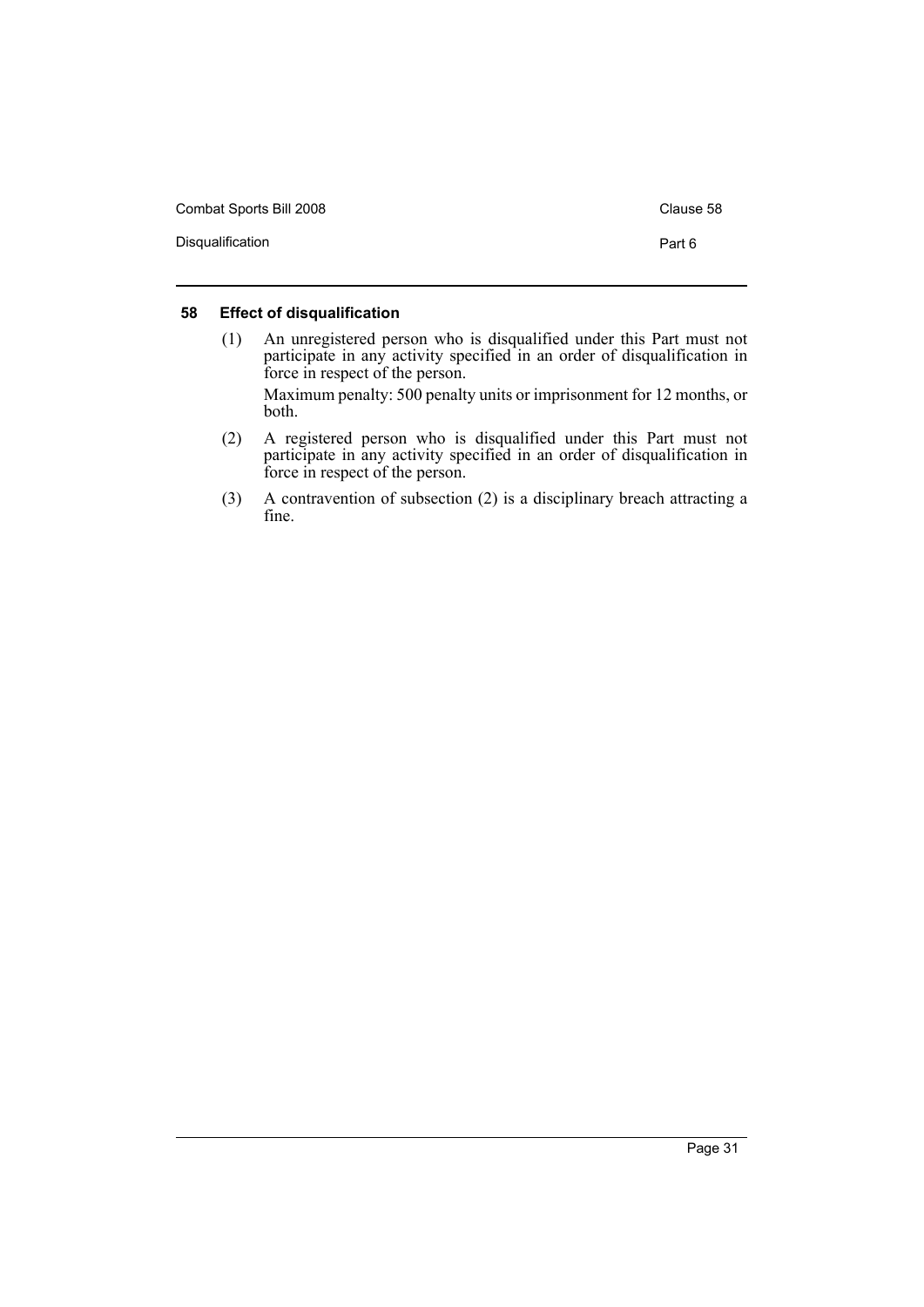| Combat Sports Bill 2008 | Clause 58 |
|-------------------------|-----------|
| Disqualification        | Part 6    |

### <span id="page-34-0"></span>**58 Effect of disqualification**

- (1) An unregistered person who is disqualified under this Part must not participate in any activity specified in an order of disqualification in force in respect of the person. Maximum penalty: 500 penalty units or imprisonment for 12 months, or both.
- (2) A registered person who is disqualified under this Part must not participate in any activity specified in an order of disqualification in force in respect of the person.
- (3) A contravention of subsection (2) is a disciplinary breach attracting a fine.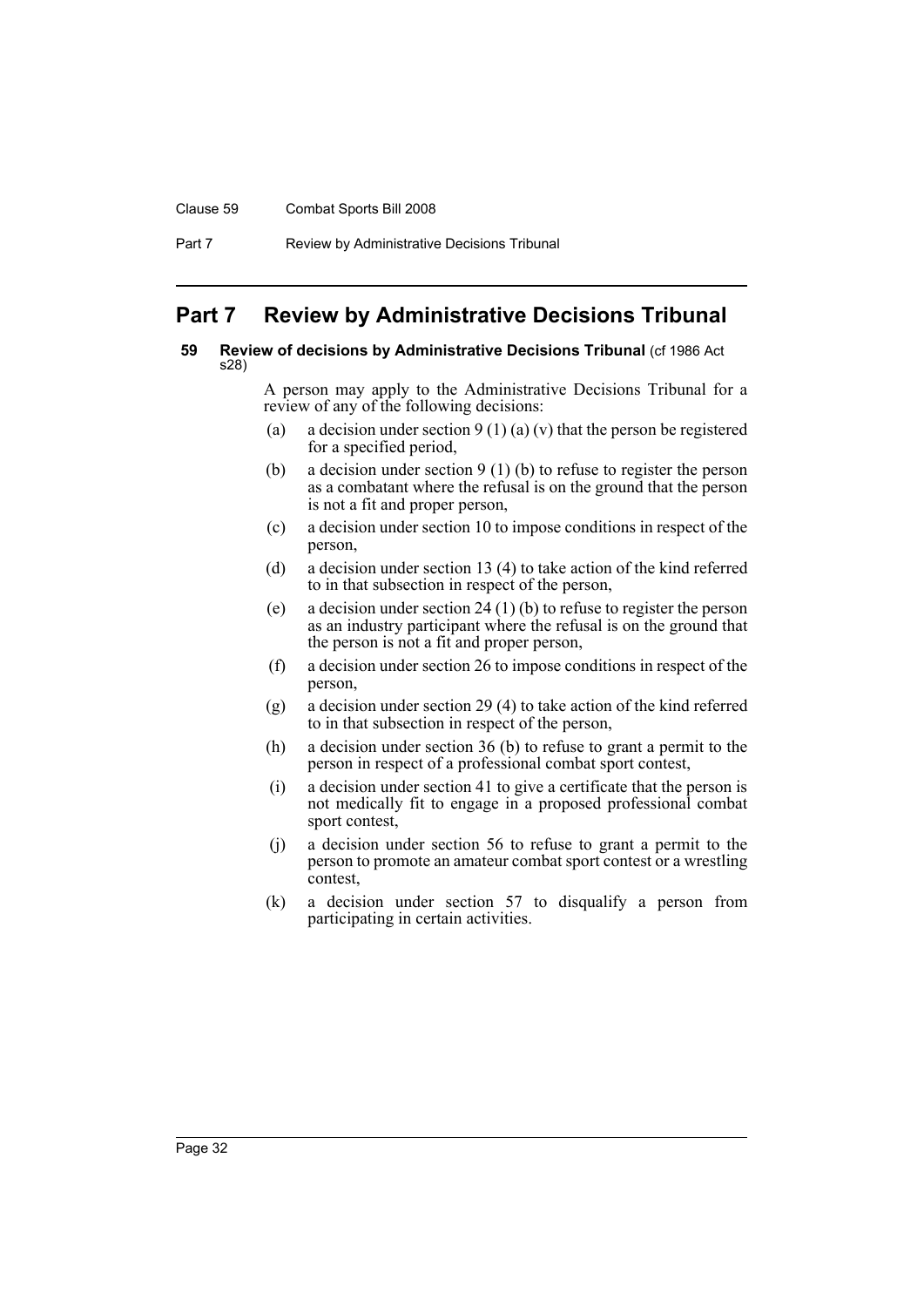#### Clause 59 Combat Sports Bill 2008

Part 7 Review by Administrative Decisions Tribunal

# <span id="page-35-0"></span>**Part 7 Review by Administrative Decisions Tribunal**

### <span id="page-35-1"></span>**59 Review of decisions by Administrative Decisions Tribunal** (cf 1986 Act s28)

A person may apply to the Administrative Decisions Tribunal for a review of any of the following decisions:

- (a) a decision under section  $9(1)(a)(v)$  that the person be registered for a specified period,
- (b) a decision under section 9 (1) (b) to refuse to register the person as a combatant where the refusal is on the ground that the person is not a fit and proper person,
- (c) a decision under section 10 to impose conditions in respect of the person,
- (d) a decision under section 13 (4) to take action of the kind referred to in that subsection in respect of the person,
- (e) a decision under section 24 (1) (b) to refuse to register the person as an industry participant where the refusal is on the ground that the person is not a fit and proper person,
- (f) a decision under section 26 to impose conditions in respect of the person,
- (g) a decision under section 29 (4) to take action of the kind referred to in that subsection in respect of the person,
- (h) a decision under section 36 (b) to refuse to grant a permit to the person in respect of a professional combat sport contest,
- (i) a decision under section 41 to give a certificate that the person is not medically fit to engage in a proposed professional combat sport contest,
- (j) a decision under section 56 to refuse to grant a permit to the person to promote an amateur combat sport contest or a wrestling contest,
- (k) a decision under section 57 to disqualify a person from participating in certain activities.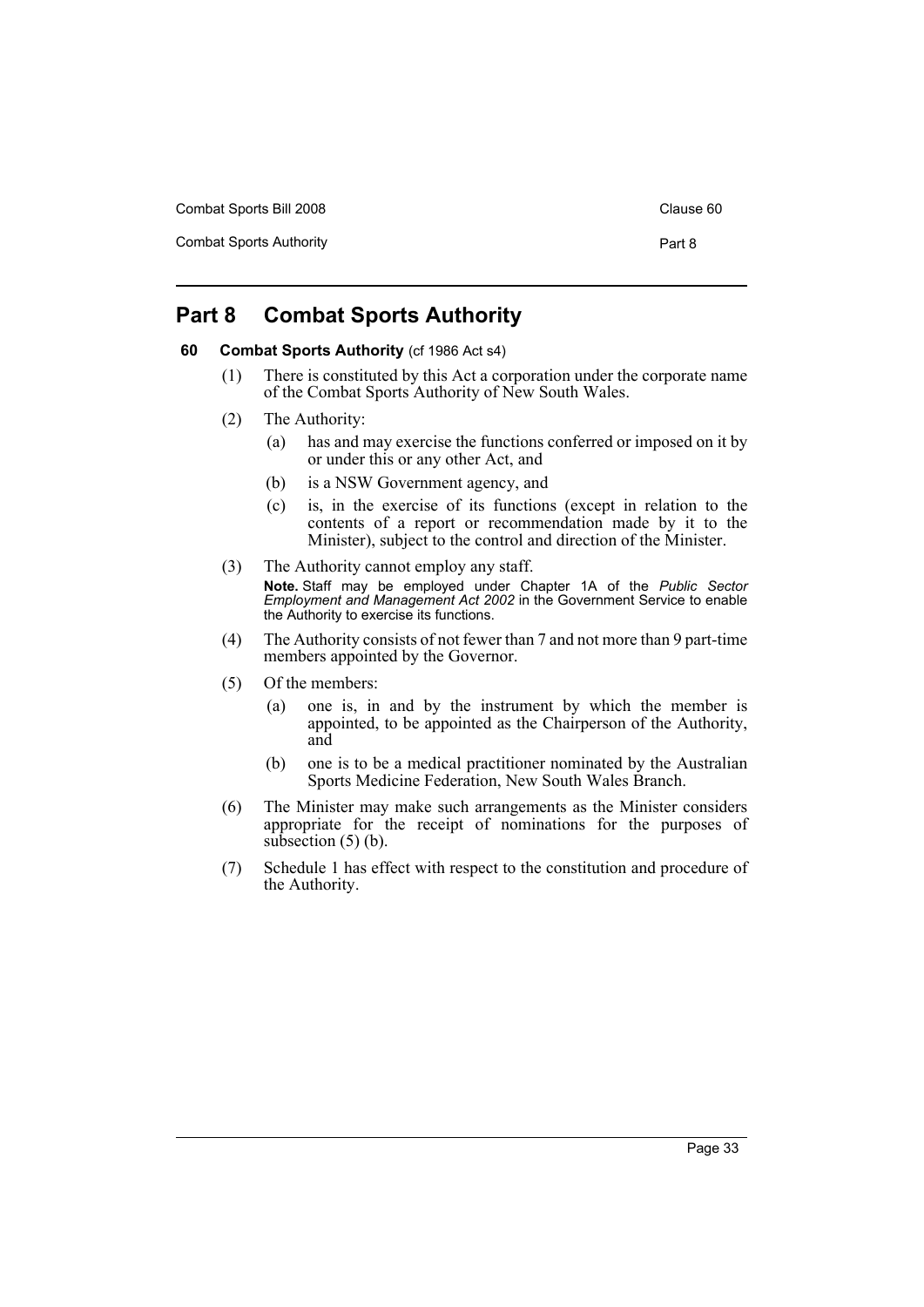Combat Sports Bill 2008 Combat Sports Bill 2008

Combat Sports Authority **Part 8** 

# <span id="page-36-0"></span>**Part 8 Combat Sports Authority**

### <span id="page-36-1"></span>**60 Combat Sports Authority** (cf 1986 Act s4)

- (1) There is constituted by this Act a corporation under the corporate name of the Combat Sports Authority of New South Wales.
- (2) The Authority:
	- (a) has and may exercise the functions conferred or imposed on it by or under this or any other Act, and
	- (b) is a NSW Government agency, and
	- (c) is, in the exercise of its functions (except in relation to the contents of a report or recommendation made by it to the Minister), subject to the control and direction of the Minister.
- (3) The Authority cannot employ any staff. **Note.** Staff may be employed under Chapter 1A of the *Public Sector Employment and Management Act 2002* in the Government Service to enable the Authority to exercise its functions.
- (4) The Authority consists of not fewer than 7 and not more than 9 part-time members appointed by the Governor.
- (5) Of the members:
	- (a) one is, in and by the instrument by which the member is appointed, to be appointed as the Chairperson of the Authority, and
	- (b) one is to be a medical practitioner nominated by the Australian Sports Medicine Federation, New South Wales Branch.
- (6) The Minister may make such arrangements as the Minister considers appropriate for the receipt of nominations for the purposes of subsection  $(5)$  (b).
- (7) Schedule 1 has effect with respect to the constitution and procedure of the Authority.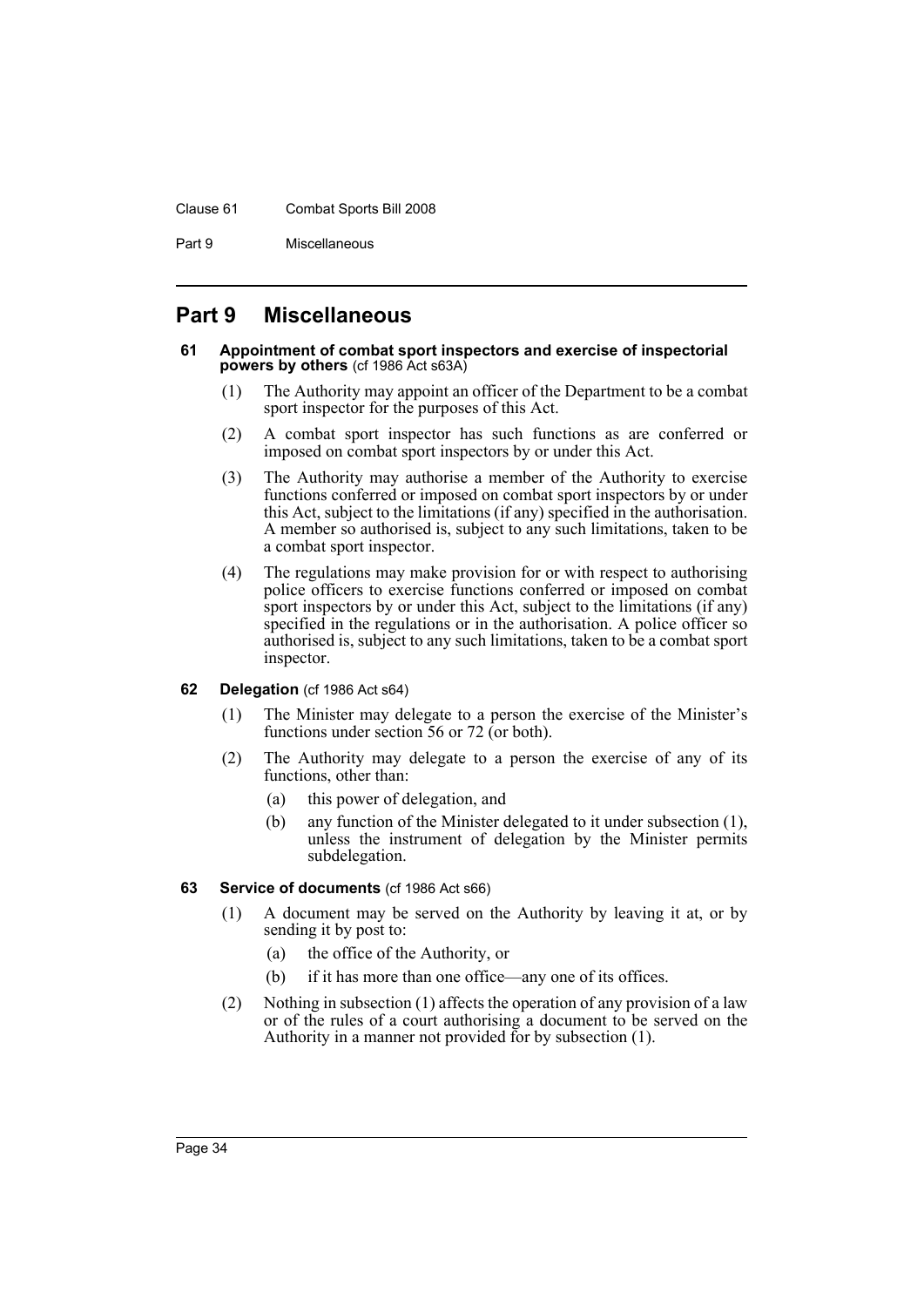#### Clause 61 Combat Sports Bill 2008

Part 9 Miscellaneous

# <span id="page-37-0"></span>**Part 9 Miscellaneous**

#### <span id="page-37-1"></span>**61 Appointment of combat sport inspectors and exercise of inspectorial powers by others** (cf 1986 Act s63A)

- (1) The Authority may appoint an officer of the Department to be a combat sport inspector for the purposes of this Act.
- (2) A combat sport inspector has such functions as are conferred or imposed on combat sport inspectors by or under this Act.
- (3) The Authority may authorise a member of the Authority to exercise functions conferred or imposed on combat sport inspectors by or under this Act, subject to the limitations (if any) specified in the authorisation. A member so authorised is, subject to any such limitations, taken to be a combat sport inspector.
- (4) The regulations may make provision for or with respect to authorising police officers to exercise functions conferred or imposed on combat sport inspectors by or under this Act, subject to the limitations (if any) specified in the regulations or in the authorisation. A police officer so authorised is, subject to any such limitations, taken to be a combat sport inspector.

### <span id="page-37-2"></span>**62 Delegation** (cf 1986 Act s64)

- (1) The Minister may delegate to a person the exercise of the Minister's functions under section 56 or 72 (or both).
- (2) The Authority may delegate to a person the exercise of any of its functions, other than:
	- (a) this power of delegation, and
	- (b) any function of the Minister delegated to it under subsection (1), unless the instrument of delegation by the Minister permits subdelegation.

### <span id="page-37-3"></span>**63 Service of documents** (cf 1986 Act s66)

- (1) A document may be served on the Authority by leaving it at, or by sending it by post to:
	- (a) the office of the Authority, or
	- (b) if it has more than one office—any one of its offices.
- (2) Nothing in subsection (1) affects the operation of any provision of a law or of the rules of a court authorising a document to be served on the Authority in a manner not provided for by subsection (1).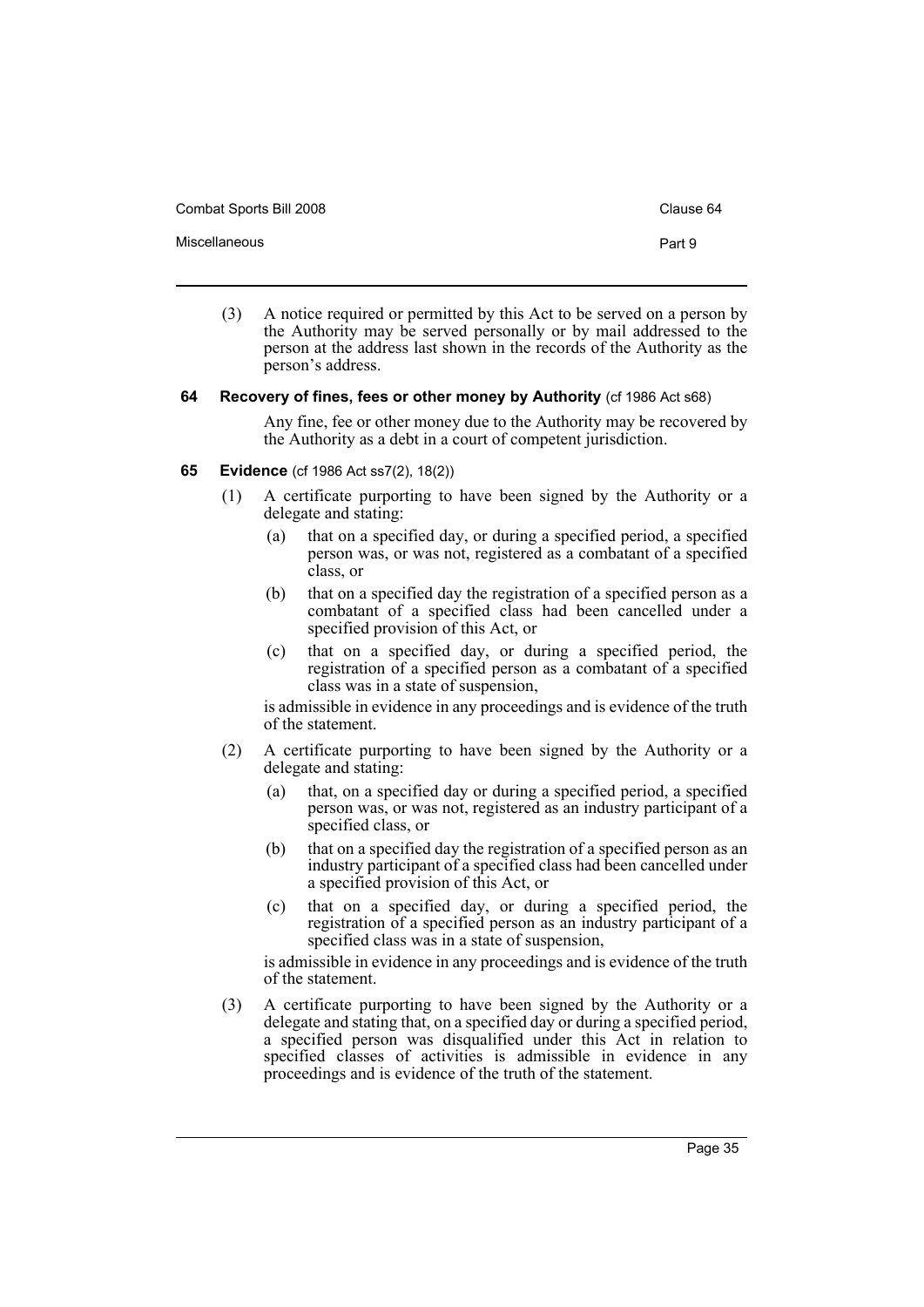Combat Sports Bill 2008 Combat Sports Bill 2008

Miscellaneous **Part 9** 

- 
- (3) A notice required or permitted by this Act to be served on a person by the Authority may be served personally or by mail addressed to the person at the address last shown in the records of the Authority as the person's address.

### <span id="page-38-0"></span>**64 Recovery of fines, fees or other money by Authority** (cf 1986 Act s68)

Any fine, fee or other money due to the Authority may be recovered by the Authority as a debt in a court of competent jurisdiction.

### <span id="page-38-1"></span>**65 Evidence** (cf 1986 Act ss7(2), 18(2))

- (1) A certificate purporting to have been signed by the Authority or a delegate and stating:
	- (a) that on a specified day, or during a specified period, a specified person was, or was not, registered as a combatant of a specified class, or
	- (b) that on a specified day the registration of a specified person as a combatant of a specified class had been cancelled under a specified provision of this Act, or
	- (c) that on a specified day, or during a specified period, the registration of a specified person as a combatant of a specified class was in a state of suspension,

is admissible in evidence in any proceedings and is evidence of the truth of the statement.

- (2) A certificate purporting to have been signed by the Authority or a delegate and stating:
	- (a) that, on a specified day or during a specified period, a specified person was, or was not, registered as an industry participant of a specified class, or
	- (b) that on a specified day the registration of a specified person as an industry participant of a specified class had been cancelled under a specified provision of this Act, or
	- (c) that on a specified day, or during a specified period, the registration of a specified person as an industry participant of a specified class was in a state of suspension,

is admissible in evidence in any proceedings and is evidence of the truth of the statement.

(3) A certificate purporting to have been signed by the Authority or a delegate and stating that, on a specified day or during a specified period, a specified person was disqualified under this Act in relation to specified classes of activities is admissible in evidence in any proceedings and is evidence of the truth of the statement.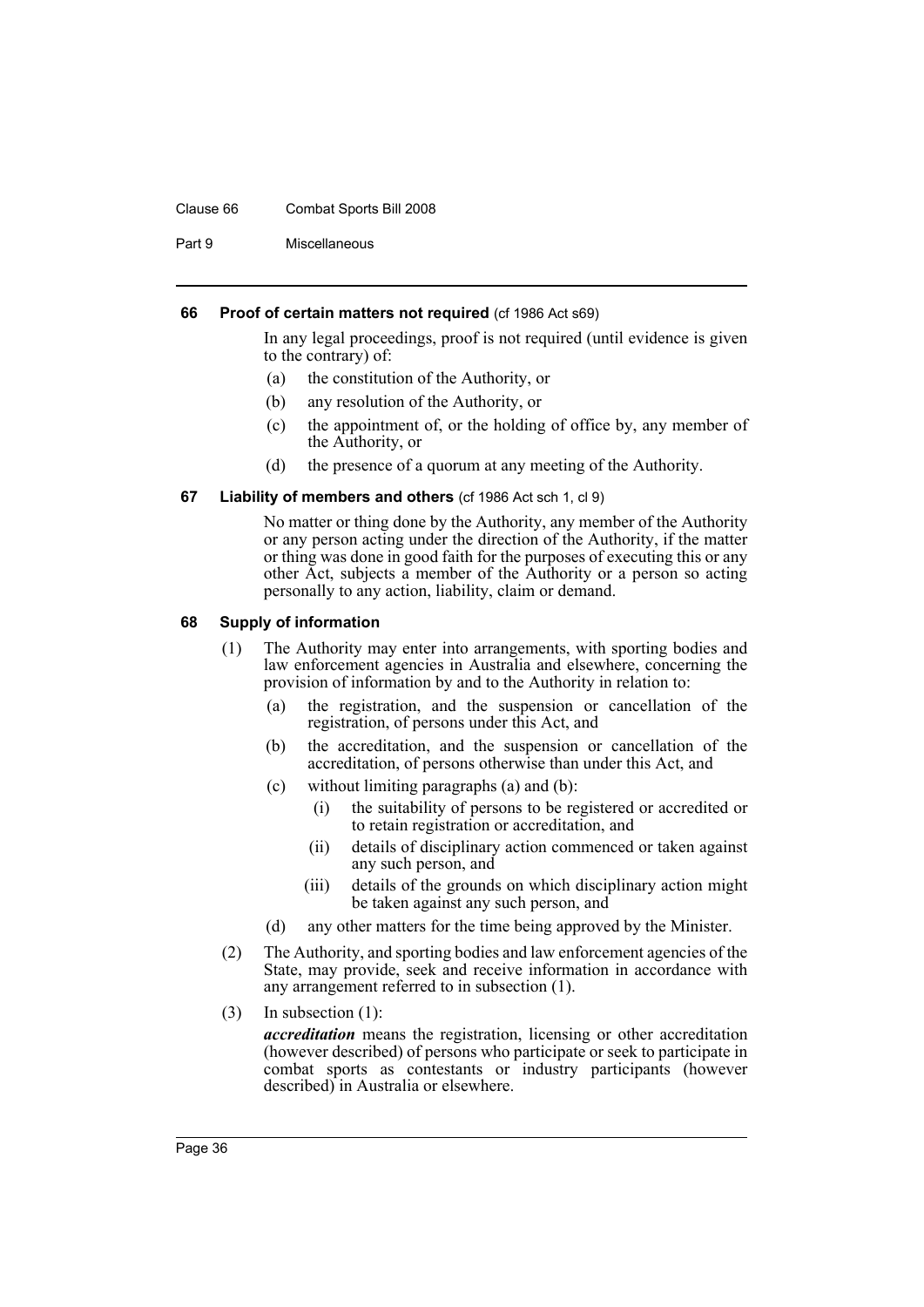#### Clause 66 Combat Sports Bill 2008

Part 9 Miscellaneous

### <span id="page-39-0"></span>**66 Proof of certain matters not required** (cf 1986 Act s69)

In any legal proceedings, proof is not required (until evidence is given to the contrary) of:

- (a) the constitution of the Authority, or
- (b) any resolution of the Authority, or
- (c) the appointment of, or the holding of office by, any member of the Authority, or
- (d) the presence of a quorum at any meeting of the Authority.

### <span id="page-39-1"></span>**67 Liability of members and others** (cf 1986 Act sch 1, cl 9)

No matter or thing done by the Authority, any member of the Authority or any person acting under the direction of the Authority, if the matter or thing was done in good faith for the purposes of executing this or any other Act, subjects a member of the Authority or a person so acting personally to any action, liability, claim or demand.

### <span id="page-39-2"></span>**68 Supply of information**

- (1) The Authority may enter into arrangements, with sporting bodies and law enforcement agencies in Australia and elsewhere, concerning the provision of information by and to the Authority in relation to:
	- (a) the registration, and the suspension or cancellation of the registration, of persons under this Act, and
	- (b) the accreditation, and the suspension or cancellation of the accreditation, of persons otherwise than under this Act, and
	- (c) without limiting paragraphs (a) and (b):
		- (i) the suitability of persons to be registered or accredited or to retain registration or accreditation, and
		- (ii) details of disciplinary action commenced or taken against any such person, and
		- (iii) details of the grounds on which disciplinary action might be taken against any such person, and
	- (d) any other matters for the time being approved by the Minister.
- (2) The Authority, and sporting bodies and law enforcement agencies of the State, may provide, seek and receive information in accordance with any arrangement referred to in subsection (1).
- (3) In subsection (1):

*accreditation* means the registration, licensing or other accreditation (however described) of persons who participate or seek to participate in combat sports as contestants or industry participants (however described) in Australia or elsewhere.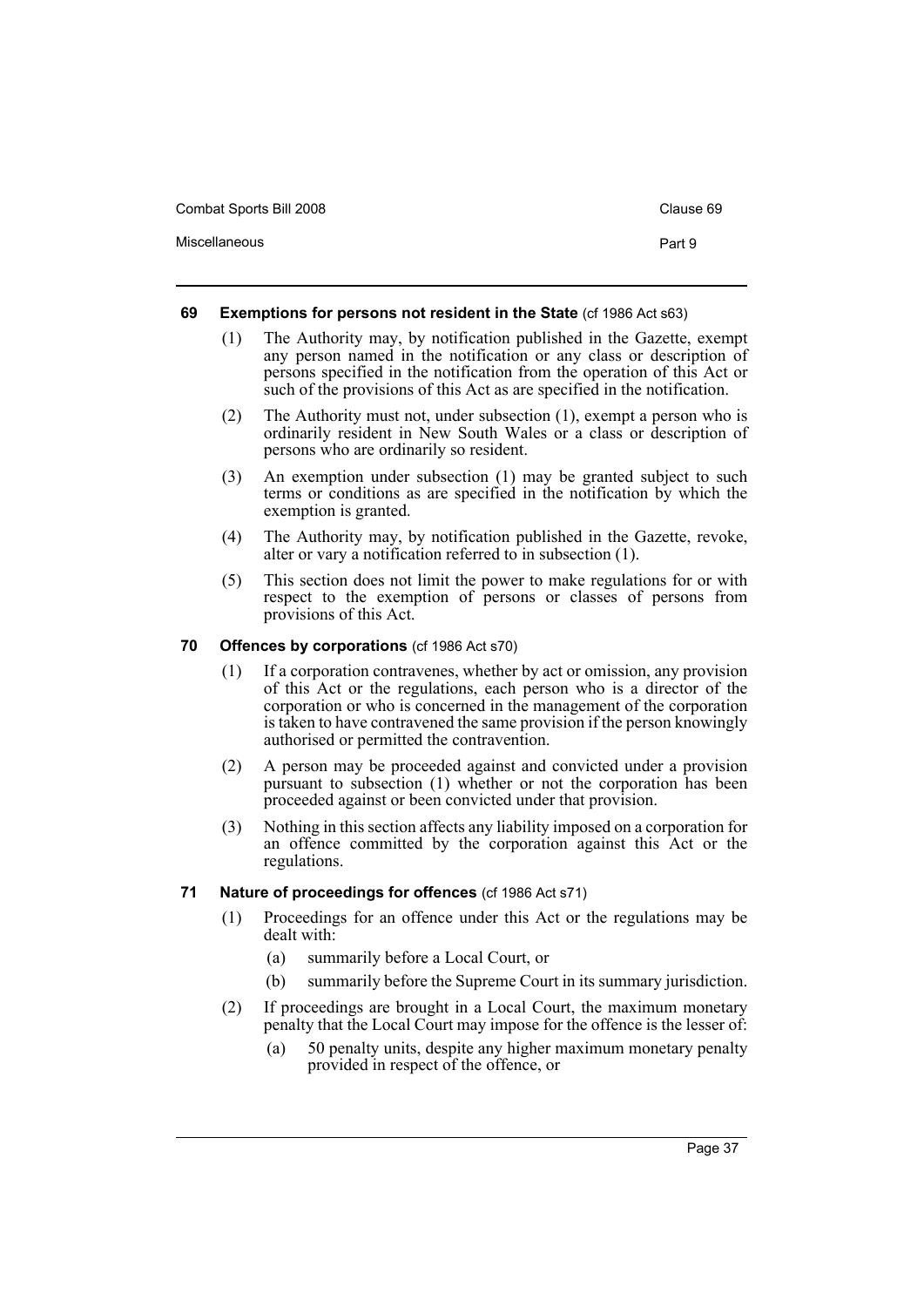| Combat Sports Bill 2008 | Clause 69 |
|-------------------------|-----------|
| Miscellaneous           | Part 9    |

### <span id="page-40-0"></span>**69 Exemptions for persons not resident in the State (cf 1986 Act s63)**

- (1) The Authority may, by notification published in the Gazette, exempt any person named in the notification or any class or description of persons specified in the notification from the operation of this Act or such of the provisions of this Act as are specified in the notification.
- (2) The Authority must not, under subsection (1), exempt a person who is ordinarily resident in New South Wales or a class or description of persons who are ordinarily so resident.
- (3) An exemption under subsection (1) may be granted subject to such terms or conditions as are specified in the notification by which the exemption is granted.
- (4) The Authority may, by notification published in the Gazette, revoke, alter or vary a notification referred to in subsection (1).
- (5) This section does not limit the power to make regulations for or with respect to the exemption of persons or classes of persons from provisions of this Act.

### <span id="page-40-1"></span>**70 Offences by corporations** (cf 1986 Act s70)

- (1) If a corporation contravenes, whether by act or omission, any provision of this Act or the regulations, each person who is a director of the corporation or who is concerned in the management of the corporation is taken to have contravened the same provision if the person knowingly authorised or permitted the contravention.
- (2) A person may be proceeded against and convicted under a provision pursuant to subsection (1) whether or not the corporation has been proceeded against or been convicted under that provision.
- (3) Nothing in this section affects any liability imposed on a corporation for an offence committed by the corporation against this Act or the regulations.

### <span id="page-40-2"></span>**71 Nature of proceedings for offences** (cf 1986 Act s71)

- (1) Proceedings for an offence under this Act or the regulations may be dealt with:
	- (a) summarily before a Local Court, or
	- (b) summarily before the Supreme Court in its summary jurisdiction.
- (2) If proceedings are brought in a Local Court, the maximum monetary penalty that the Local Court may impose for the offence is the lesser of:
	- (a) 50 penalty units, despite any higher maximum monetary penalty provided in respect of the offence, or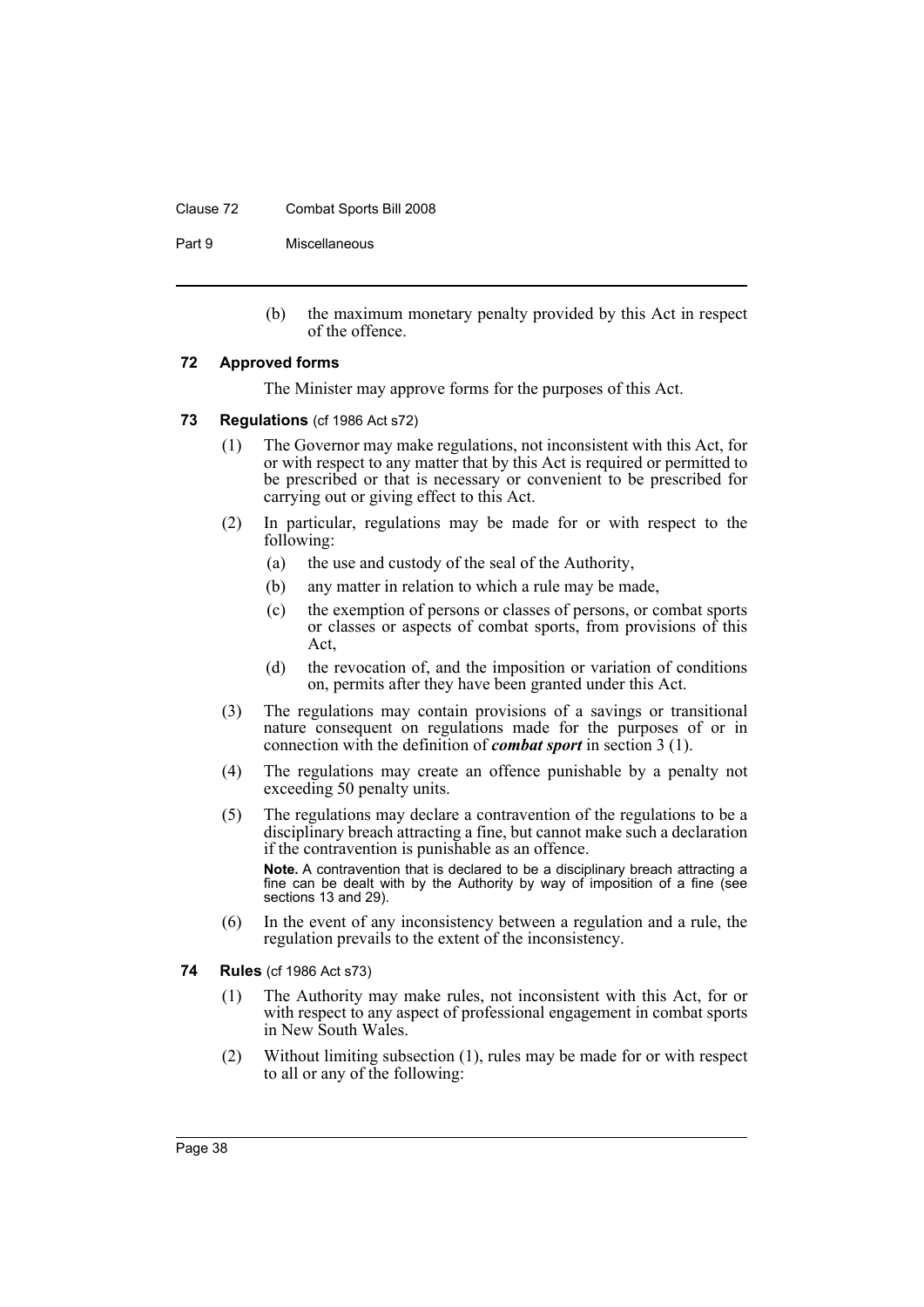### Clause 72 Combat Sports Bill 2008

Part 9 Miscellaneous

(b) the maximum monetary penalty provided by this Act in respect of the offence.

### <span id="page-41-0"></span>**72 Approved forms**

The Minister may approve forms for the purposes of this Act.

### <span id="page-41-1"></span>**73 Regulations** (cf 1986 Act s72)

- (1) The Governor may make regulations, not inconsistent with this Act, for or with respect to any matter that by this Act is required or permitted to be prescribed or that is necessary or convenient to be prescribed for carrying out or giving effect to this Act.
- (2) In particular, regulations may be made for or with respect to the following:
	- (a) the use and custody of the seal of the Authority,
	- (b) any matter in relation to which a rule may be made,
	- (c) the exemption of persons or classes of persons, or combat sports or classes or aspects of combat sports, from provisions of this Act,
	- (d) the revocation of, and the imposition or variation of conditions on, permits after they have been granted under this Act.
- (3) The regulations may contain provisions of a savings or transitional nature consequent on regulations made for the purposes of or in connection with the definition of *combat sport* in section 3 (1).
- (4) The regulations may create an offence punishable by a penalty not exceeding 50 penalty units.
- (5) The regulations may declare a contravention of the regulations to be a disciplinary breach attracting a fine, but cannot make such a declaration if the contravention is punishable as an offence.

**Note.** A contravention that is declared to be a disciplinary breach attracting a fine can be dealt with by the Authority by way of imposition of a fine (see sections 13 and 29).

- (6) In the event of any inconsistency between a regulation and a rule, the regulation prevails to the extent of the inconsistency.
- <span id="page-41-2"></span>**74 Rules** (cf 1986 Act s73)
	- (1) The Authority may make rules, not inconsistent with this Act, for or with respect to any aspect of professional engagement in combat sports in New South Wales.
	- (2) Without limiting subsection (1), rules may be made for or with respect to all or any of the following: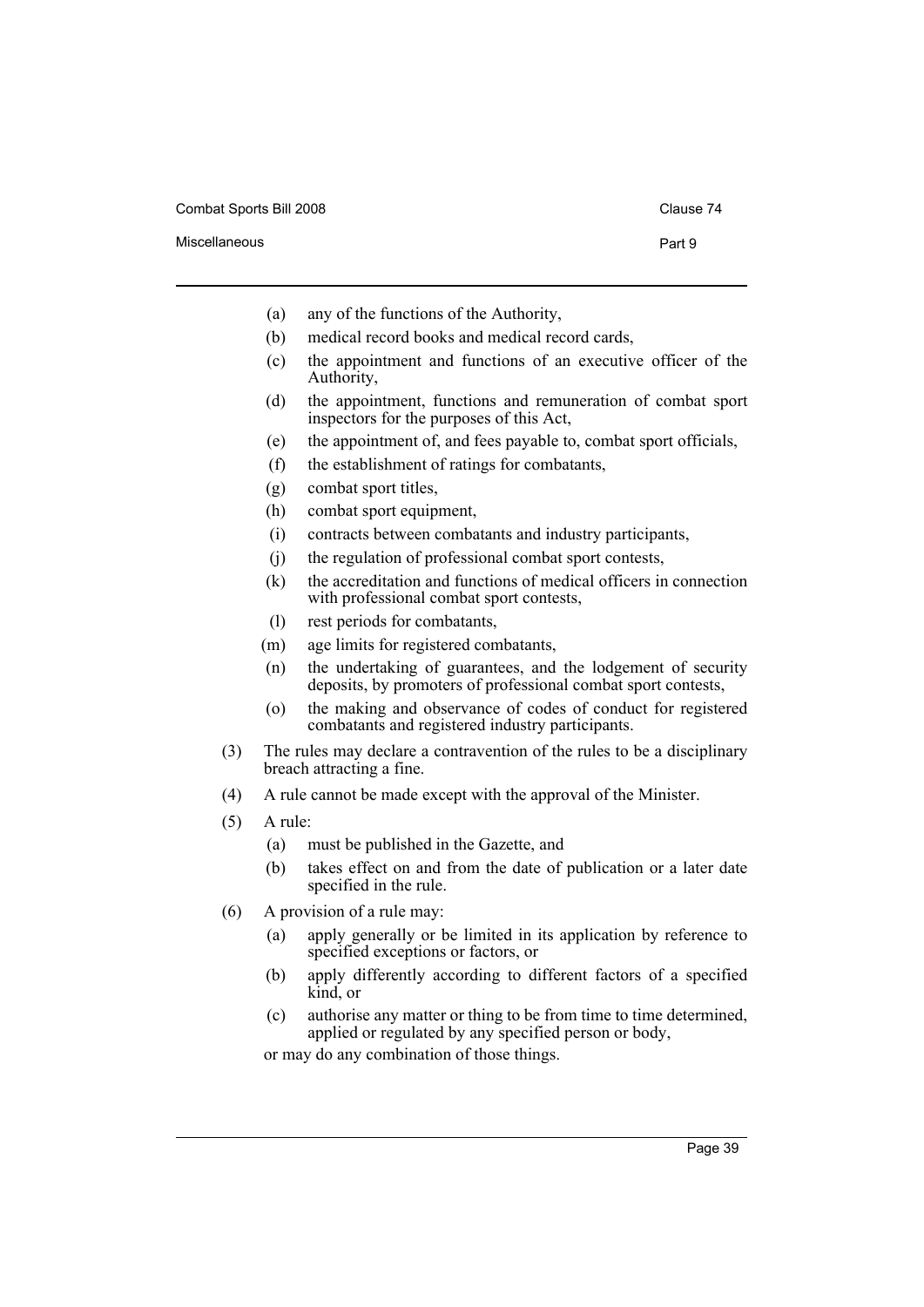Combat Sports Bill 2008 Combat Sports Bill 2008

#### Miscellaneous **Part 9**

- (a) any of the functions of the Authority,
- (b) medical record books and medical record cards,
- (c) the appointment and functions of an executive officer of the Authority,
- (d) the appointment, functions and remuneration of combat sport inspectors for the purposes of this Act,
- (e) the appointment of, and fees payable to, combat sport officials,
- (f) the establishment of ratings for combatants,
- (g) combat sport titles,
- (h) combat sport equipment,
- (i) contracts between combatants and industry participants,
- (j) the regulation of professional combat sport contests,
- (k) the accreditation and functions of medical officers in connection with professional combat sport contests,
- (l) rest periods for combatants,
- (m) age limits for registered combatants,
- (n) the undertaking of guarantees, and the lodgement of security deposits, by promoters of professional combat sport contests,
- (o) the making and observance of codes of conduct for registered combatants and registered industry participants.
- (3) The rules may declare a contravention of the rules to be a disciplinary breach attracting a fine.
- (4) A rule cannot be made except with the approval of the Minister.
- (5) A rule:
	- (a) must be published in the Gazette, and
	- (b) takes effect on and from the date of publication or a later date specified in the rule.
- (6) A provision of a rule may:
	- (a) apply generally or be limited in its application by reference to specified exceptions or factors, or
	- (b) apply differently according to different factors of a specified kind, or
	- (c) authorise any matter or thing to be from time to time determined, applied or regulated by any specified person or body,

or may do any combination of those things.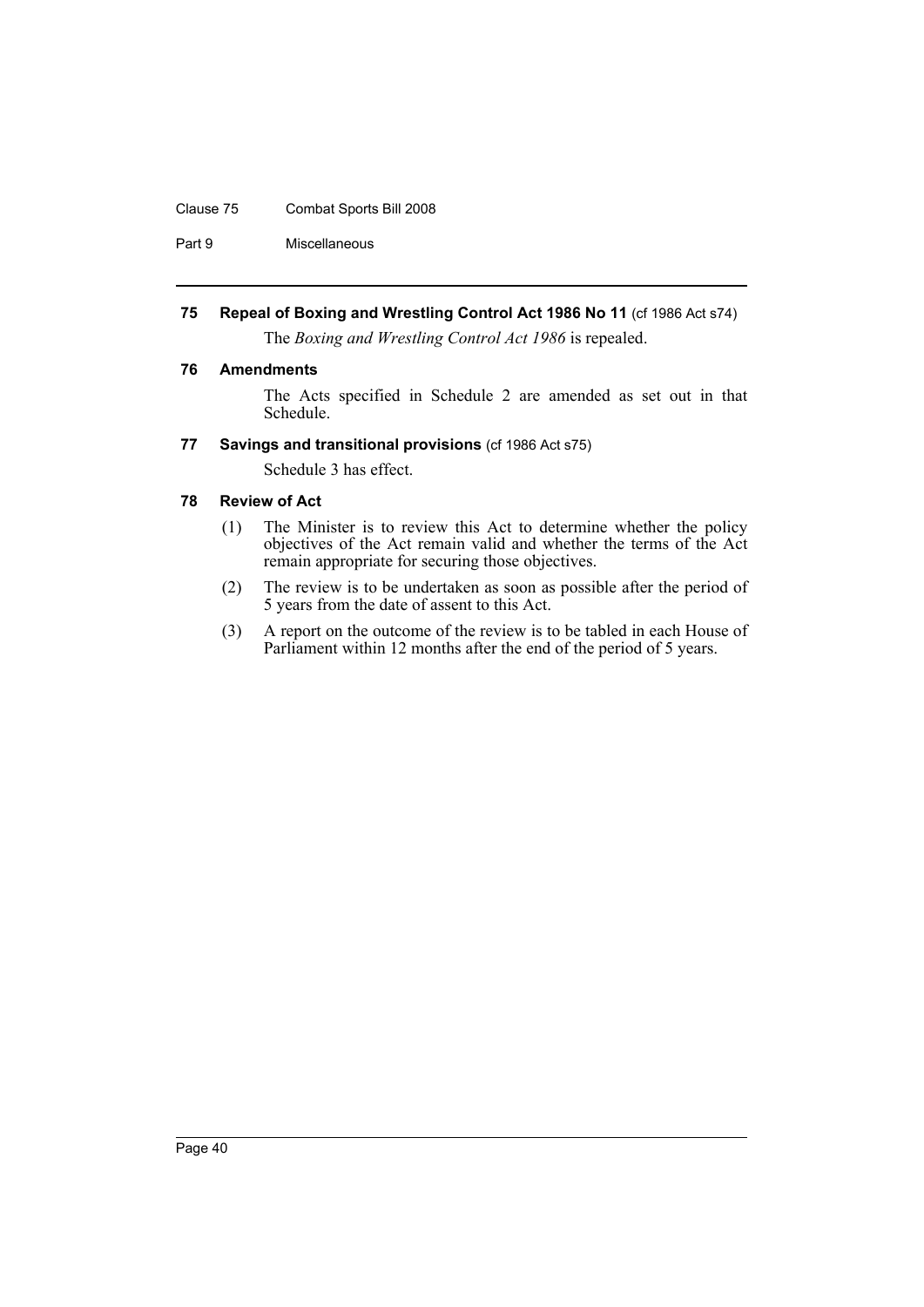### Clause 75 Combat Sports Bill 2008

Part 9 Miscellaneous

### <span id="page-43-0"></span>**75 Repeal of Boxing and Wrestling Control Act 1986 No 11** (cf 1986 Act s74)

The *Boxing and Wrestling Control Act 1986* is repealed.

### <span id="page-43-1"></span>**76 Amendments**

The Acts specified in Schedule 2 are amended as set out in that Schedule.

<span id="page-43-2"></span>**77 Savings and transitional provisions** (cf 1986 Act s75)

Schedule 3 has effect.

### <span id="page-43-3"></span>**78 Review of Act**

- (1) The Minister is to review this Act to determine whether the policy objectives of the Act remain valid and whether the terms of the Act remain appropriate for securing those objectives.
- (2) The review is to be undertaken as soon as possible after the period of 5 years from the date of assent to this Act.
- (3) A report on the outcome of the review is to be tabled in each House of Parliament within 12 months after the end of the period of 5 years.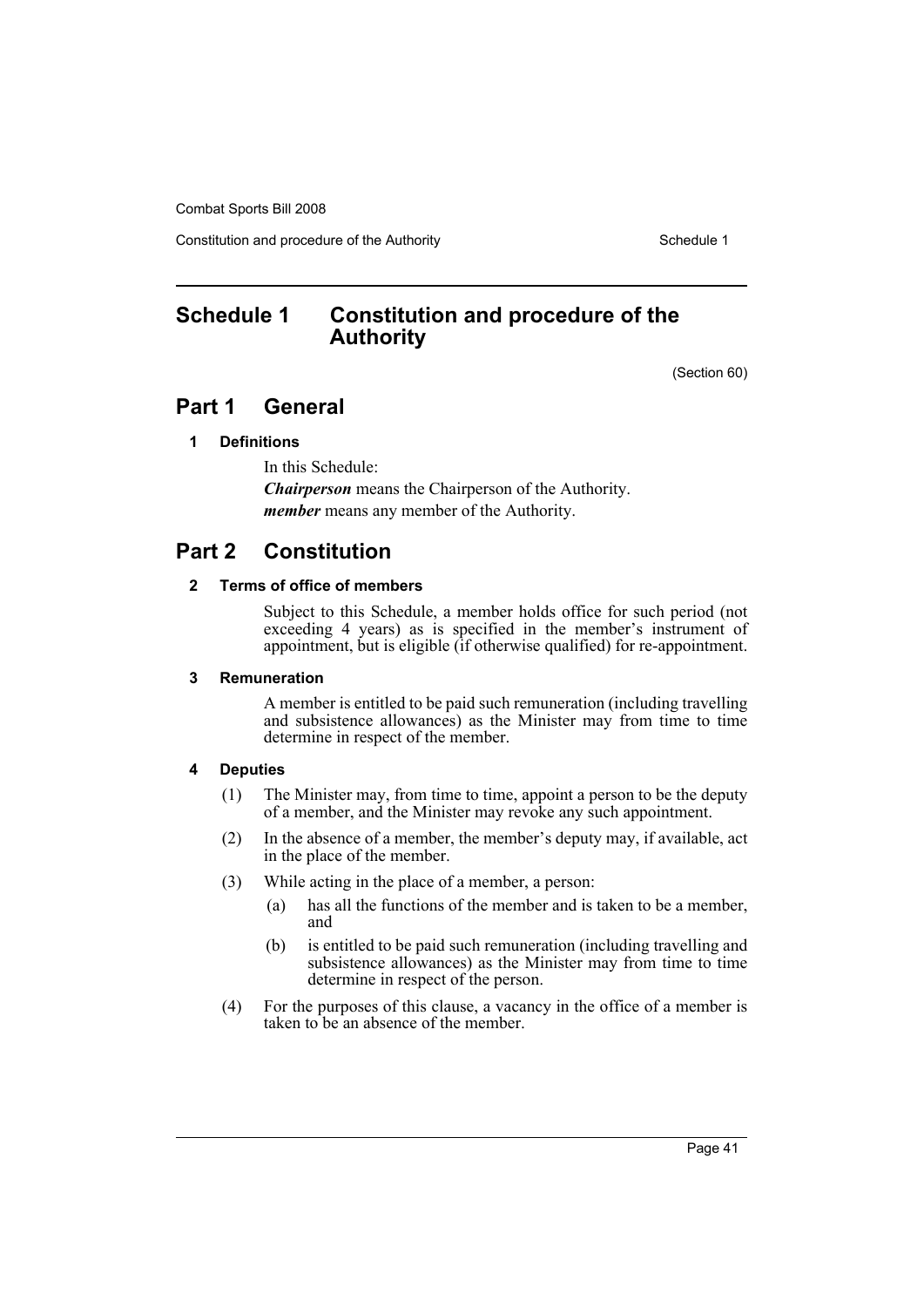Constitution and procedure of the Authority Schedule 1

# <span id="page-44-0"></span>**Schedule 1 Constitution and procedure of the Authority**

(Section 60)

# **Part 1 General**

### **1 Definitions**

In this Schedule: *Chairperson* means the Chairperson of the Authority. *member* means any member of the Authority.

# **Part 2 Constitution**

### **2 Terms of office of members**

Subject to this Schedule, a member holds office for such period (not exceeding 4 years) as is specified in the member's instrument of appointment, but is eligible (if otherwise qualified) for re-appointment.

### **3 Remuneration**

A member is entitled to be paid such remuneration (including travelling and subsistence allowances) as the Minister may from time to time determine in respect of the member.

### **4 Deputies**

- (1) The Minister may, from time to time, appoint a person to be the deputy of a member, and the Minister may revoke any such appointment.
- (2) In the absence of a member, the member's deputy may, if available, act in the place of the member.
- (3) While acting in the place of a member, a person:
	- (a) has all the functions of the member and is taken to be a member, and
	- (b) is entitled to be paid such remuneration (including travelling and subsistence allowances) as the Minister may from time to time determine in respect of the person.
- (4) For the purposes of this clause, a vacancy in the office of a member is taken to be an absence of the member.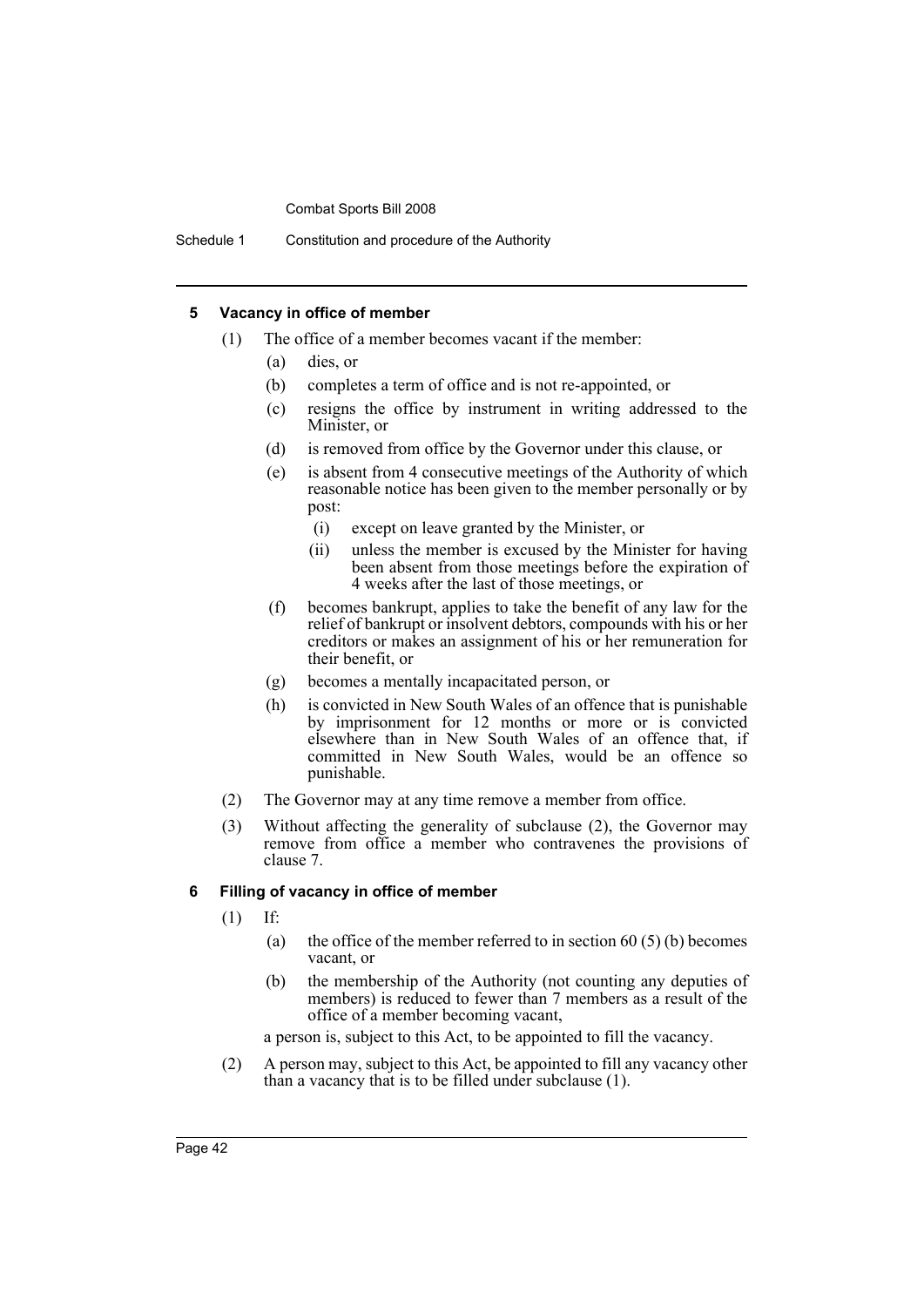Schedule 1 Constitution and procedure of the Authority

### **5 Vacancy in office of member**

- (1) The office of a member becomes vacant if the member:
	- (a) dies, or
	- (b) completes a term of office and is not re-appointed, or
	- (c) resigns the office by instrument in writing addressed to the Minister, or
	- (d) is removed from office by the Governor under this clause, or
	- (e) is absent from 4 consecutive meetings of the Authority of which reasonable notice has been given to the member personally or by post:
		- (i) except on leave granted by the Minister, or
		- (ii) unless the member is excused by the Minister for having been absent from those meetings before the expiration of 4 weeks after the last of those meetings, or
	- (f) becomes bankrupt, applies to take the benefit of any law for the relief of bankrupt or insolvent debtors, compounds with his or her creditors or makes an assignment of his or her remuneration for their benefit, or
	- (g) becomes a mentally incapacitated person, or
	- (h) is convicted in New South Wales of an offence that is punishable by imprisonment for 12 months or more or is convicted elsewhere than in New South Wales of an offence that, if committed in New South Wales, would be an offence so punishable.
- (2) The Governor may at any time remove a member from office.
- (3) Without affecting the generality of subclause (2), the Governor may remove from office a member who contravenes the provisions of clause 7.

### **6 Filling of vacancy in office of member**

- (1) If:
	- (a) the office of the member referred to in section  $60 (5) (b)$  becomes vacant, or
	- (b) the membership of the Authority (not counting any deputies of members) is reduced to fewer than 7 members as a result of the office of a member becoming vacant,

a person is, subject to this Act, to be appointed to fill the vacancy.

(2) A person may, subject to this Act, be appointed to fill any vacancy other than a vacancy that is to be filled under subclause (1).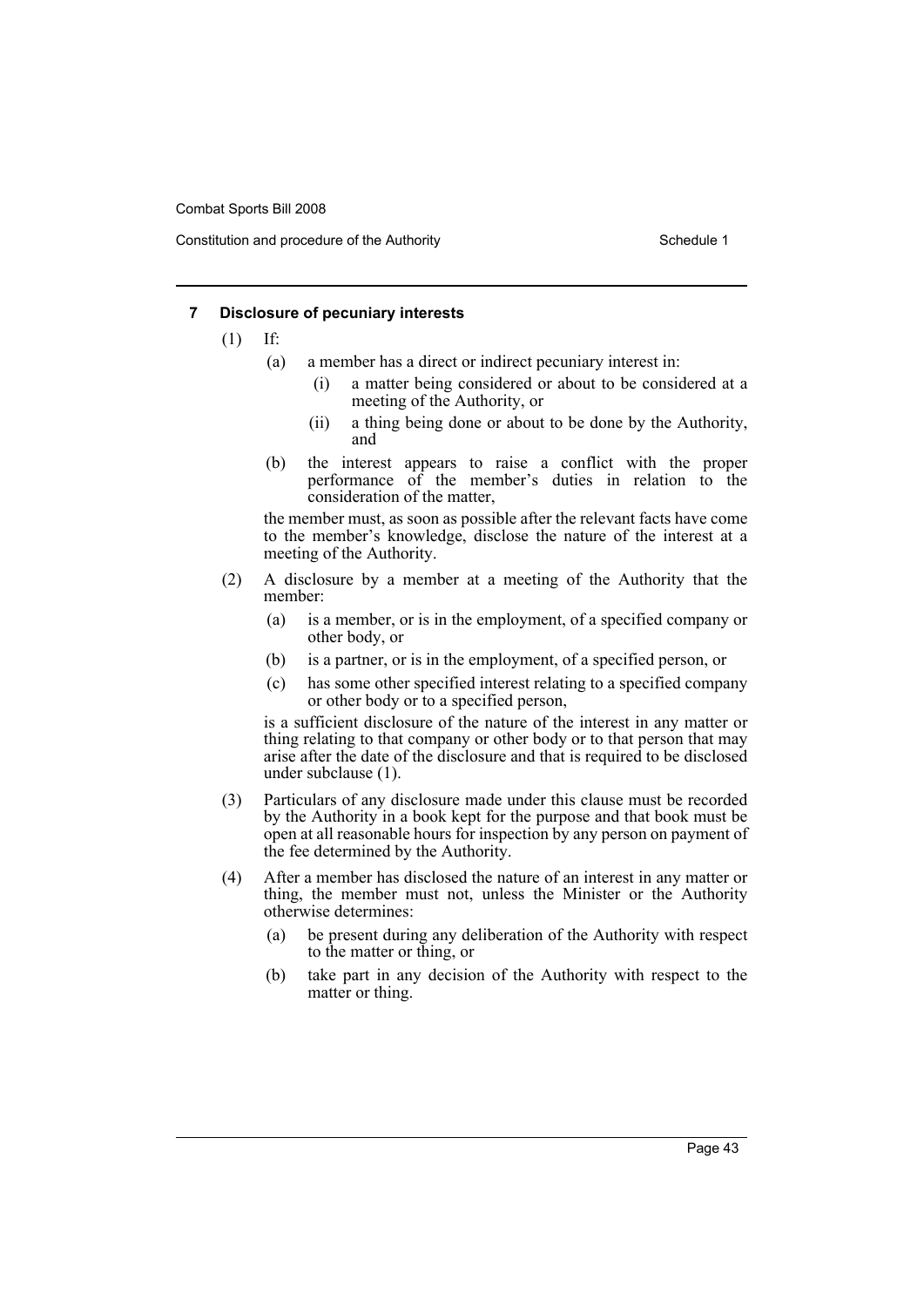#### **7 Disclosure of pecuniary interests**

- (1) If:
	- (a) a member has a direct or indirect pecuniary interest in:
		- (i) a matter being considered or about to be considered at a meeting of the Authority, or
		- (ii) a thing being done or about to be done by the Authority, and
	- (b) the interest appears to raise a conflict with the proper performance of the member's duties in relation to the consideration of the matter,

the member must, as soon as possible after the relevant facts have come to the member's knowledge, disclose the nature of the interest at a meeting of the Authority.

- (2) A disclosure by a member at a meeting of the Authority that the member:
	- (a) is a member, or is in the employment, of a specified company or other body, or
	- (b) is a partner, or is in the employment, of a specified person, or
	- (c) has some other specified interest relating to a specified company or other body or to a specified person,

is a sufficient disclosure of the nature of the interest in any matter or thing relating to that company or other body or to that person that may arise after the date of the disclosure and that is required to be disclosed under subclause (1).

- (3) Particulars of any disclosure made under this clause must be recorded by the Authority in a book kept for the purpose and that book must be open at all reasonable hours for inspection by any person on payment of the fee determined by the Authority.
- (4) After a member has disclosed the nature of an interest in any matter or thing, the member must not, unless the Minister or the Authority otherwise determines:
	- (a) be present during any deliberation of the Authority with respect to the matter or thing, or
	- (b) take part in any decision of the Authority with respect to the matter or thing.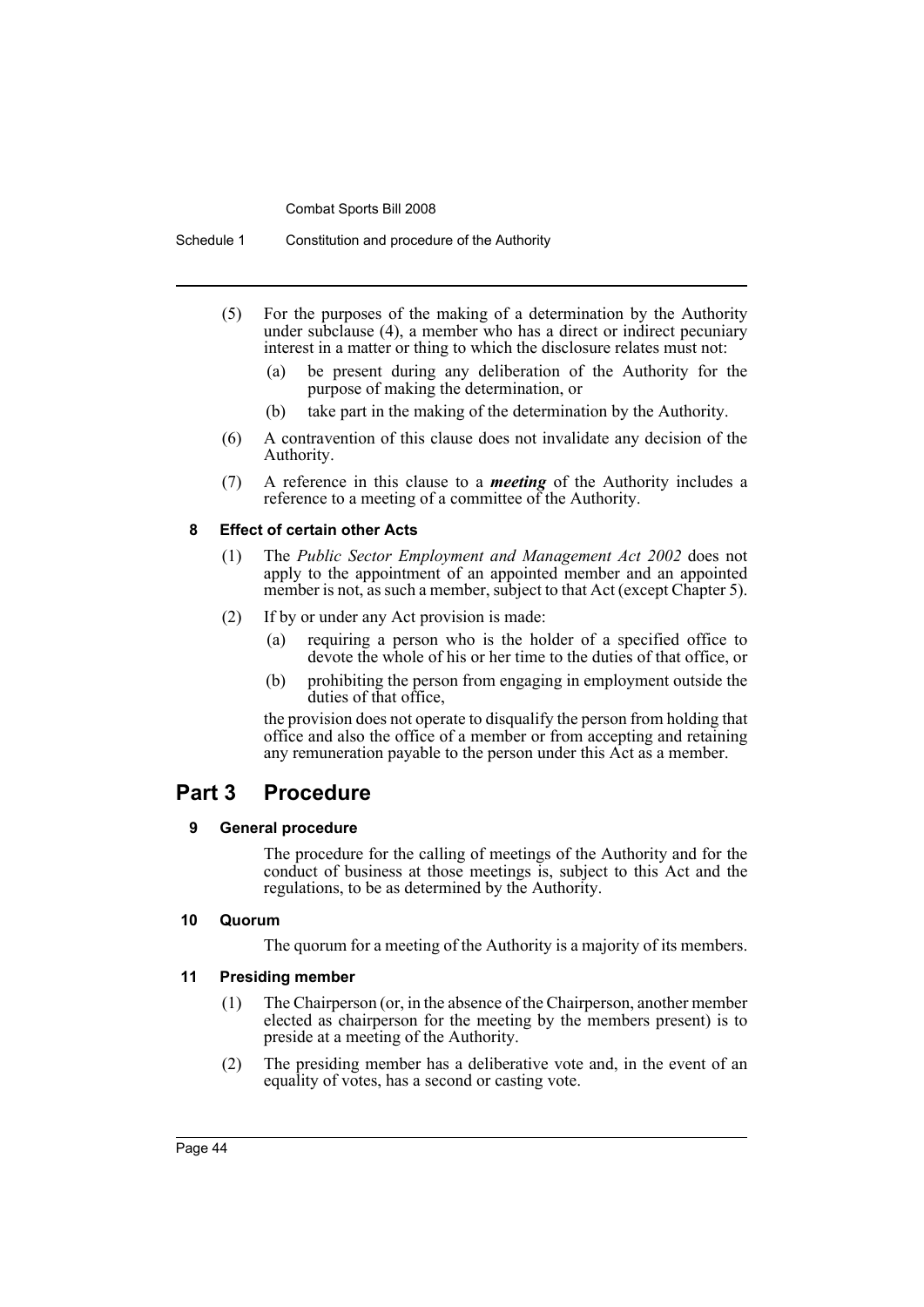Schedule 1 Constitution and procedure of the Authority

- (5) For the purposes of the making of a determination by the Authority under subclause (4), a member who has a direct or indirect pecuniary interest in a matter or thing to which the disclosure relates must not:
	- (a) be present during any deliberation of the Authority for the purpose of making the determination, or
	- (b) take part in the making of the determination by the Authority.
- (6) A contravention of this clause does not invalidate any decision of the Authority.
- (7) A reference in this clause to a *meeting* of the Authority includes a reference to a meeting of a committee of the Authority.

### **8 Effect of certain other Acts**

- (1) The *Public Sector Employment and Management Act 2002* does not apply to the appointment of an appointed member and an appointed member is not, as such a member, subject to that Act (except Chapter 5).
- (2) If by or under any Act provision is made:
	- (a) requiring a person who is the holder of a specified office to devote the whole of his or her time to the duties of that office, or
	- (b) prohibiting the person from engaging in employment outside the duties of that office,

the provision does not operate to disqualify the person from holding that office and also the office of a member or from accepting and retaining any remuneration payable to the person under this Act as a member.

# **Part 3 Procedure**

### **9 General procedure**

The procedure for the calling of meetings of the Authority and for the conduct of business at those meetings is, subject to this Act and the regulations, to be as determined by the Authority.

### **10 Quorum**

The quorum for a meeting of the Authority is a majority of its members.

### **11 Presiding member**

- (1) The Chairperson (or, in the absence of the Chairperson, another member elected as chairperson for the meeting by the members present) is to preside at a meeting of the Authority.
- (2) The presiding member has a deliberative vote and, in the event of an equality of votes, has a second or casting vote.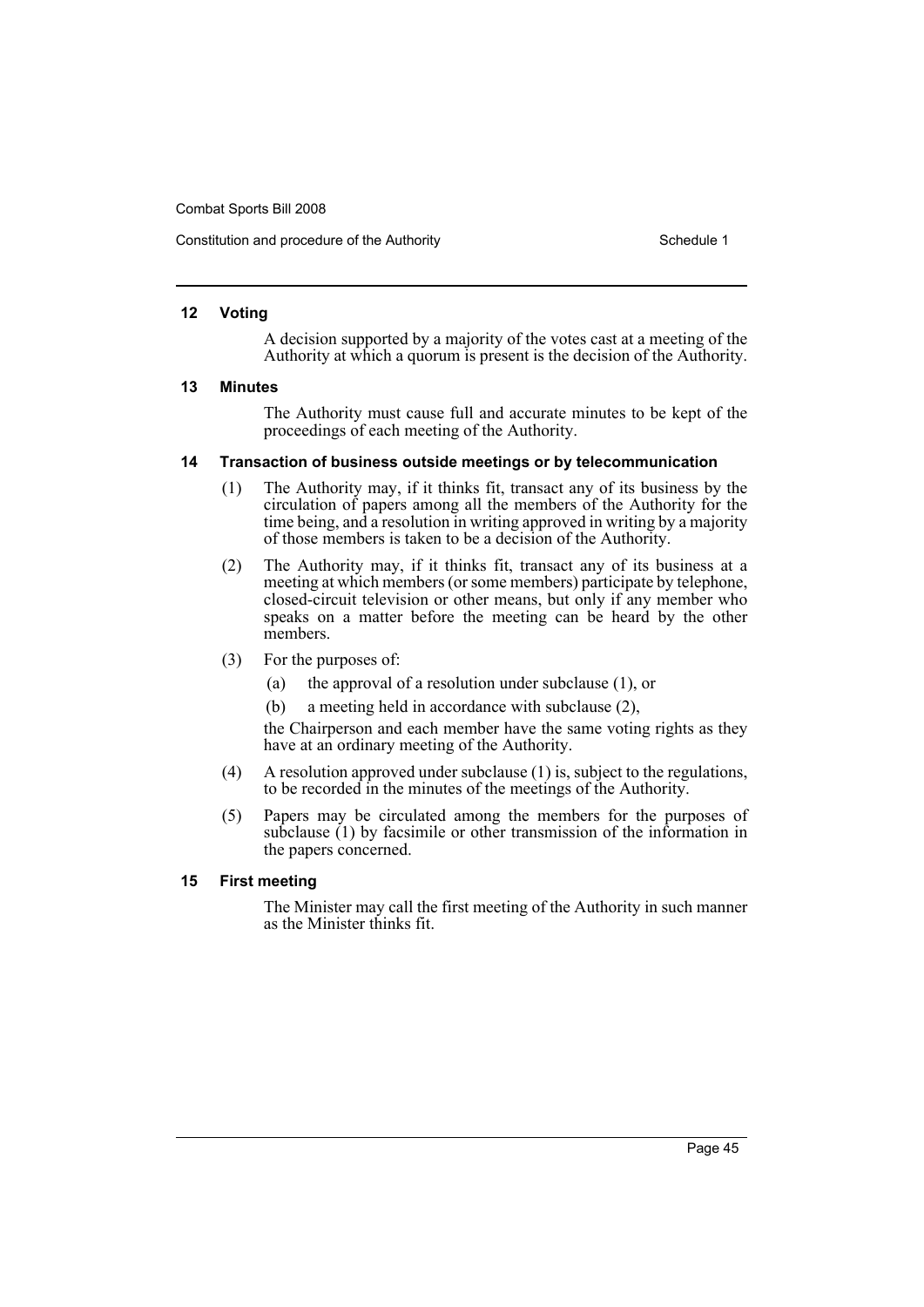#### **12 Voting**

A decision supported by a majority of the votes cast at a meeting of the Authority at which a quorum is present is the decision of the Authority.

#### **13 Minutes**

The Authority must cause full and accurate minutes to be kept of the proceedings of each meeting of the Authority.

### **14 Transaction of business outside meetings or by telecommunication**

- (1) The Authority may, if it thinks fit, transact any of its business by the circulation of papers among all the members of the Authority for the time being, and a resolution in writing approved in writing by a majority of those members is taken to be a decision of the Authority.
- (2) The Authority may, if it thinks fit, transact any of its business at a meeting at which members (or some members) participate by telephone, closed-circuit television or other means, but only if any member who speaks on a matter before the meeting can be heard by the other members.
- (3) For the purposes of:
	- (a) the approval of a resolution under subclause (1), or
	- (b) a meeting held in accordance with subclause (2),

the Chairperson and each member have the same voting rights as they have at an ordinary meeting of the Authority.

- (4) A resolution approved under subclause (1) is, subject to the regulations, to be recorded in the minutes of the meetings of the Authority.
- (5) Papers may be circulated among the members for the purposes of subclause (1) by facsimile or other transmission of the information in the papers concerned.

### **15 First meeting**

The Minister may call the first meeting of the Authority in such manner as the Minister thinks fit.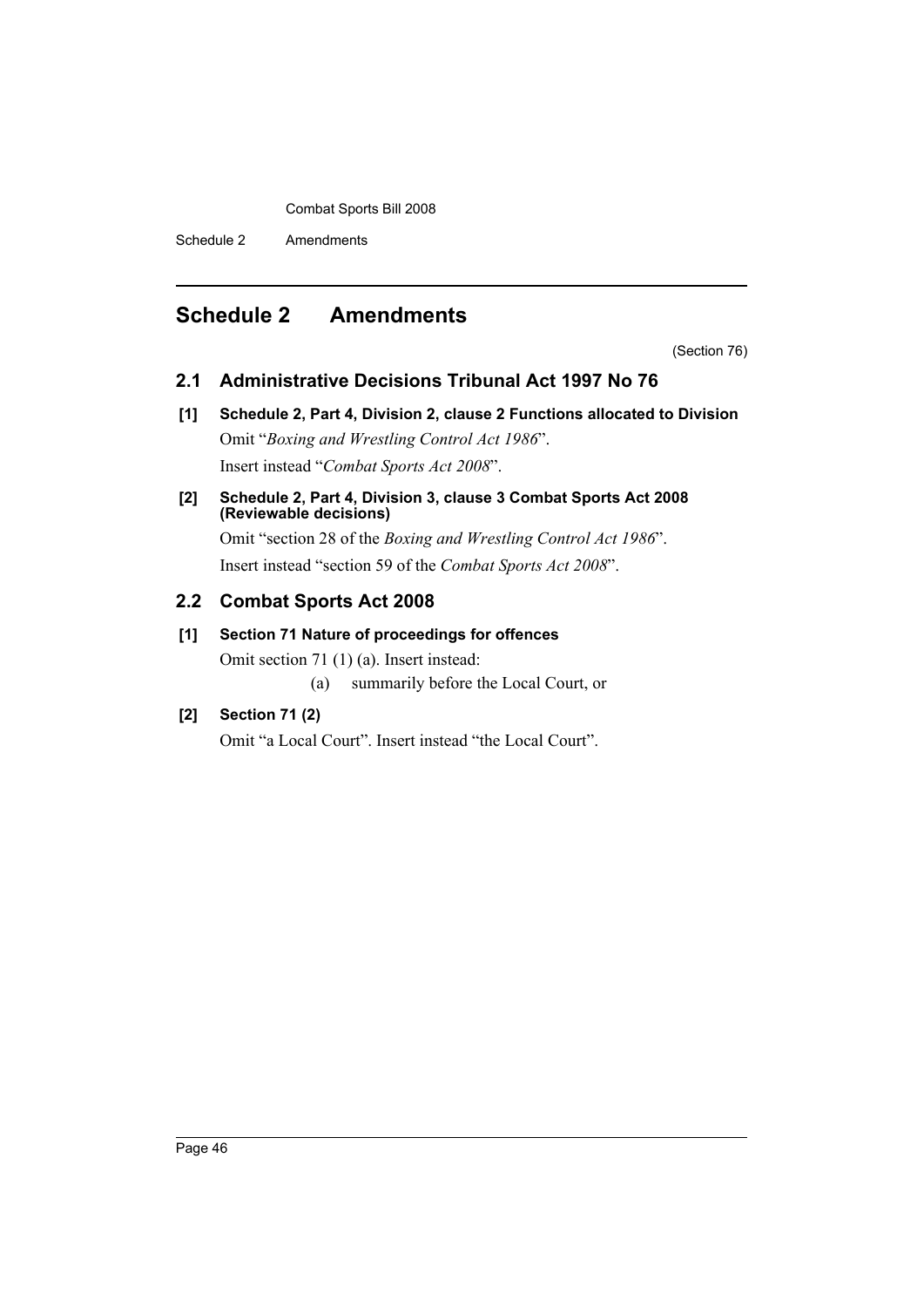Schedule 2 Amendments

# <span id="page-49-0"></span>**Schedule 2 Amendments**

(Section 76)

# **2.1 Administrative Decisions Tribunal Act 1997 No 76**

**[1] Schedule 2, Part 4, Division 2, clause 2 Functions allocated to Division** Omit "*Boxing and Wrestling Control Act 1986*". Insert instead "*Combat Sports Act 2008*".

### **[2] Schedule 2, Part 4, Division 3, clause 3 Combat Sports Act 2008 (Reviewable decisions)**

Omit "section 28 of the *Boxing and Wrestling Control Act 1986*". Insert instead "section 59 of the *Combat Sports Act 2008*".

## **2.2 Combat Sports Act 2008**

# **[1] Section 71 Nature of proceedings for offences** Omit section 71 (1) (a). Insert instead:

(a) summarily before the Local Court, or

### **[2] Section 71 (2)**

Omit "a Local Court". Insert instead "the Local Court".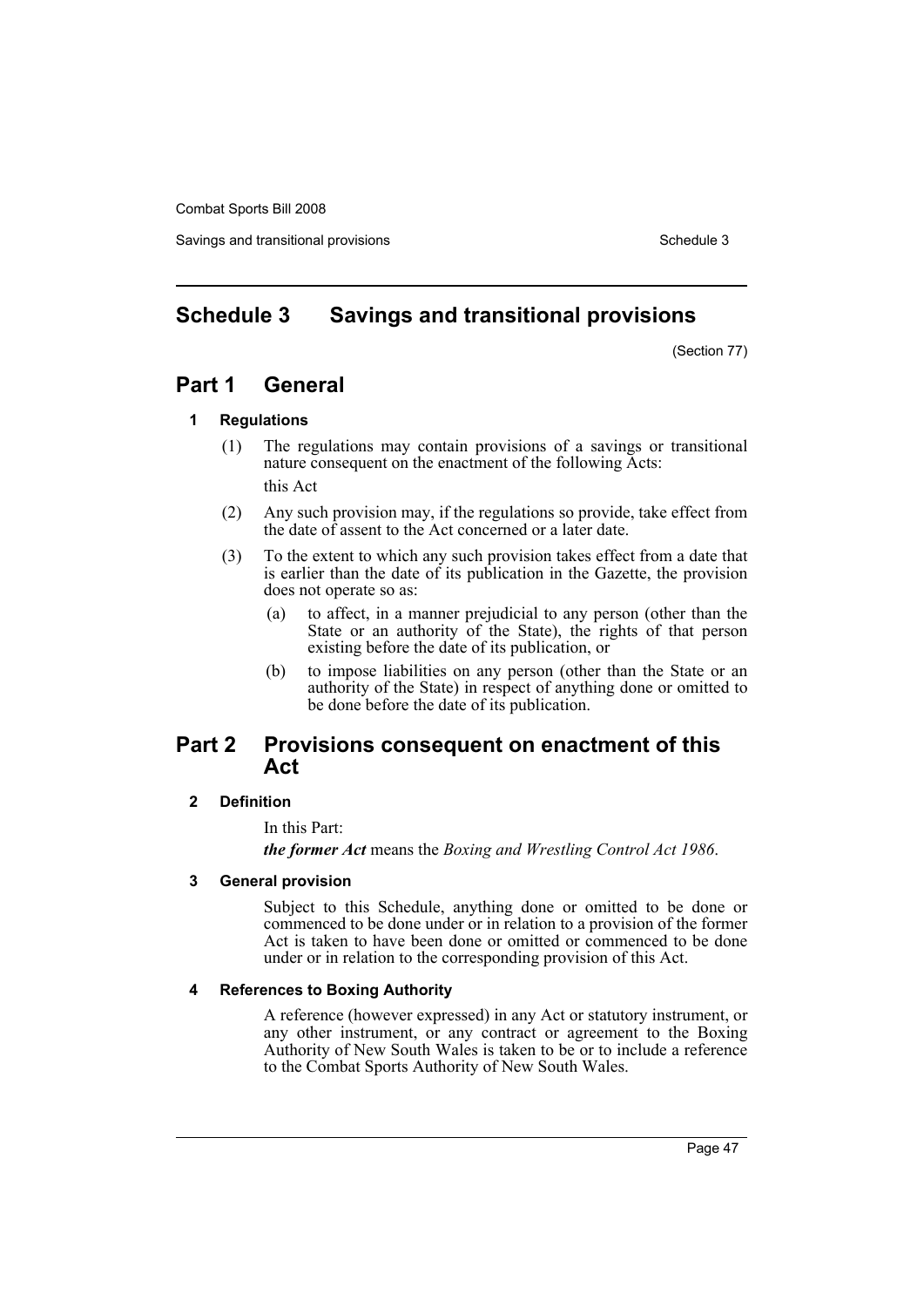Savings and transitional provisions Schedule 3

# <span id="page-50-0"></span>**Schedule 3 Savings and transitional provisions**

(Section 77)

# **Part 1 General**

### **1 Regulations**

- (1) The regulations may contain provisions of a savings or transitional nature consequent on the enactment of the following Acts: this Act
- (2) Any such provision may, if the regulations so provide, take effect from the date of assent to the Act concerned or a later date.
- (3) To the extent to which any such provision takes effect from a date that is earlier than the date of its publication in the Gazette, the provision does not operate so as:
	- (a) to affect, in a manner prejudicial to any person (other than the State or an authority of the State), the rights of that person existing before the date of its publication, or
	- (b) to impose liabilities on any person (other than the State or an authority of the State) in respect of anything done or omitted to be done before the date of its publication.

# **Part 2 Provisions consequent on enactment of this Act**

### **2 Definition**

In this Part:

*the former Act* means the *Boxing and Wrestling Control Act 1986*.

### **3 General provision**

Subject to this Schedule, anything done or omitted to be done or commenced to be done under or in relation to a provision of the former Act is taken to have been done or omitted or commenced to be done under or in relation to the corresponding provision of this Act.

### **4 References to Boxing Authority**

A reference (however expressed) in any Act or statutory instrument, or any other instrument, or any contract or agreement to the Boxing Authority of New South Wales is taken to be or to include a reference to the Combat Sports Authority of New South Wales.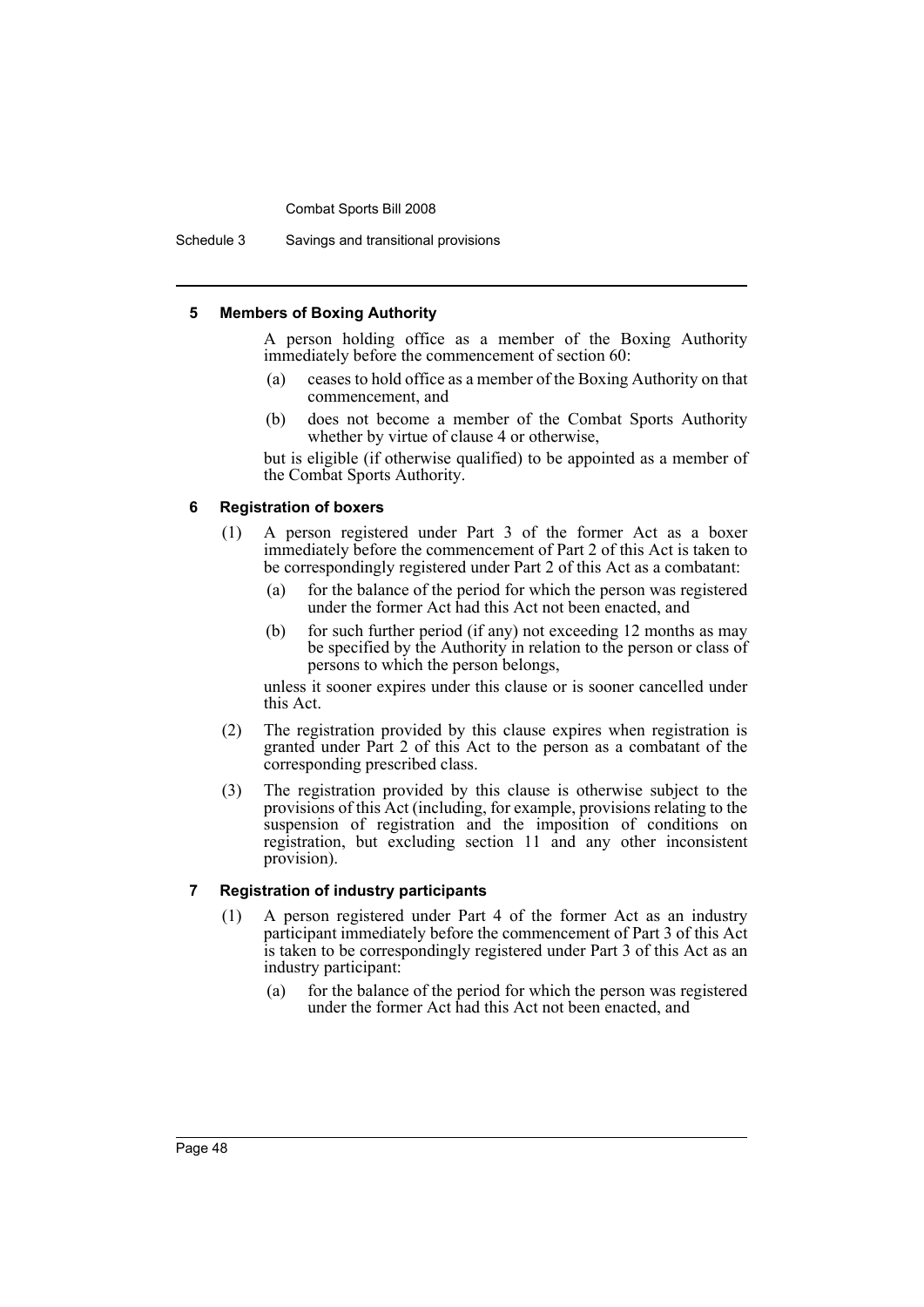Schedule 3 Savings and transitional provisions

### **5 Members of Boxing Authority**

A person holding office as a member of the Boxing Authority immediately before the commencement of section 60:

- (a) ceases to hold office as a member of the Boxing Authority on that commencement, and
- (b) does not become a member of the Combat Sports Authority whether by virtue of clause 4 or otherwise,

but is eligible (if otherwise qualified) to be appointed as a member of the Combat Sports Authority.

#### **6 Registration of boxers**

- (1) A person registered under Part 3 of the former Act as a boxer immediately before the commencement of Part 2 of this Act is taken to be correspondingly registered under Part 2 of this Act as a combatant:
	- (a) for the balance of the period for which the person was registered under the former Act had this Act not been enacted, and
	- (b) for such further period (if any) not exceeding 12 months as may be specified by the Authority in relation to the person or class of persons to which the person belongs,

unless it sooner expires under this clause or is sooner cancelled under this Act.

- (2) The registration provided by this clause expires when registration is granted under Part 2 of this Act to the person as a combatant of the corresponding prescribed class.
- (3) The registration provided by this clause is otherwise subject to the provisions of this Act (including, for example, provisions relating to the suspension of registration and the imposition of conditions on registration, but excluding section 11 and any other inconsistent provision).

### **7 Registration of industry participants**

- (1) A person registered under Part 4 of the former Act as an industry participant immediately before the commencement of Part 3 of this Act is taken to be correspondingly registered under Part 3 of this Act as an industry participant:
	- (a) for the balance of the period for which the person was registered under the former Act had this Act not been enacted, and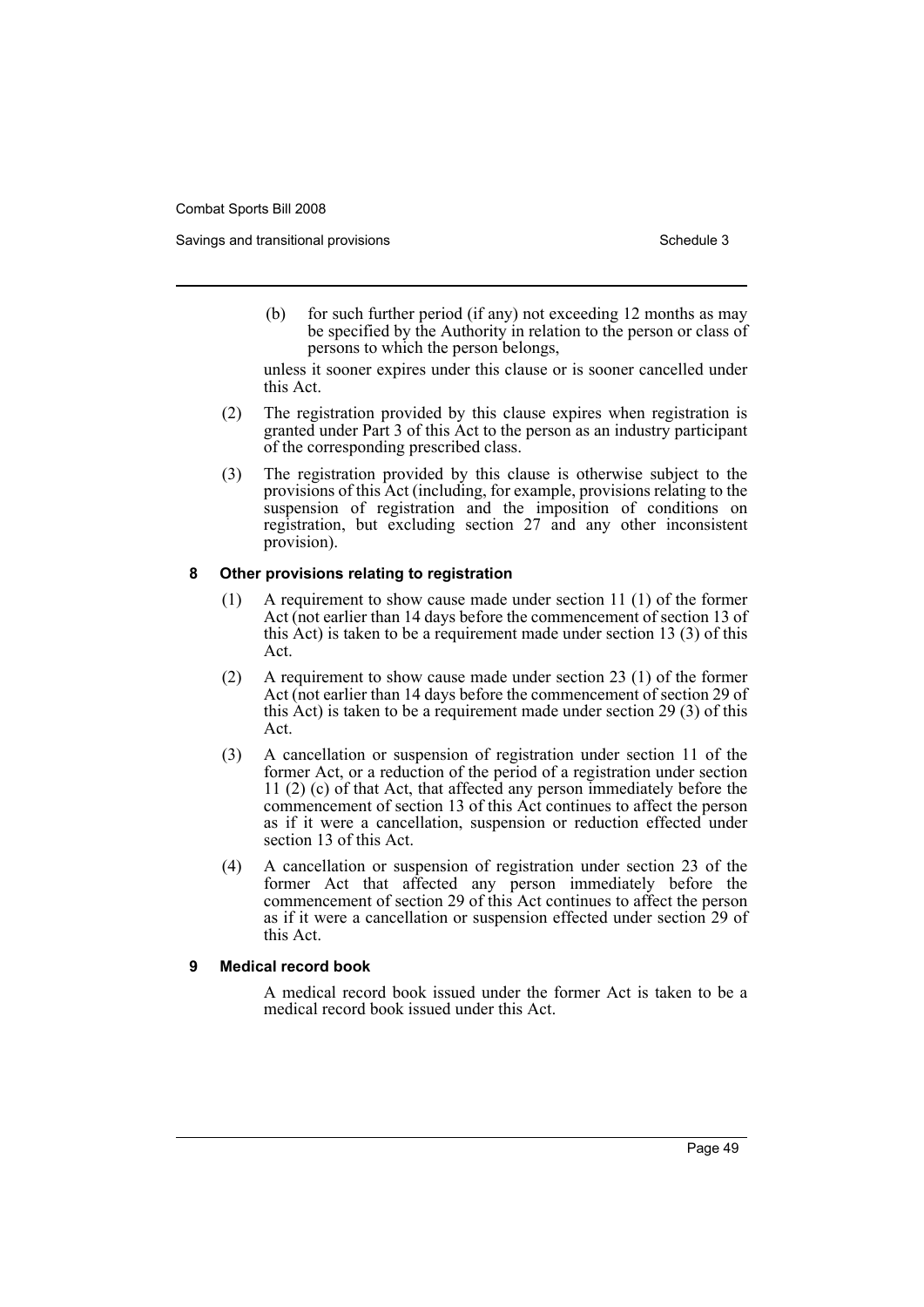Savings and transitional provisions Schedule 3 and the 3 schedule 3 schedule 3

(b) for such further period (if any) not exceeding 12 months as may be specified by the Authority in relation to the person or class of persons to which the person belongs,

unless it sooner expires under this clause or is sooner cancelled under this Act.

- (2) The registration provided by this clause expires when registration is granted under Part 3 of this Act to the person as an industry participant of the corresponding prescribed class.
- (3) The registration provided by this clause is otherwise subject to the provisions of this Act (including, for example, provisions relating to the suspension of registration and the imposition of conditions on registration, but excluding section 27 and any other inconsistent provision).

### **8 Other provisions relating to registration**

- (1) A requirement to show cause made under section 11 (1) of the former Act (not earlier than 14 days before the commencement of section 13 of this Act) is taken to be a requirement made under section 13 (3) of this Act.
- (2) A requirement to show cause made under section 23 (1) of the former Act (not earlier than 14 days before the commencement of section 29 of this Act) is taken to be a requirement made under section 29 (3) of this Act.
- (3) A cancellation or suspension of registration under section 11 of the former Act, or a reduction of the period of a registration under section 11 (2) (c) of that Act, that affected any person immediately before the commencement of section 13 of this Act continues to affect the person as if it were a cancellation, suspension or reduction effected under section 13 of this Act.
- (4) A cancellation or suspension of registration under section 23 of the former Act that affected any person immediately before the commencement of section 29 of this Act continues to affect the person as if it were a cancellation or suspension effected under section 29 of this Act.

### **9 Medical record book**

A medical record book issued under the former Act is taken to be a medical record book issued under this Act.